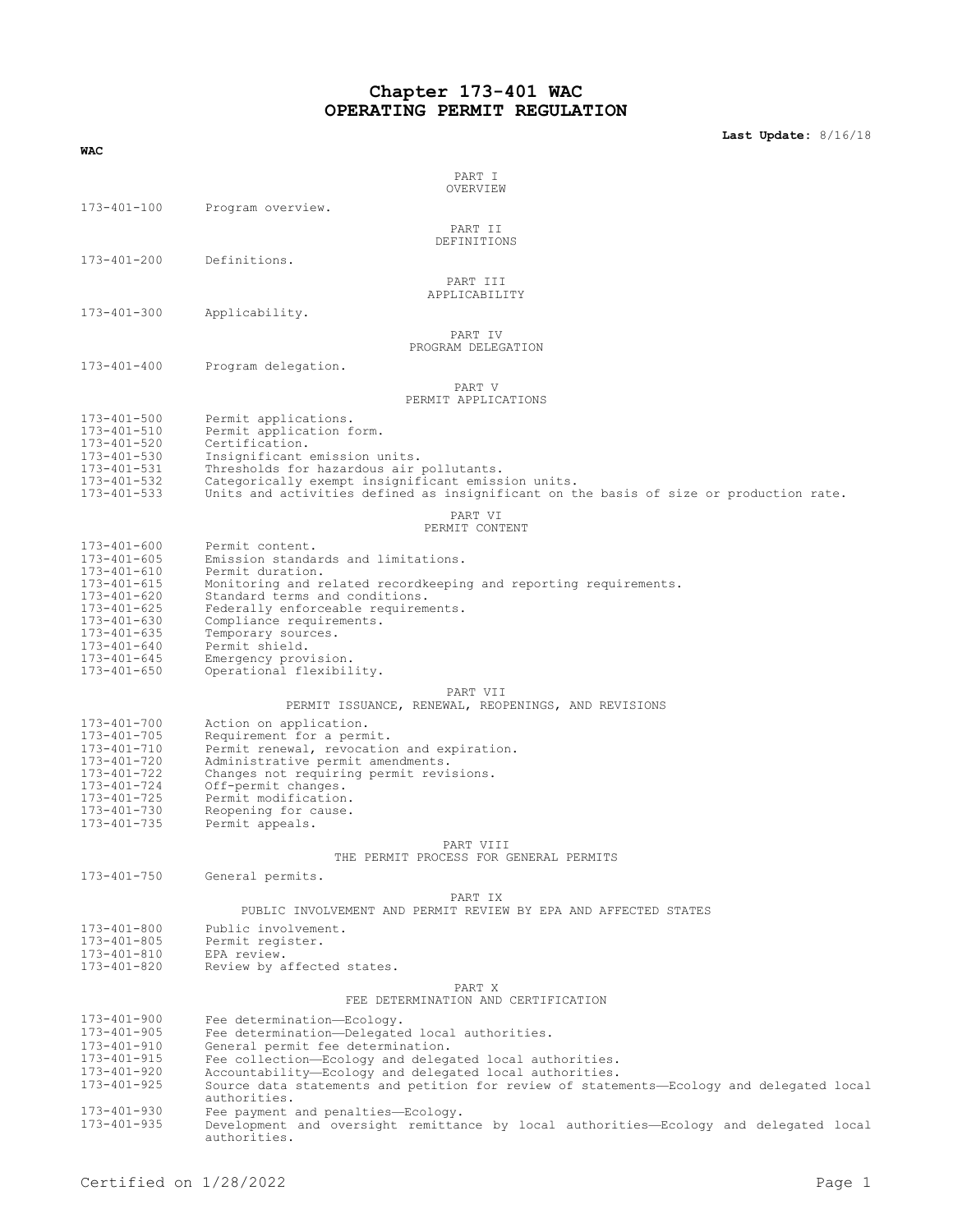# **Chapter 173-401 WAC OPERATING PERMIT REGULATION**

**Last Update:** 8/16/18

| WAC                                    |                                                                                                                                              |
|----------------------------------------|----------------------------------------------------------------------------------------------------------------------------------------------|
|                                        |                                                                                                                                              |
|                                        | PART I<br>OVERVIEW                                                                                                                           |
| 173-401-100                            | Program overview.                                                                                                                            |
|                                        |                                                                                                                                              |
|                                        | PART II<br>DEFINITIONS                                                                                                                       |
| 173-401-200                            | Definitions.                                                                                                                                 |
|                                        |                                                                                                                                              |
|                                        | PART III<br>APPLICABILITY                                                                                                                    |
| 173-401-300                            | Applicability.                                                                                                                               |
|                                        |                                                                                                                                              |
|                                        | PART IV<br>PROGRAM DELEGATION                                                                                                                |
| $173 - 401 - 400$                      | Program delegation.                                                                                                                          |
|                                        | PART V                                                                                                                                       |
|                                        | PERMIT APPLICATIONS                                                                                                                          |
| 173-401-500                            | Permit applications.                                                                                                                         |
| 173-401-510                            | Permit application form.                                                                                                                     |
| 173-401-520<br>173-401-530             | Certification.<br>Insignificant emission units.                                                                                              |
| 173-401-531                            | Thresholds for hazardous air pollutants.                                                                                                     |
| $173 - 401 - 532$<br>173-401-533       | Categorically exempt insignificant emission units.<br>Units and activities defined as insignificant on the basis of size or production rate. |
|                                        |                                                                                                                                              |
|                                        | PART VI<br>PERMIT CONTENT                                                                                                                    |
| $173 - 401 - 600$                      | Permit content.                                                                                                                              |
| $173 - 401 - 605$                      | Emission standards and limitations.                                                                                                          |
| $173 - 401 - 610$                      | Permit duration.<br>Monitoring and related recordkeeping and reporting requirements.                                                         |
| $173 - 401 - 615$<br>173-401-620       | Standard terms and conditions.                                                                                                               |
| $173 - 401 - 625$                      | Federally enforceable requirements.                                                                                                          |
| 173-401-630<br>$173 - 401 - 635$       | Compliance requirements.<br>Temporary sources.                                                                                               |
| 173-401-640                            | Permit shield.                                                                                                                               |
| $173 - 401 - 645$<br>$173 - 401 - 650$ | Emergency provision.<br>Operational flexibility.                                                                                             |
|                                        |                                                                                                                                              |
|                                        | PART VII<br>PERMIT ISSUANCE, RENEWAL, REOPENINGS, AND REVISIONS                                                                              |
| 173-401-700                            | Action on application.                                                                                                                       |
| 173-401-705                            | Requirement for a permit.                                                                                                                    |
| 173-401-710<br>173-401-720             | Permit renewal, revocation and expiration.<br>Administrative permit amendments.                                                              |
| 173-401-722                            | Changes not requiring permit revisions.                                                                                                      |
| 173-401-724                            | Off-permit changes.                                                                                                                          |
| 173-401-725<br>173-401-730             | Permit modification.<br>Reopening for cause.                                                                                                 |
| 173-401-735                            | Permit appeals.                                                                                                                              |
|                                        | PART VIII                                                                                                                                    |
|                                        | THE PERMIT PROCESS FOR GENERAL PERMITS                                                                                                       |
| 173-401-750                            | General permits.                                                                                                                             |
|                                        | PART IX                                                                                                                                      |
|                                        | PUBLIC INVOLVEMENT AND PERMIT REVIEW BY EPA AND AFFECTED STATES                                                                              |
| 173-401-800                            | Public involvement.                                                                                                                          |
| $173 - 401 - 805$<br>173-401-810       | Permit register.<br>EPA review.                                                                                                              |
| 173-401-820                            | Review by affected states.                                                                                                                   |
|                                        | PART X                                                                                                                                       |
|                                        | FEE DETERMINATION AND CERTIFICATION                                                                                                          |
| 173-401-900                            | Fee determination-Ecology.                                                                                                                   |
| $173 - 401 - 905$<br>173-401-910       | Fee determination-Delegated local authorities.<br>General permit fee determination.                                                          |
| 173-401-915                            | Fee collection-Ecology and delegated local authorities.                                                                                      |
| 173-401-920                            | Accountability-Ecology and delegated local authorities.                                                                                      |
| $173 - 401 - 925$                      | Source data statements and petition for review of statements-Ecology and delegated local<br>authorities.                                     |
| 173-401-930                            | Fee payment and penalties-Ecology.                                                                                                           |

173-401-935 Development and oversight remittance by local authorities—Ecology and delegated local authorities.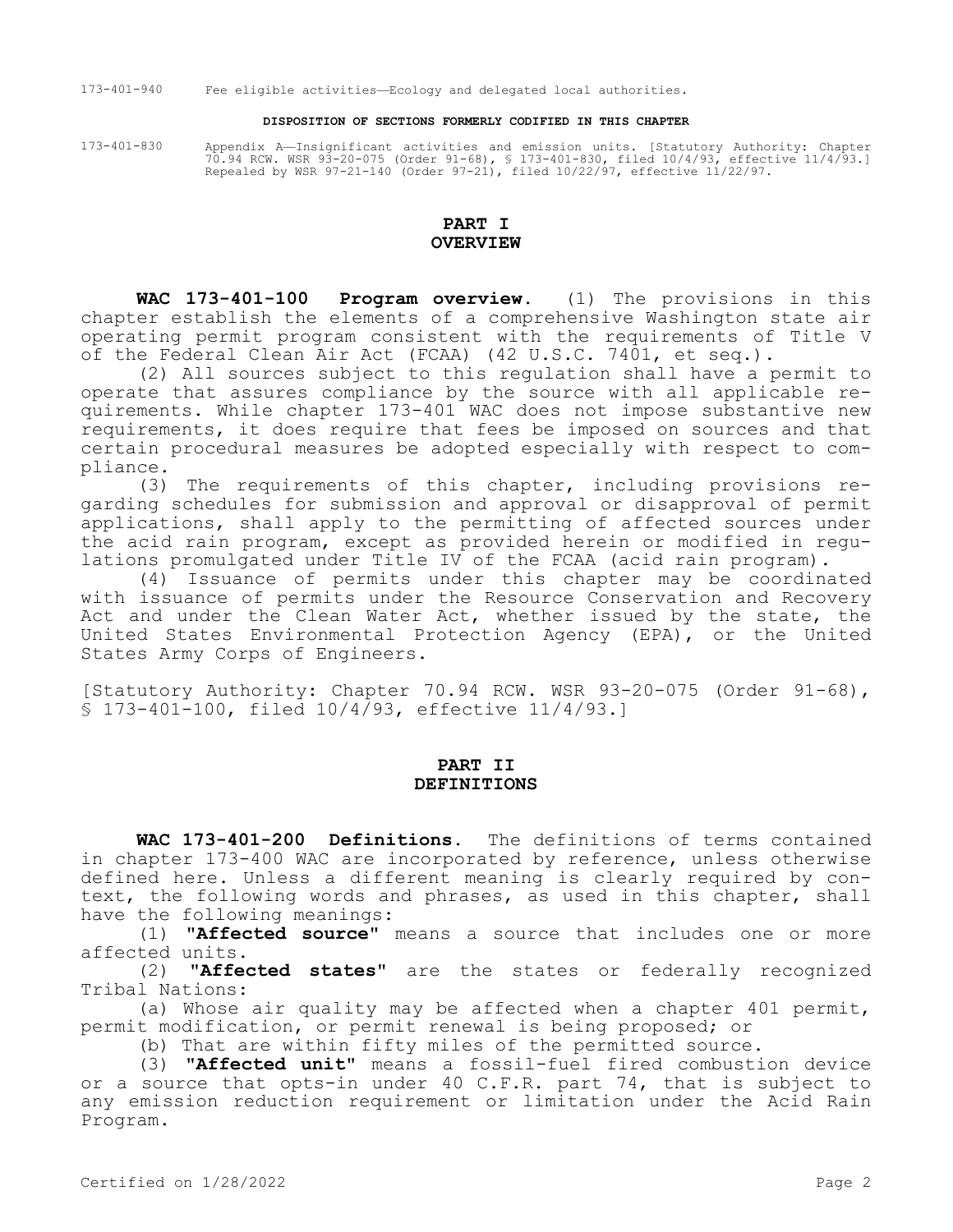173-401-940 Fee eligible activities—Ecology and delegated local authorities.

#### **DISPOSITION OF SECTIONS FORMERLY CODIFIED IN THIS CHAPTER**

173-401-830 Appendix A—Insignificant activities and emission units. [Statutory Authority: Chapter 70.94 RCW. WSR 93-20-075 (Order 91-68), § 173-401-830, filed 10/4/93, effective 11/4/93.] Repealed by WSR 97-21-140 (Order 97-21), filed 10/22/97, effective 11/22/97.

## **PART I OVERVIEW**

**WAC 173-401-100 Program overview.** (1) The provisions in this chapter establish the elements of a comprehensive Washington state air operating permit program consistent with the requirements of Title V of the Federal Clean Air Act (FCAA) (42 U.S.C. 7401, et seq.).

(2) All sources subject to this regulation shall have a permit to operate that assures compliance by the source with all applicable requirements. While chapter 173-401 WAC does not impose substantive new requirements, it does require that fees be imposed on sources and that certain procedural measures be adopted especially with respect to compliance.

(3) The requirements of this chapter, including provisions regarding schedules for submission and approval or disapproval of permit applications, shall apply to the permitting of affected sources under the acid rain program, except as provided herein or modified in regulations promulgated under Title IV of the FCAA (acid rain program).

(4) Issuance of permits under this chapter may be coordinated with issuance of permits under the Resource Conservation and Recovery Act and under the Clean Water Act, whether issued by the state, the United States Environmental Protection Agency (EPA), or the United States Army Corps of Engineers.

[Statutory Authority: Chapter 70.94 RCW. WSR 93-20-075 (Order 91-68), § 173-401-100, filed 10/4/93, effective 11/4/93.]

#### **PART II DEFINITIONS**

**WAC 173-401-200 Definitions.** The definitions of terms contained in chapter 173-400 WAC are incorporated by reference, unless otherwise defined here. Unless a different meaning is clearly required by context, the following words and phrases, as used in this chapter, shall have the following meanings:

(1) **"Affected source"** means a source that includes one or more affected units.<br>(2) **"Affe** 

"Affected states" are the states or federally recognized Tribal Nations:

(a) Whose air quality may be affected when a chapter 401 permit, permit modification, or permit renewal is being proposed; or

(b) That are within fifty miles of the permitted source.

(3) **"Affected unit"** means a fossil-fuel fired combustion device or a source that opts-in under 40 C.F.R. part 74, that is subject to any emission reduction requirement or limitation under the Acid Rain Program.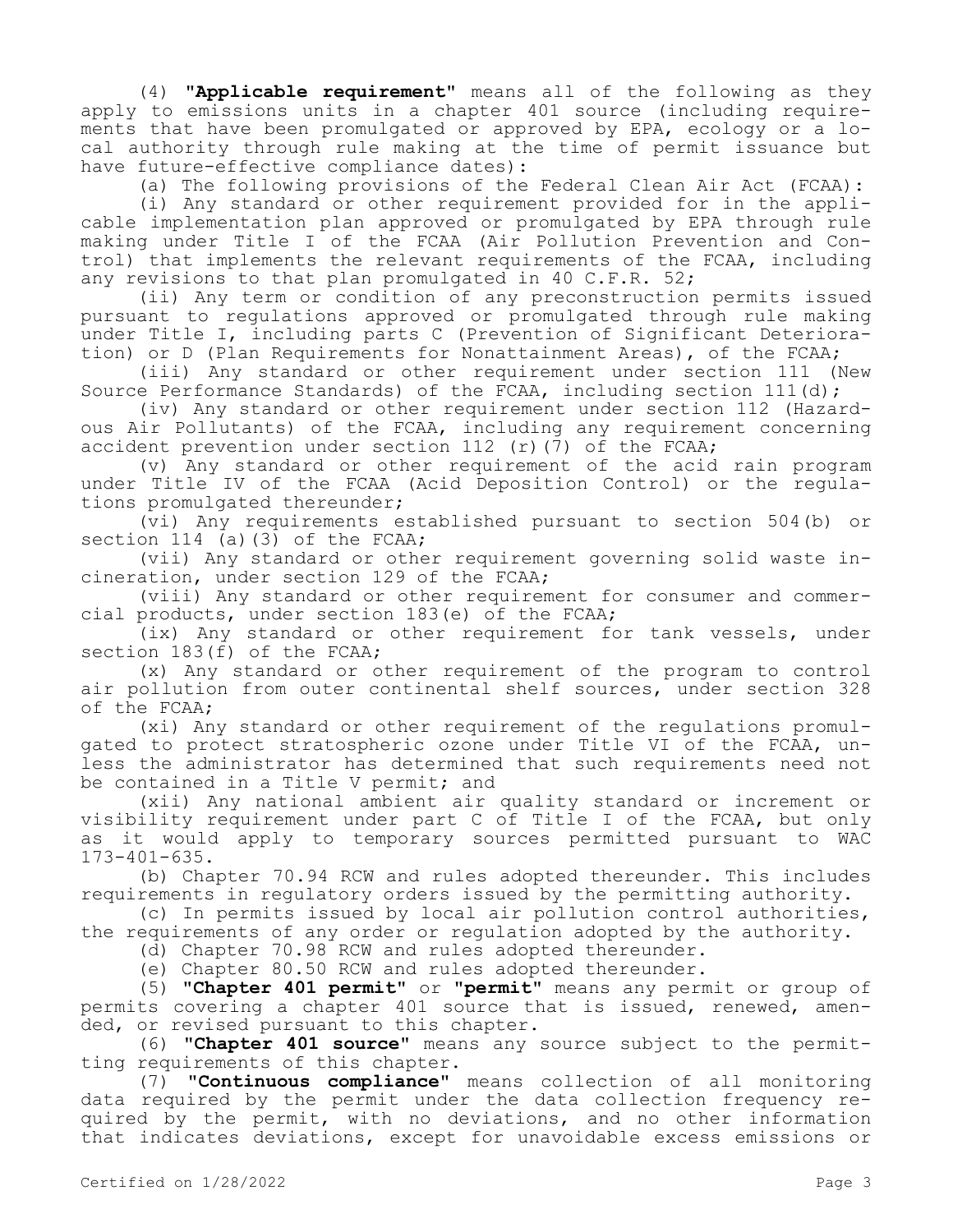(4) **"Applicable requirement"** means all of the following as they apply to emissions units in a chapter 401 source (including requirements that have been promulgated or approved by EPA, ecology or a local authority through rule making at the time of permit issuance but have future-effective compliance dates):

(a) The following provisions of the Federal Clean Air Act (FCAA):

(i) Any standard or other requirement provided for in the applicable implementation plan approved or promulgated by EPA through rule making under Title I of the FCAA (Air Pollution Prevention and Control) that implements the relevant requirements of the FCAA, including any revisions to that plan promulgated in 40 C.F.R. 52;

(ii) Any term or condition of any preconstruction permits issued pursuant to regulations approved or promulgated through rule making under Title I, including parts C (Prevention of Significant Deterioration) or D (Plan Requirements for Nonattainment Areas), of the FCAA;

(iii) Any standard or other requirement under section 111 (New Source Performance Standards) of the FCAA, including section 111(d);

(iv) Any standard or other requirement under section 112 (Hazardous Air Pollutants) of the FCAA, including any requirement concerning accident prevention under section 112 (r)(7) of the FCAA;

(v) Any standard or other requirement of the acid rain program under Title IV of the FCAA (Acid Deposition Control) or the regulations promulgated thereunder;

(vi) Any requirements established pursuant to section 504(b) or section 114 (a)(3) of the FCAA;

(vii) Any standard or other requirement governing solid waste incineration, under section 129 of the FCAA;

(viii) Any standard or other requirement for consumer and commercial products, under section 183(e) of the FCAA;

(ix) Any standard or other requirement for tank vessels, under section 183(f) of the FCAA;

(x) Any standard or other requirement of the program to control air pollution from outer continental shelf sources, under section 328 of the FCAA;

(xi) Any standard or other requirement of the regulations promulgated to protect stratospheric ozone under Title VI of the FCAA, unless the administrator has determined that such requirements need not be contained in a Title V permit; and

(xii) Any national ambient air quality standard or increment or visibility requirement under part C of Title I of the FCAA, but only as it would apply to temporary sources permitted pursuant to WAC 173-401-635.

(b) Chapter 70.94 RCW and rules adopted thereunder. This includes requirements in regulatory orders issued by the permitting authority.

(c) In permits issued by local air pollution control authorities, the requirements of any order or regulation adopted by the authority.

(d) Chapter 70.98 RCW and rules adopted thereunder.

(e) Chapter 80.50 RCW and rules adopted thereunder.

(5) **"Chapter 401 permit"** or **"permit"** means any permit or group of permits covering a chapter 401 source that is issued, renewed, amended, or revised pursuant to this chapter.

(6) **"Chapter 401 source"** means any source subject to the permitting requirements of this chapter.

(7) **"Continuous compliance"** means collection of all monitoring data required by the permit under the data collection frequency required by the permit, with no deviations, and no other information that indicates deviations, except for unavoidable excess emissions or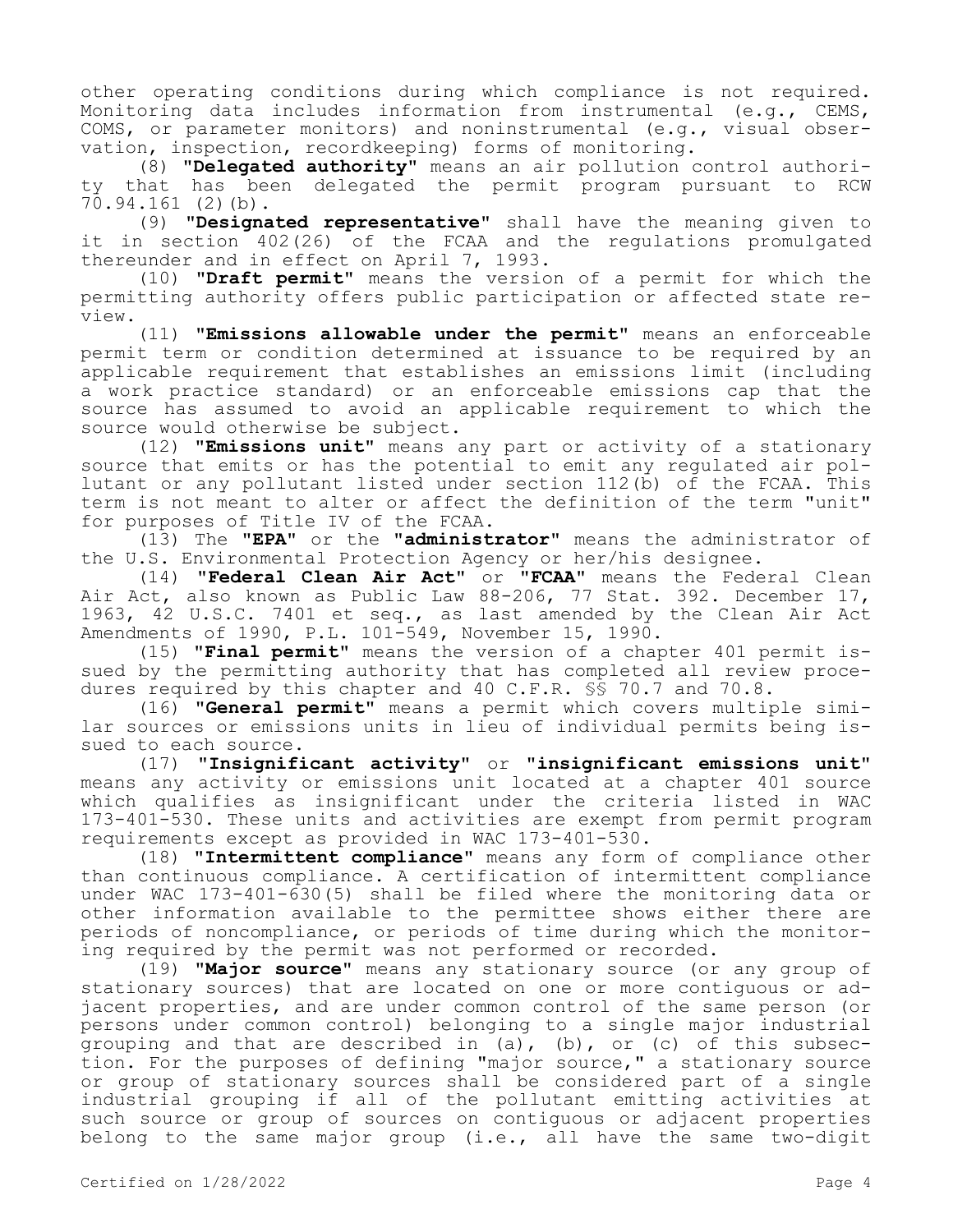other operating conditions during which compliance is not required. Monitoring data includes information from instrumental (e.g., CEMS, COMS, or parameter monitors) and noninstrumental (e.g., visual observation, inspection, recordkeeping) forms of monitoring.

(8) **"Delegated authority"** means an air pollution control authority that has been delegated the permit program pursuant to RCW 70.94.161 (2)(b).

(9) **"Designated representative"** shall have the meaning given to it in section 402(26) of the FCAA and the regulations promulgated thereunder and in effect on April 7, 1993.

(10) **"Draft permit"** means the version of a permit for which the permitting authority offers public participation or affected state review.

(11) **"Emissions allowable under the permit"** means an enforceable permit term or condition determined at issuance to be required by an applicable requirement that establishes an emissions limit (including a work practice standard) or an enforceable emissions cap that the source has assumed to avoid an applicable requirement to which the source would otherwise be subject.

(12) **"Emissions unit"** means any part or activity of a stationary source that emits or has the potential to emit any regulated air pollutant or any pollutant listed under section  $112(\bar{b})$  of the FCAA. This term is not meant to alter or affect the definition of the term "unit" for purposes of Title IV of the FCAA.

(13) The **"EPA"** or the **"administrator"** means the administrator of the U.S. Environmental Protection Agency or her/his designee.

(14) **"Federal Clean Air Act"** or **"FCAA"** means the Federal Clean Air Act, also known as Public Law 88-206, 77 Stat. 392. December 17, 1963, 42 U.S.C. 7401 et seq., as last amended by the Clean Air Act Amendments of 1990, P.L. 101-549, November 15, 1990.

(15) **"Final permit"** means the version of a chapter 401 permit issued by the permitting authority that has completed all review procedures required by this chapter and 40 C.F.R. §§ 70.7 and 70.8.

(16) **"General permit"** means a permit which covers multiple similar sources or emissions units in lieu of individual permits being issued to each source.

(17) **"Insignificant activity"** or **"insignificant emissions unit"**  means any activity or emissions unit located at a chapter 401 source which qualifies as insignificant under the criteria listed in WAC 173-401-530. These units and activities are exempt from permit program requirements except as provided in WAC 173-401-530.

(18) **"Intermittent compliance"** means any form of compliance other than continuous compliance. A certification of intermittent compliance under WAC 173-401-630(5) shall be filed where the monitoring data or other information available to the permittee shows either there are periods of noncompliance, or periods of time during which the monitoring required by the permit was not performed or recorded.

(19) **"Major source"** means any stationary source (or any group of stationary sources) that are located on one or more contiguous or adjacent properties, and are under common control of the same person (or persons under common control) belonging to a single major industrial grouping and that are described in (a), (b), or (c) of this subsection. For the purposes of defining "major source," a stationary source or group of stationary sources shall be considered part of a single industrial grouping if all of the pollutant emitting activities at such source or group of sources on contiguous or adjacent properties belong to the same major group (i.e., all have the same two-digit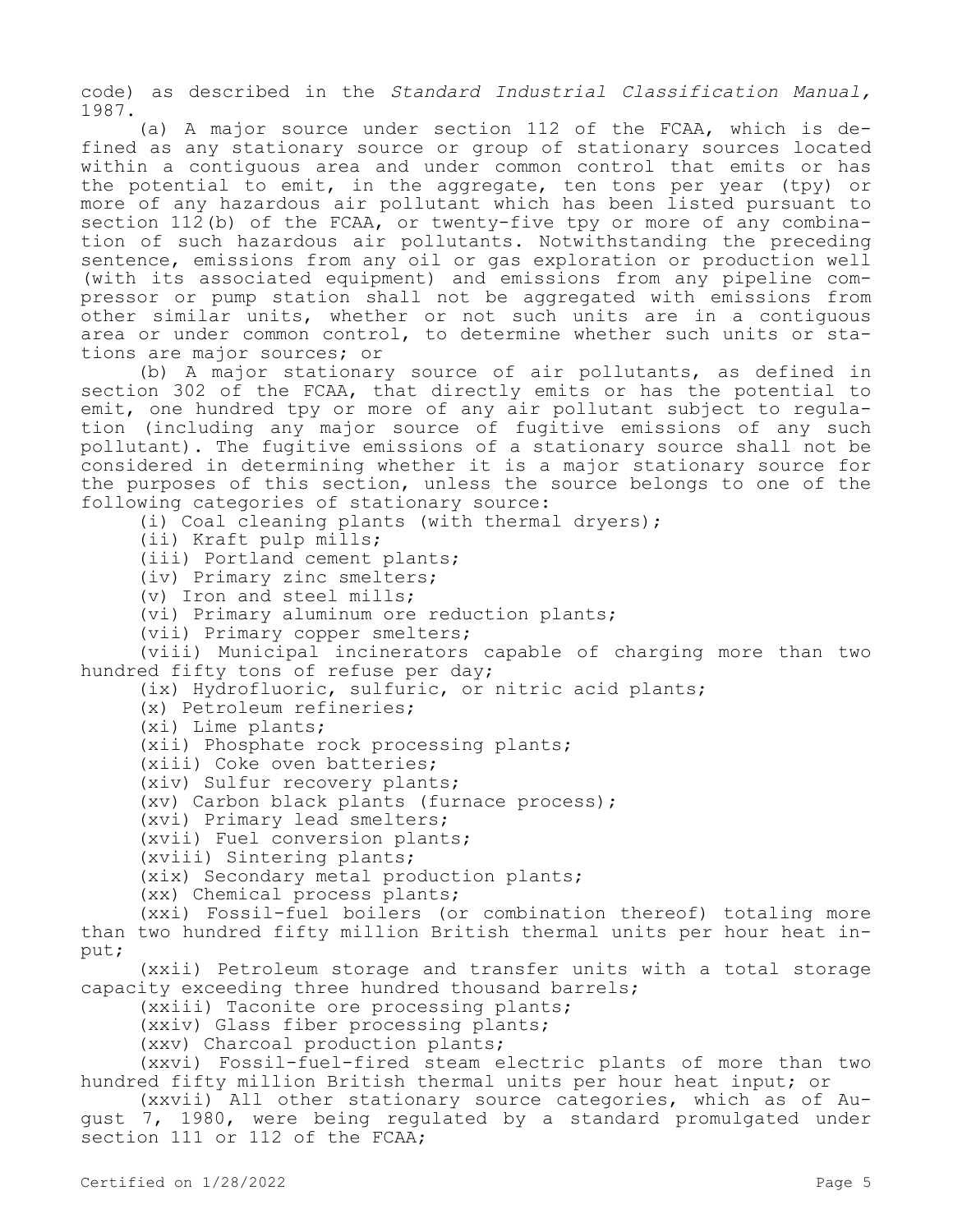code) as described in the *Standard Industrial Classification Manual,*  1987.

(a) A major source under section 112 of the FCAA, which is defined as any stationary source or group of stationary sources located within a contiguous area and under common control that emits or has the potential to emit, in the aggregate, ten tons per year (tpy) or more of any hazardous air pollutant which has been listed pursuant to section 112(b) of the FCAA, or twenty-five tpy or more of any combination of such hazardous air pollutants. Notwithstanding the preceding sentence, emissions from any oil or gas exploration or production well (with its associated equipment) and emissions from any pipeline compressor or pump station shall not be aggregated with emissions from other similar units, whether or not such units are in a contiguous area or under common control, to determine whether such units or stations are major sources; or

(b) A major stationary source of air pollutants, as defined in section 302 of the FCAA, that directly emits or has the potential to emit, one hundred tpy or more of any air pollutant subject to regulation (including any major source of fugitive emissions of any such pollutant). The fugitive emissions of a stationary source shall not be considered in determining whether it is a major stationary source for the purposes of this section, unless the source belongs to one of the following categories of stationary source:

(i) Coal cleaning plants (with thermal dryers);

(ii) Kraft pulp mills;

(iii) Portland cement plants;

(iv) Primary zinc smelters;

(v) Iron and steel mills;

(vi) Primary aluminum ore reduction plants;

(vii) Primary copper smelters;

(viii) Municipal incinerators capable of charging more than two hundred fifty tons of refuse per day;

(ix) Hydrofluoric, sulfuric, or nitric acid plants;

(x) Petroleum refineries;

(xi) Lime plants;

(xii) Phosphate rock processing plants;

(xiii) Coke oven batteries;

(xiv) Sulfur recovery plants;

(xv) Carbon black plants (furnace process);

(xvi) Primary lead smelters;

(xvii) Fuel conversion plants;

(xviii) Sintering plants;

(xix) Secondary metal production plants;

(xx) Chemical process plants;

(xxi) Fossil-fuel boilers (or combination thereof) totaling more than two hundred fifty million British thermal units per hour heat input;

(xxii) Petroleum storage and transfer units with a total storage capacity exceeding three hundred thousand barrels;

(xxiii) Taconite ore processing plants;

(xxiv) Glass fiber processing plants;

(xxv) Charcoal production plants;

(xxvi) Fossil-fuel-fired steam electric plants of more than two hundred fifty million British thermal units per hour heat input; or

(xxvii) All other stationary source categories, which as of August 7, 1980, were being regulated by a standard promulgated under section 111 or 112 of the FCAA;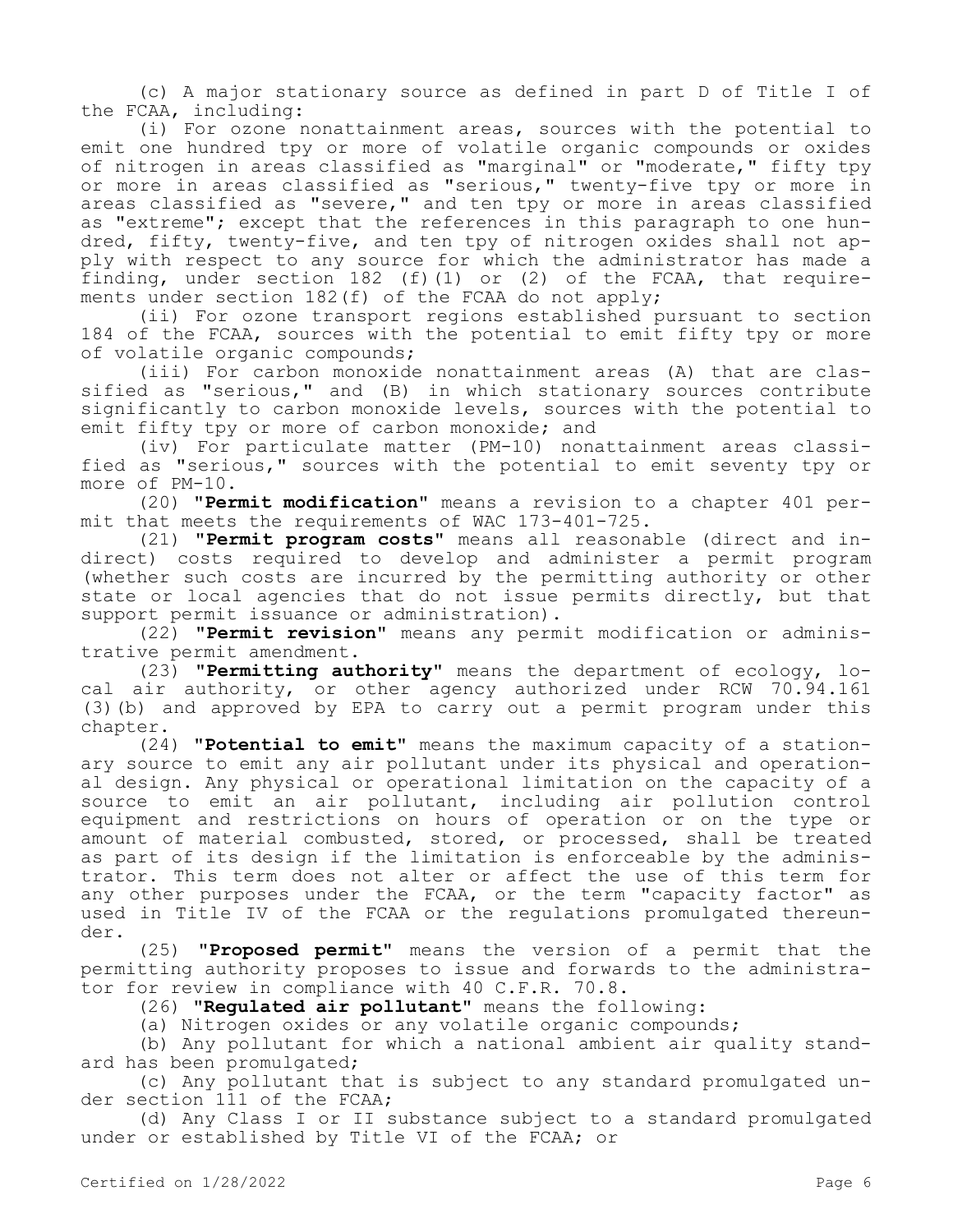(c) A major stationary source as defined in part D of Title I of the FCAA, including:

(i) For ozone nonattainment areas, sources with the potential to emit one hundred tpy or more of volatile organic compounds or oxides of nitrogen in areas classified as "marginal" or "moderate," fifty tpy or more in areas classified as "serious," twenty-five tpy or more in areas classified as "severe," and ten tpy or more in areas classified as "extreme"; except that the references in this paragraph to one hundred, fifty, twenty-five, and ten tpy of nitrogen oxides shall not apply with respect to any source for which the administrator has made a finding, under section 182 (f)(1) or (2) of the FCAA, that requirements under section 182(f) of the FCAA do not apply;

(ii) For ozone transport regions established pursuant to section 184 of the FCAA, sources with the potential to emit fifty tpy or more of volatile organic compounds;

(iii) For carbon monoxide nonattainment areas (A) that are classified as "serious," and (B) in which stationary sources contribute significantly to carbon monoxide levels, sources with the potential to emit fifty tpy or more of carbon monoxide; and

(iv) For particulate matter (PM-10) nonattainment areas classified as "serious," sources with the potential to emit seventy tpy or more of PM-10.

(20) **"Permit modification"** means a revision to a chapter 401 permit that meets the requirements of WAC 173-401-725.

(21) **"Permit program costs"** means all reasonable (direct and indirect) costs required to develop and administer a permit program (whether such costs are incurred by the permitting authority or other state or local agencies that do not issue permits directly, but that support permit issuance or administration).

(22) **"Permit revision"** means any permit modification or administrative permit amendment.

(23) **"Permitting authority"** means the department of ecology, local air authority, or other agency authorized under RCW 70.94.161 (3)(b) and approved by EPA to carry out a permit program under this chapter.

(24) **"Potential to emit"** means the maximum capacity of a stationary source to emit any air pollutant under its physical and operational design. Any physical or operational limitation on the capacity of a source to emit an air pollutant, including air pollution control equipment and restrictions on hours of operation or on the type or amount of material combusted, stored, or processed, shall be treated as part of its design if the limitation is enforceable by the administrator. This term does not alter or affect the use of this term for any other purposes under the FCAA, or the term "capacity factor" as used in Title IV of the FCAA or the regulations promulgated thereunder.

(25) **"Proposed permit"** means the version of a permit that the permitting authority proposes to issue and forwards to the administrator for review in compliance with 40 C.F.R. 70.8.

(26) **"Regulated air pollutant"** means the following:

(a) Nitrogen oxides or any volatile organic compounds;

(b) Any pollutant for which a national ambient air quality standard has been promulgated;

(c) Any pollutant that is subject to any standard promulgated under section 111 of the FCAA;

(d) Any Class I or II substance subject to a standard promulgated under or established by Title VI of the FCAA; or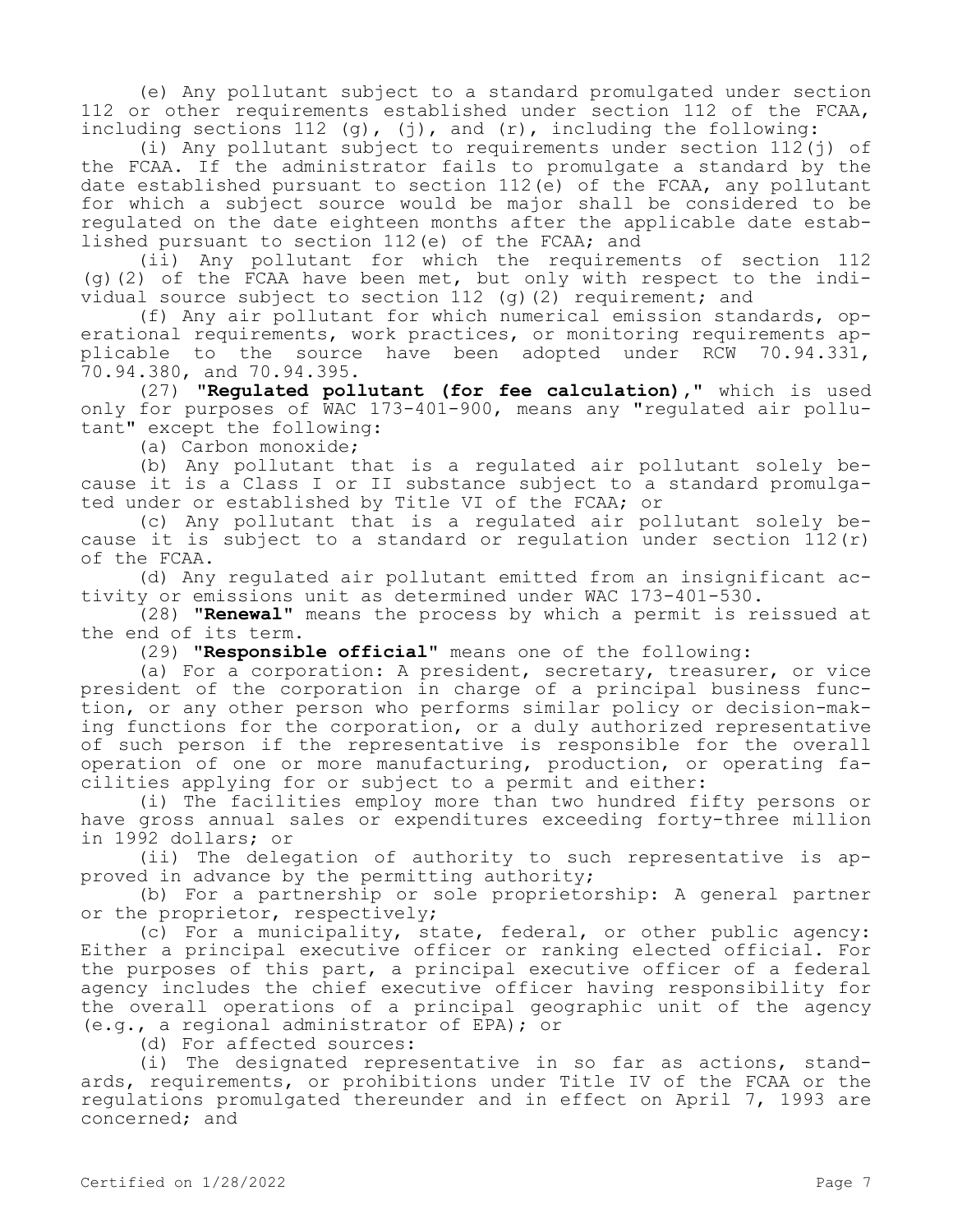(e) Any pollutant subject to a standard promulgated under section 112 or other requirements established under section 112 of the FCAA, including sections  $112$  (g), (j), and (r), including the following:

(i) Any pollutant subject to requirements under section  $112$ (j) of the FCAA. If the administrator fails to promulgate a standard by the date established pursuant to section 112(e) of the FCAA, any pollutant for which a subject source would be major shall be considered to be regulated on the date eighteen months after the applicable date established pursuant to section 112(e) of the FCAA; and

(ii) Any pollutant for which the requirements of section 112 (g)(2) of the FCAA have been met, but only with respect to the individual source subject to section 112 (g)(2) requirement; and

(f) Any air pollutant for which numerical emission standards, operational requirements, work practices, or monitoring requirements applicable to the source have been adopted under RCW 70.94.331, 70.94.380, and 70.94.395.

(27) **"Regulated pollutant (for fee calculation),"** which is used only for purposes of WAC 173-401-900, means any "regulated air pollutant" except the following:

(a) Carbon monoxide;

(b) Any pollutant that is a regulated air pollutant solely because it is a Class I or II substance subject to a standard promulgated under or established by Title VI of the FCAA; or

(c) Any pollutant that is a regulated air pollutant solely because it is subject to a standard or regulation under section  $112(r)$ of the FCAA.

(d) Any regulated air pollutant emitted from an insignificant activity or emissions unit as determined under WAC 173-401-530.

(28) **"Renewal"** means the process by which a permit is reissued at the end of its term.

(29) **"Responsible official"** means one of the following:

(a) For a corporation: A president, secretary, treasurer, or vice president of the corporation in charge of a principal business function, or any other person who performs similar policy or decision-making functions for the corporation, or a duly authorized representative of such person if the representative is responsible for the overall operation of one or more manufacturing, production, or operating facilities applying for or subject to a permit and either:

(i) The facilities employ more than two hundred fifty persons or have gross annual sales or expenditures exceeding forty-three million in 1992 dollars; or

(ii) The delegation of authority to such representative is approved in advance by the permitting authority;

(b) For a partnership or sole proprietorship: A general partner or the proprietor, respectively;

(c) For a municipality, state, federal, or other public agency: Either a principal executive officer or ranking elected official. For the purposes of this part, a principal executive officer of a federal agency includes the chief executive officer having responsibility for the overall operations of a principal geographic unit of the agency (e.g., a regional administrator of EPA); or

(d) For affected sources:

(i) The designated representative in so far as actions, standards, requirements, or prohibitions under Title IV of the FCAA or the regulations promulgated thereunder and in effect on April 7, 1993 are concerned; and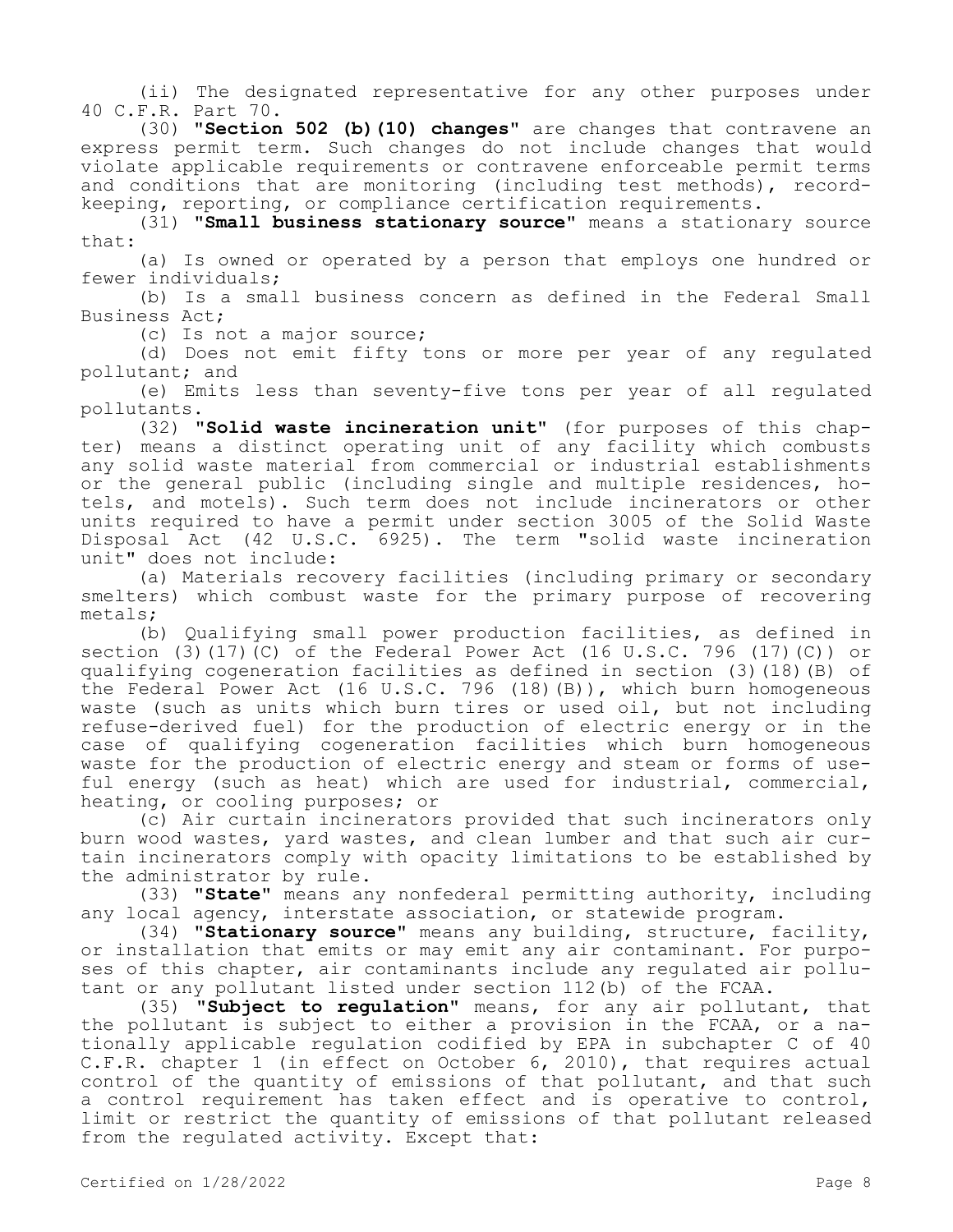(ii) The designated representative for any other purposes under 40 C.F.R. Part 70.

(30) **"Section 502 (b)(10) changes"** are changes that contravene an express permit term. Such changes do not include changes that would violate applicable requirements or contravene enforceable permit terms and conditions that are monitoring (including test methods), recordkeeping, reporting, or compliance certification requirements.

(31) **"Small business stationary source"** means a stationary source that:

(a) Is owned or operated by a person that employs one hundred or fewer individuals;

(b) Is a small business concern as defined in the Federal Small Business Act;

(c) Is not a major source;

(d) Does not emit fifty tons or more per year of any regulated pollutant; and

(e) Emits less than seventy-five tons per year of all regulated pollutants.

(32) **"Solid waste incineration unit"** (for purposes of this chapter) means a distinct operating unit of any facility which combusts any solid waste material from commercial or industrial establishments or the general public (including single and multiple residences, hotels, and motels). Such term does not include incinerators or other units required to have a permit under section 3005 of the Solid Waste Disposal Act (42 U.S.C. 6925). The term "solid waste incineration unit" does not include:

(a) Materials recovery facilities (including primary or secondary smelters) which combust waste for the primary purpose of recovering metals;

(b) Qualifying small power production facilities, as defined in section (3)(17)(C) of the Federal Power Act (16 U.S.C. 796 (17)(C)) or qualifying cogeneration facilities as defined in section (3)(18)(B) of the Federal Power Act (16 U.S.C. 796 (18)(B)), which burn homogeneous waste (such as units which burn tires or used oil, but not including refuse-derived fuel) for the production of electric energy or in the case of qualifying cogeneration facilities which burn homogeneous waste for the production of electric energy and steam or forms of useful energy (such as heat) which are used for industrial, commercial, heating, or cooling purposes; or

(c) Air curtain incinerators provided that such incinerators only burn wood wastes, yard wastes, and clean lumber and that such air curtain incinerators comply with opacity limitations to be established by the administrator by rule.

(33) **"State"** means any nonfederal permitting authority, including any local agency, interstate association, or statewide program.

(34) **"Stationary source"** means any building, structure, facility, or installation that emits or may emit any air contaminant. For purposes of this chapter, air contaminants include any regulated air pollutant or any pollutant listed under section 112(b) of the FCAA.

(35) **"Subject to regulation"** means, for any air pollutant, that the pollutant is subject to either a provision in the FCAA, or a nationally applicable regulation codified by EPA in subchapter C of 40 C.F.R. chapter 1 (in effect on October 6, 2010), that requires actual control of the quantity of emissions of that pollutant, and that such a control requirement has taken effect and is operative to control, limit or restrict the quantity of emissions of that pollutant released from the regulated activity. Except that: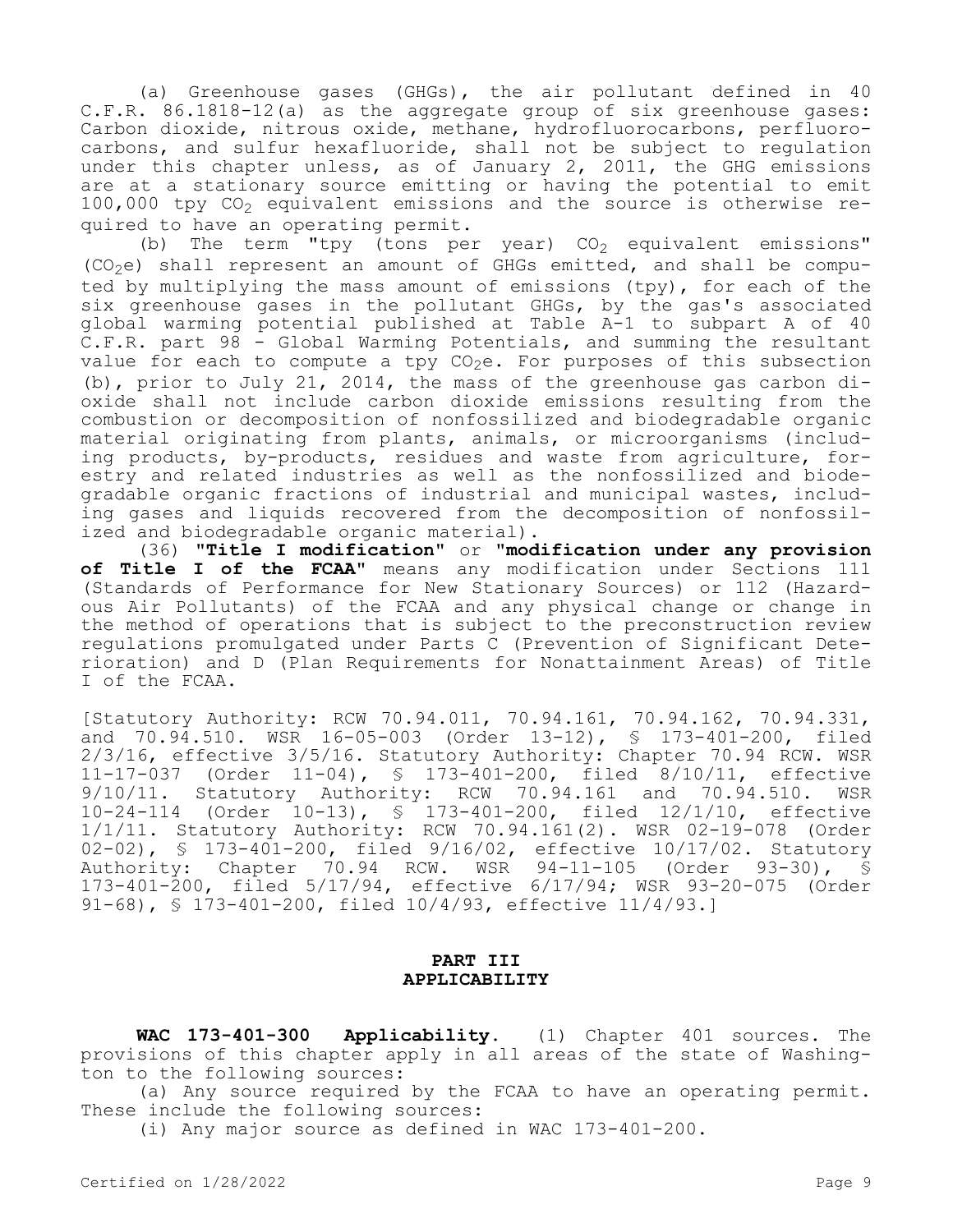(a) Greenhouse gases (GHGs), the air pollutant defined in 40 C.F.R. 86.1818-12(a) as the aggregate group of six greenhouse gases: Carbon dioxide, nitrous oxide, methane, hydrofluorocarbons, perfluorocarbons, and sulfur hexafluoride, shall not be subject to regulation under this chapter unless, as of January 2, 2011, the GHG emissions are at a stationary source emitting or having the potential to emit 100,000 tpy  $CO<sub>2</sub>$  equivalent emissions and the source is otherwise required to have an operating permit.

(b) The term "tpy (tons per year)  $CO<sub>2</sub>$  equivalent emissions"  $(CO<sub>2</sub>e)$  shall represent an amount of GHGs emitted, and shall be computed by multiplying the mass amount of emissions (tpy), for each of the six greenhouse gases in the pollutant GHGs, by the gas's associated global warming potential published at Table A-1 to subpart A of 40 C.F.R. part 98 - Global Warming Potentials, and summing the resultant value for each to compute a tpy  $CO_2e$ . For purposes of this subsection (b), prior to July 21, 2014, the mass of the greenhouse gas carbon dioxide shall not include carbon dioxide emissions resulting from the combustion or decomposition of nonfossilized and biodegradable organic material originating from plants, animals, or microorganisms (including products, by-products, residues and waste from agriculture, forestry and related industries as well as the nonfossilized and biodegradable organic fractions of industrial and municipal wastes, including gases and liquids recovered from the decomposition of nonfossilized and biodegradable organic material).

(36) **"Title I modification"** or **"modification under any provision of Title I of the FCAA"** means any modification under Sections 111 (Standards of Performance for New Stationary Sources) or 112 (Hazardous Air Pollutants) of the FCAA and any physical change or change in the method of operations that is subject to the preconstruction review regulations promulgated under Parts C (Prevention of Significant Deterioration) and D (Plan Requirements for Nonattainment Areas) of Title I of the FCAA.

[Statutory Authority: RCW 70.94.011, 70.94.161, 70.94.162, 70.94.331, and 70.94.510. WSR 16-05-003 (Order 13-12), § 173-401-200, filed 2/3/16, effective 3/5/16. Statutory Authority: Chapter 70.94 RCW. WSR 11-17-037 (Order 11-04), § 173-401-200, filed 8/10/11, effective 9/10/11. Statutory Authority: RCW 70.94.161 and 70.94.510. WSR 10-24-114 (Order 10-13), § 173-401-200, filed 12/1/10, effective 1/1/11. Statutory Authority: RCW 70.94.161(2). WSR 02-19-078 (Order 02-02), § 173-401-200, filed 9/16/02, effective 10/17/02. Statutory Authority: Chapter 70.94 RCW. WSR 94-11-105 (Order 93-30), § 173-401-200, filed 5/17/94, effective 6/17/94; WSR 93-20-075 (Order 91-68), § 173-401-200, filed 10/4/93, effective 11/4/93.]

# **PART III APPLICABILITY**

**WAC 173-401-300 Applicability.** (1) Chapter 401 sources. The provisions of this chapter apply in all areas of the state of Washington to the following sources:

(a) Any source required by the FCAA to have an operating permit. These include the following sources:

(i) Any major source as defined in WAC 173-401-200.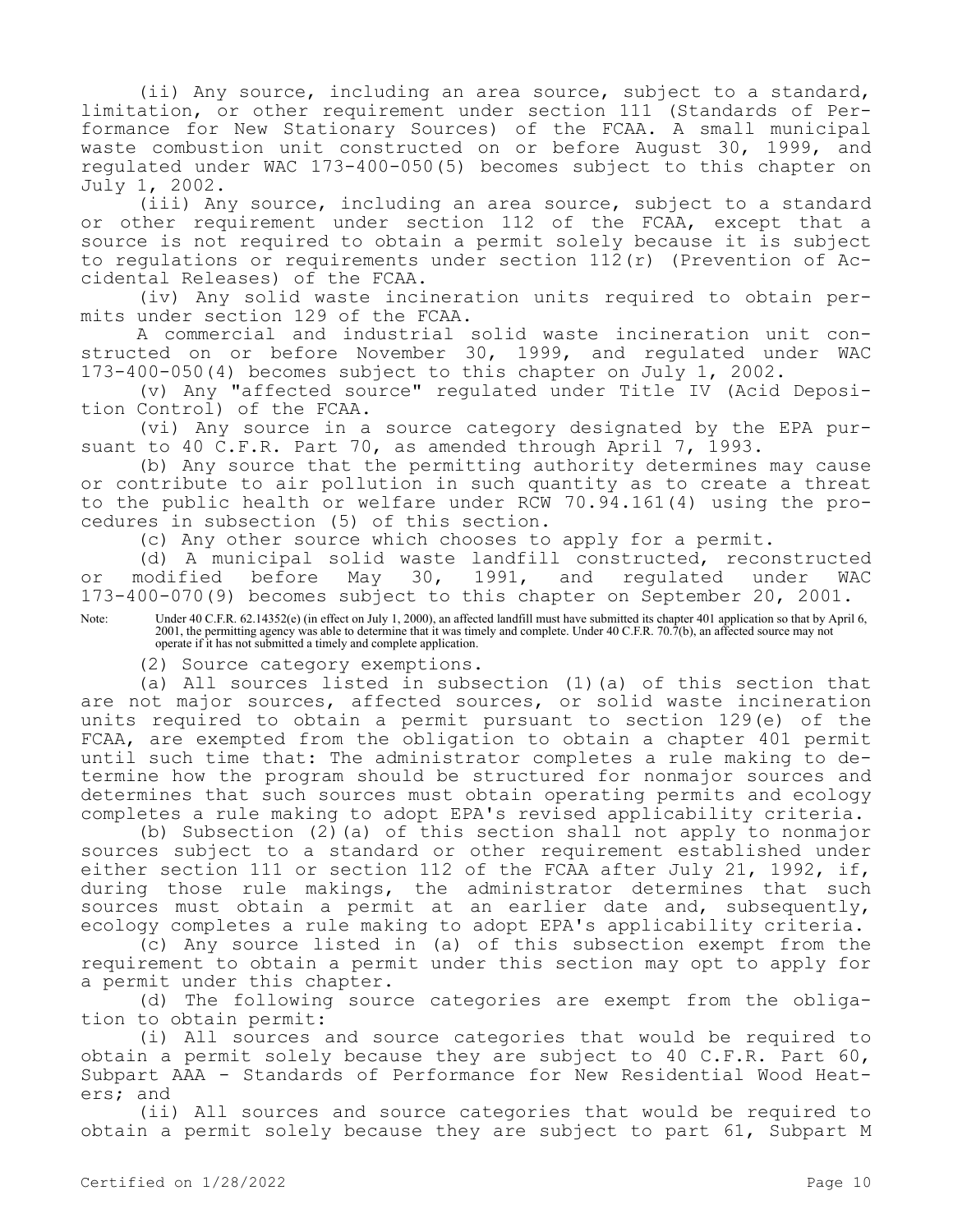(ii) Any source, including an area source, subject to a standard, limitation, or other requirement under section 111 (Standards of Performance for New Stationary Sources) of the FCAA. A small municipal waste combustion unit constructed on or before August 30, 1999, and regulated under WAC 173-400-050(5) becomes subject to this chapter on July 1, 2002.

(iii) Any source, including an area source, subject to a standard or other requirement under section 112 of the FCAA, except that a source is not required to obtain a permit solely because it is subject to regulations or requirements under section 112(r) (Prevention of Accidental Releases) of the FCAA.

(iv) Any solid waste incineration units required to obtain permits under section 129 of the FCAA.

A commercial and industrial solid waste incineration unit constructed on or before November 30, 1999, and regulated under WAC 173-400-050(4) becomes subject to this chapter on July 1, 2002.

(v) Any "affected source" regulated under Title IV (Acid Deposition Control) of the FCAA.

(vi) Any source in a source category designated by the EPA pursuant to 40 C.F.R. Part 70, as amended through April 7, 1993.

(b) Any source that the permitting authority determines may cause or contribute to air pollution in such quantity as to create a threat to the public health or welfare under RCW 70.94.161(4) using the procedures in subsection (5) of this section.

(c) Any other source which chooses to apply for a permit.

(d) A municipal solid waste landfill constructed, reconstructed<br>nodified before May 30, 1991, and regulated under WAC or modified before May 30, 1991, and regulated under WAC 173-400-070(9) becomes subject to this chapter on September 20, 2001.

Note: Under 40 C.F.R. 62.14352(e) (in effect on July 1, 2000), an affected landfill must have submitted its chapter 401 application so that by April 6, 2001, the permitting agency was able to determine that it was timely and complete. Under 40 C.F.R. 70.7(b), an affected source may not operate if it has not submitted a timely and complete application.

(2) Source category exemptions.

(a) All sources listed in subsection (1)(a) of this section that are not major sources, affected sources, or solid waste incineration units required to obtain a permit pursuant to section 129(e) of the FCAA, are exempted from the obligation to obtain a chapter 401 permit until such time that: The administrator completes a rule making to determine how the program should be structured for nonmajor sources and determines that such sources must obtain operating permits and ecology completes a rule making to adopt EPA's revised applicability criteria.

(b) Subsection (2)(a) of this section shall not apply to nonmajor sources subject to a standard or other requirement established under either section 111 or section 112 of the FCAA after July 21, 1992, if, during those rule makings, the administrator determines that such sources must obtain a permit at an earlier date and, subsequently, ecology completes a rule making to adopt EPA's applicability criteria.

(c) Any source listed in (a) of this subsection exempt from the requirement to obtain a permit under this section may opt to apply for a permit under this chapter.

(d) The following source categories are exempt from the obligation to obtain permit:

(i) All sources and source categories that would be required to obtain a permit solely because they are subject to 40 C.F.R. Part 60, Subpart AAA - Standards of Performance for New Residential Wood Heaters; and

(ii) All sources and source categories that would be required to obtain a permit solely because they are subject to part 61, Subpart M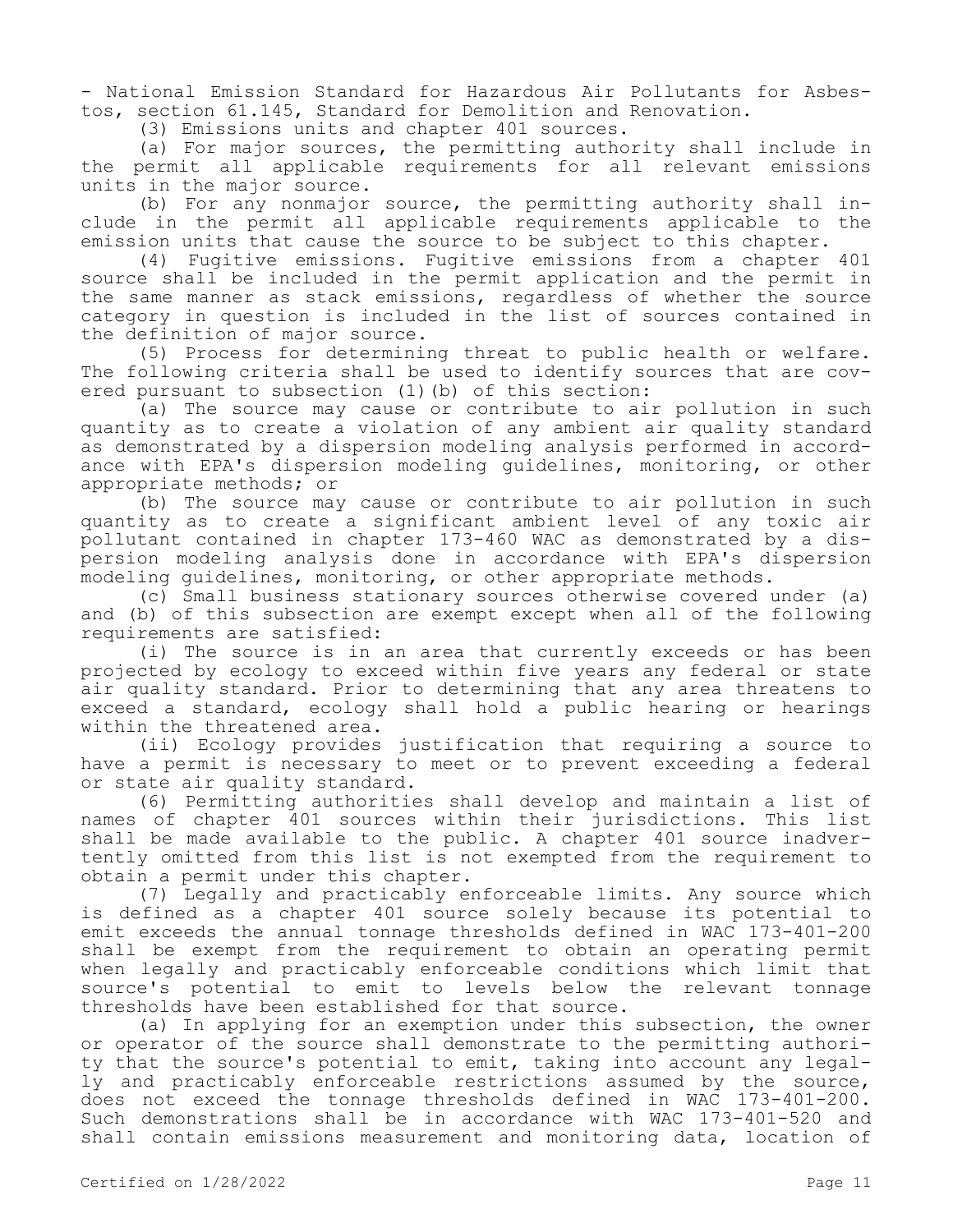- National Emission Standard for Hazardous Air Pollutants for Asbestos, section 61.145, Standard for Demolition and Renovation.

(3) Emissions units and chapter 401 sources.

(a) For major sources, the permitting authority shall include in the permit all applicable requirements for all relevant emissions units in the major source.

(b) For any nonmajor source, the permitting authority shall include in the permit all applicable requirements applicable to the emission units that cause the source to be subject to this chapter.

(4) Fugitive emissions. Fugitive emissions from a chapter 401 source shall be included in the permit application and the permit in the same manner as stack emissions, regardless of whether the source category in question is included in the list of sources contained in the definition of major source.

(5) Process for determining threat to public health or welfare. The following criteria shall be used to identify sources that are covered pursuant to subsection (1)(b) of this section:

(a) The source may cause or contribute to air pollution in such quantity as to create a violation of any ambient air quality standard as demonstrated by a dispersion modeling analysis performed in accordance with EPA's dispersion modeling guidelines, monitoring, or other appropriate methods; or

(b) The source may cause or contribute to air pollution in such quantity as to create a significant ambient level of any toxic air pollutant contained in chapter 173-460 WAC as demonstrated by a dispersion modeling analysis done in accordance with EPA's dispersion modeling guidelines, monitoring, or other appropriate methods.

(c) Small business stationary sources otherwise covered under (a) and (b) of this subsection are exempt except when all of the following requirements are satisfied:

(i) The source is in an area that currently exceeds or has been projected by ecology to exceed within five years any federal or state air quality standard. Prior to determining that any area threatens to exceed a standard, ecology shall hold a public hearing or hearings within the threatened area.

(ii) Ecology provides justification that requiring a source to have a permit is necessary to meet or to prevent exceeding a federal or state air quality standard.

(6) Permitting authorities shall develop and maintain a list of names of chapter 401 sources within their jurisdictions. This list shall be made available to the public. A chapter 401 source inadvertently omitted from this list is not exempted from the requirement to obtain a permit under this chapter.

(7) Legally and practicably enforceable limits. Any source which is defined as a chapter 401 source solely because its potential to emit exceeds the annual tonnage thresholds defined in WAC 173-401-200 shall be exempt from the requirement to obtain an operating permit when legally and practicably enforceable conditions which limit that source's potential to emit to levels below the relevant tonnage thresholds have been established for that source.

(a) In applying for an exemption under this subsection, the owner or operator of the source shall demonstrate to the permitting authority that the source's potential to emit, taking into account any legally and practicably enforceable restrictions assumed by the source, does not exceed the tonnage thresholds defined in WAC 173-401-200. Such demonstrations shall be in accordance with WAC 173-401-520 and shall contain emissions measurement and monitoring data, location of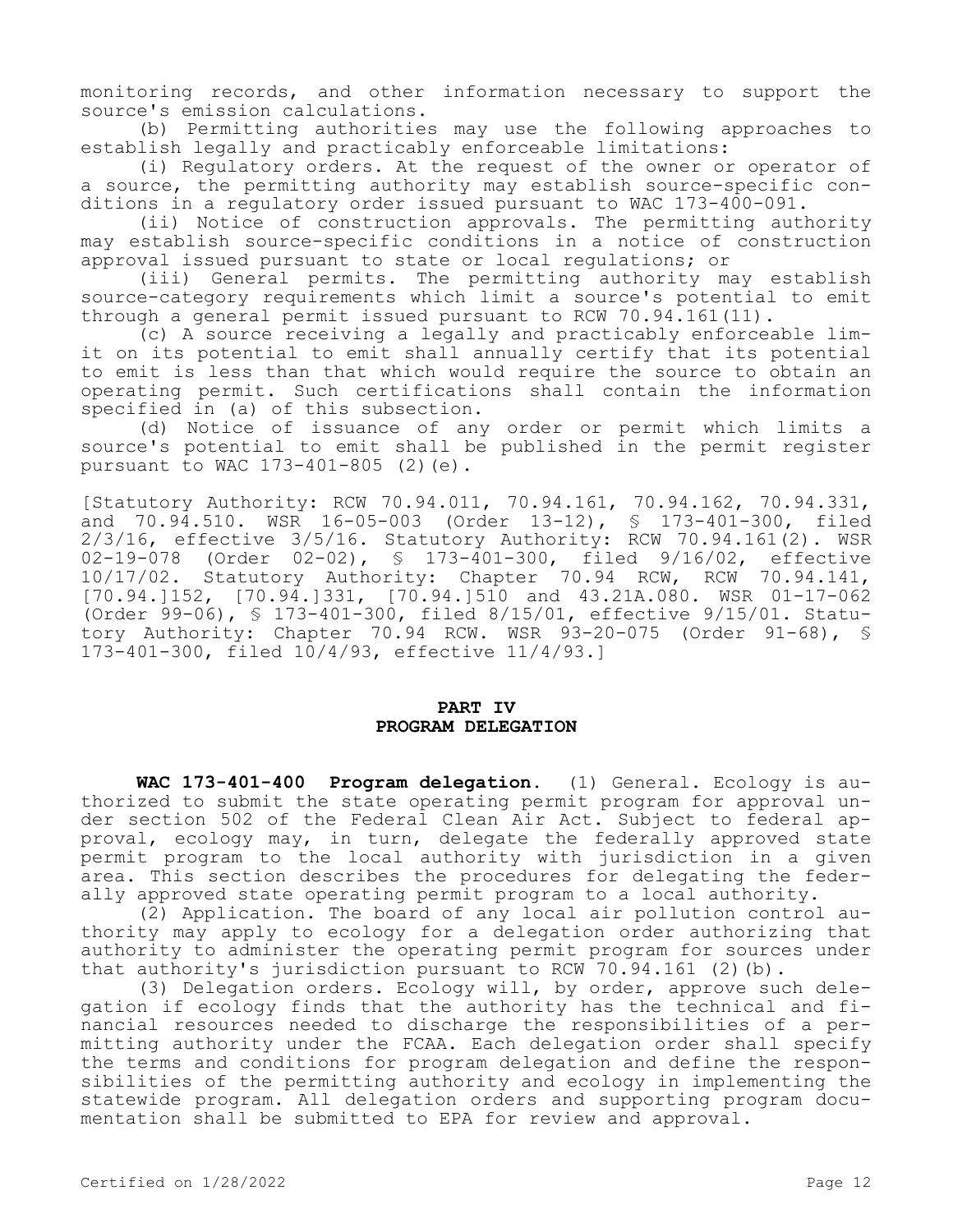monitoring records, and other information necessary to support the source's emission calculations.

(b) Permitting authorities may use the following approaches to establish legally and practicably enforceable limitations:

(i) Regulatory orders. At the request of the owner or operator of a source, the permitting authority may establish source-specific conditions in a regulatory order issued pursuant to WAC 173-400-091.

(ii) Notice of construction approvals. The permitting authority may establish source-specific conditions in a notice of construction approval issued pursuant to state or local regulations; or

(iii) General permits. The permitting authority may establish source-category requirements which limit a source's potential to emit through a general permit issued pursuant to RCW 70.94.161(11).

(c) A source receiving a legally and practicably enforceable limit on its potential to emit shall annually certify that its potential to emit is less than that which would require the source to obtain an operating permit. Such certifications shall contain the information specified in (a) of this subsection.

(d) Notice of issuance of any order or permit which limits a source's potential to emit shall be published in the permit register pursuant to WAC 173-401-805 (2)(e).

[Statutory Authority: RCW 70.94.011, 70.94.161, 70.94.162, 70.94.331, and 70.94.510. WSR 16-05-003 (Order 13-12), § 173-401-300, filed 2/3/16, effective 3/5/16. Statutory Authority: RCW 70.94.161(2). WSR 02-19-078 (Order 02-02), § 173-401-300, filed 9/16/02, effective 10/17/02. Statutory Authority: Chapter 70.94 RCW, RCW 70.94.141, [70.94.]152, [70.94.]331, [70.94.]510 and 43.21A.080. WSR 01-17-062 (Order 99-06), § 173-401-300, filed 8/15/01, effective 9/15/01. Statutory Authority: Chapter 70.94 RCW. WSR 93-20-075 (Order 91-68), § 173-401-300, filed 10/4/93, effective 11/4/93.]

### **PART IV PROGRAM DELEGATION**

**WAC 173-401-400 Program delegation.** (1) General. Ecology is authorized to submit the state operating permit program for approval under section 502 of the Federal Clean Air Act. Subject to federal approval, ecology may, in turn, delegate the federally approved state permit program to the local authority with jurisdiction in a given area. This section describes the procedures for delegating the federally approved state operating permit program to a local authority.

(2) Application. The board of any local air pollution control authority may apply to ecology for a delegation order authorizing that authority to administer the operating permit program for sources under that authority's jurisdiction pursuant to RCW 70.94.161 (2)(b).

(3) Delegation orders. Ecology will, by order, approve such delegation if ecology finds that the authority has the technical and financial resources needed to discharge the responsibilities of a permitting authority under the FCAA. Each delegation order shall specify the terms and conditions for program delegation and define the responsibilities of the permitting authority and ecology in implementing the statewide program. All delegation orders and supporting program documentation shall be submitted to EPA for review and approval.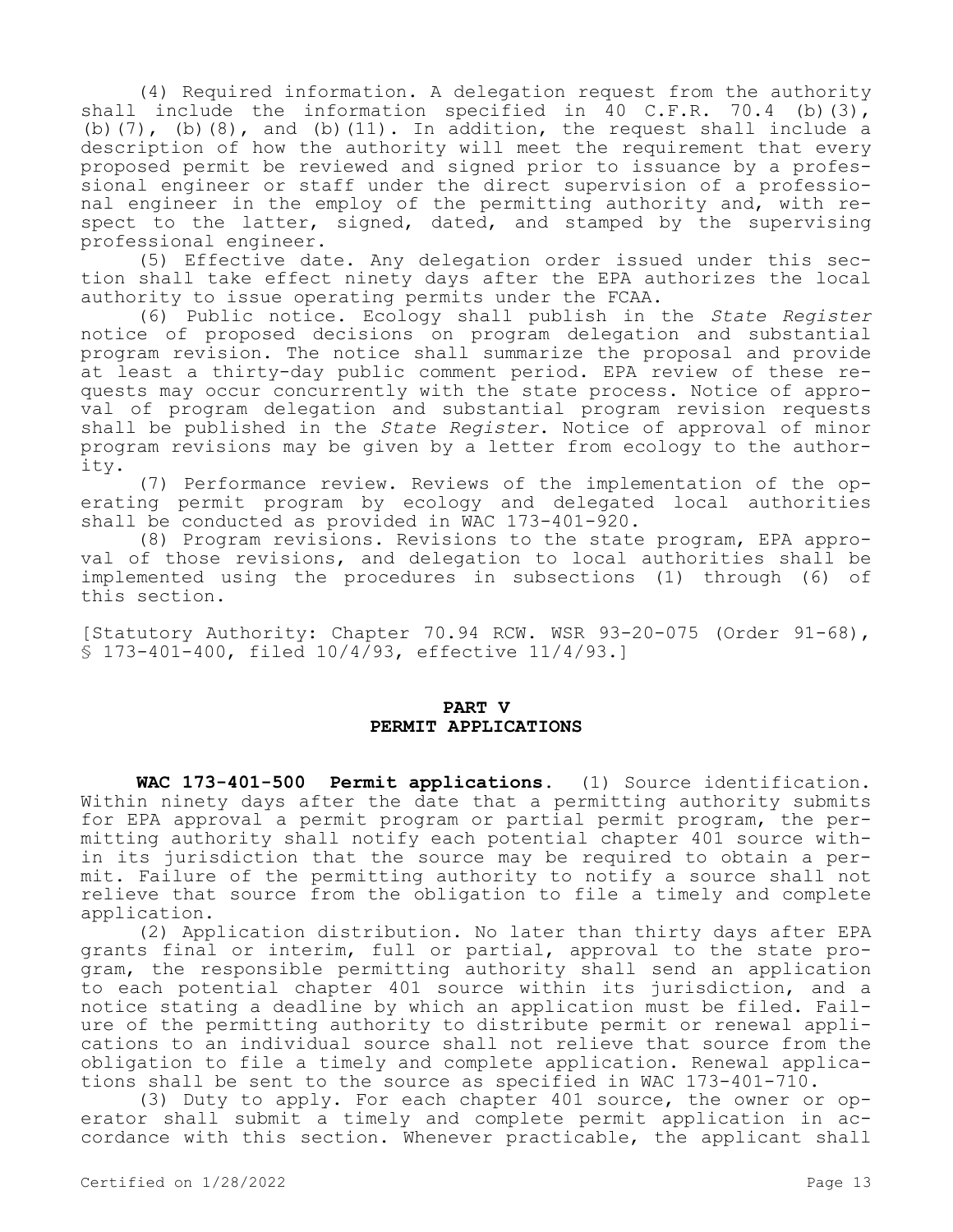(4) Required information. A delegation request from the authority shall include the information specified in 40 C.F.R. 70.4 (b)(3), (b)(7), (b)(8), and (b)(11). In addition, the request shall include a description of how the authority will meet the requirement that every proposed permit be reviewed and signed prior to issuance by a professional engineer or staff under the direct supervision of a professional engineer in the employ of the permitting authority and, with respect to the latter, signed, dated, and stamped by the supervising professional engineer.

(5) Effective date. Any delegation order issued under this section shall take effect ninety days after the EPA authorizes the local authority to issue operating permits under the FCAA.

(6) Public notice. Ecology shall publish in the *State Register*  notice of proposed decisions on program delegation and substantial program revision. The notice shall summarize the proposal and provide at least a thirty-day public comment period. EPA review of these requests may occur concurrently with the state process. Notice of approval of program delegation and substantial program revision requests shall be published in the *State Register*. Notice of approval of minor program revisions may be given by a letter from ecology to the authority.

(7) Performance review. Reviews of the implementation of the operating permit program by ecology and delegated local authorities shall be conducted as provided in WAC 173-401-920.

(8) Program revisions. Revisions to the state program, EPA approval of those revisions, and delegation to local authorities shall be implemented using the procedures in subsections (1) through (6) of this section.

[Statutory Authority: Chapter 70.94 RCW. WSR 93-20-075 (Order 91-68), § 173-401-400, filed 10/4/93, effective 11/4/93.]

### **PART V PERMIT APPLICATIONS**

**WAC 173-401-500 Permit applications.** (1) Source identification. Within ninety days after the date that a permitting authority submits for EPA approval a permit program or partial permit program, the permitting authority shall notify each potential chapter 401 source within its jurisdiction that the source may be required to obtain a permit. Failure of the permitting authority to notify a source shall not relieve that source from the obligation to file a timely and complete application.

(2) Application distribution. No later than thirty days after EPA grants final or interim, full or partial, approval to the state program, the responsible permitting authority shall send an application to each potential chapter 401 source within its jurisdiction, and a notice stating a deadline by which an application must be filed. Failure of the permitting authority to distribute permit or renewal applications to an individual source shall not relieve that source from the obligation to file a timely and complete application. Renewal applications shall be sent to the source as specified in WAC 173-401-710.

(3) Duty to apply. For each chapter 401 source, the owner or operator shall submit a timely and complete permit application in accordance with this section. Whenever practicable, the applicant shall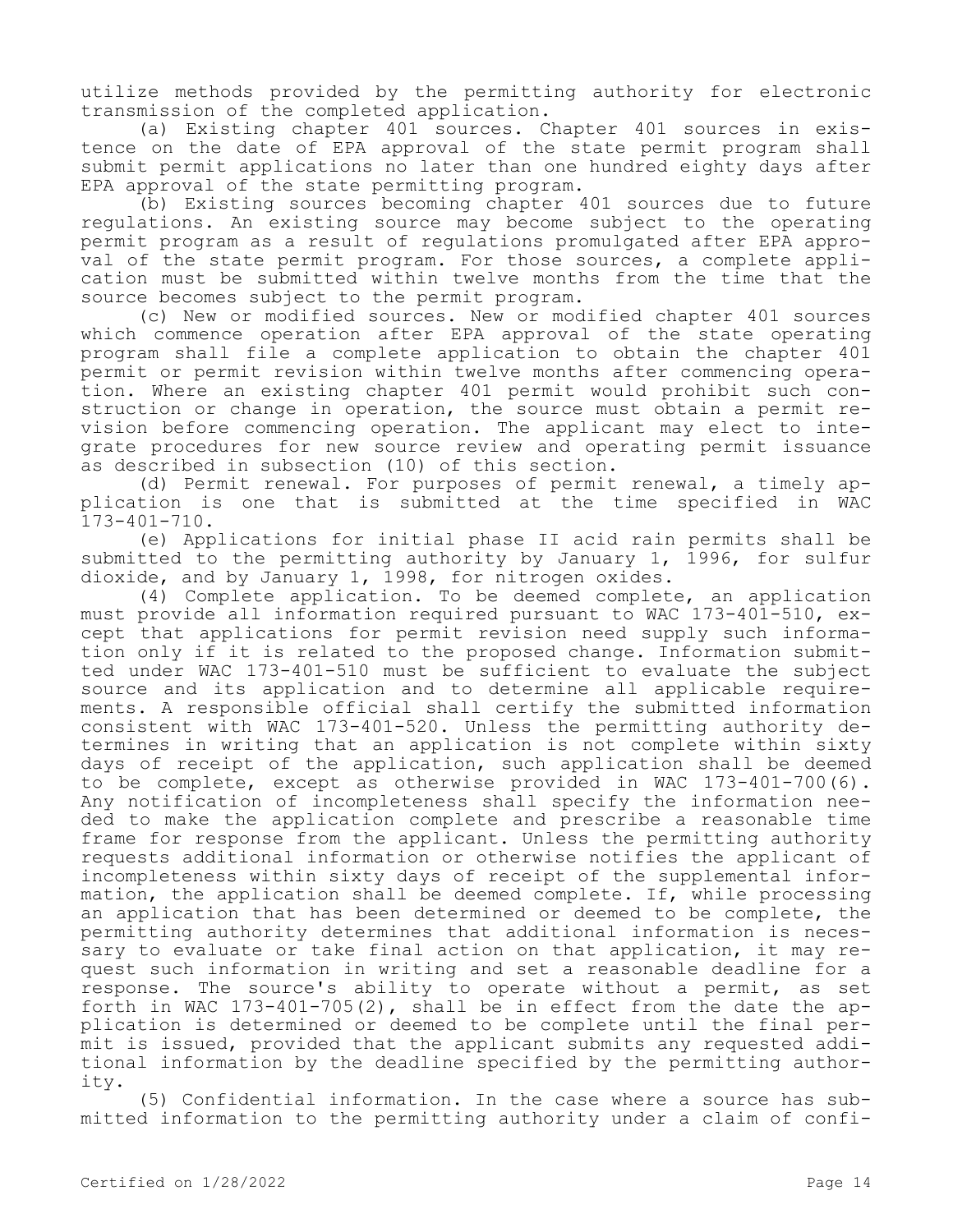utilize methods provided by the permitting authority for electronic transmission of the completed application.

(a) Existing chapter 401 sources. Chapter 401 sources in existence on the date of EPA approval of the state permit program shall submit permit applications no later than one hundred eighty days after EPA approval of the state permitting program.

(b) Existing sources becoming chapter 401 sources due to future regulations. An existing source may become subject to the operating permit program as a result of regulations promulgated after EPA approval of the state permit program. For those sources, a complete application must be submitted within twelve months from the time that the source becomes subject to the permit program.

(c) New or modified sources. New or modified chapter 401 sources which commence operation after EPA approval of the state operating program shall file a complete application to obtain the chapter 401 permit or permit revision within twelve months after commencing operation. Where an existing chapter 401 permit would prohibit such construction or change in operation, the source must obtain a permit revision before commencing operation. The applicant may elect to integrate procedures for new source review and operating permit issuance as described in subsection (10) of this section.

(d) Permit renewal. For purposes of permit renewal, a timely application is one that is submitted at the time specified in WAC 173-401-710.

(e) Applications for initial phase II acid rain permits shall be submitted to the permitting authority by January 1, 1996, for sulfur dioxide, and by January 1, 1998, for nitrogen oxides.

(4) Complete application. To be deemed complete, an application must provide all information required pursuant to WAC 173-401-510, except that applications for permit revision need supply such information only if it is related to the proposed change. Information submitted under WAC 173-401-510 must be sufficient to evaluate the subject source and its application and to determine all applicable requirements. A responsible official shall certify the submitted information consistent with WAC 173-401-520. Unless the permitting authority determines in writing that an application is not complete within sixty days of receipt of the application, such application shall be deemed to be complete, except as otherwise provided in WAC 173-401-700(6). Any notification of incompleteness shall specify the information needed to make the application complete and prescribe a reasonable time frame for response from the applicant. Unless the permitting authority requests additional information or otherwise notifies the applicant of incompleteness within sixty days of receipt of the supplemental information, the application shall be deemed complete. If, while processing an application that has been determined or deemed to be complete, the permitting authority determines that additional information is necessary to evaluate or take final action on that application, it may request such information in writing and set a reasonable deadline for a response. The source's ability to operate without a permit, as set forth in WAC  $173-401-705(2)$ , shall be in effect from the date the application is determined or deemed to be complete until the final permit is issued, provided that the applicant submits any requested additional information by the deadline specified by the permitting authority.

(5) Confidential information. In the case where a source has submitted information to the permitting authority under a claim of confi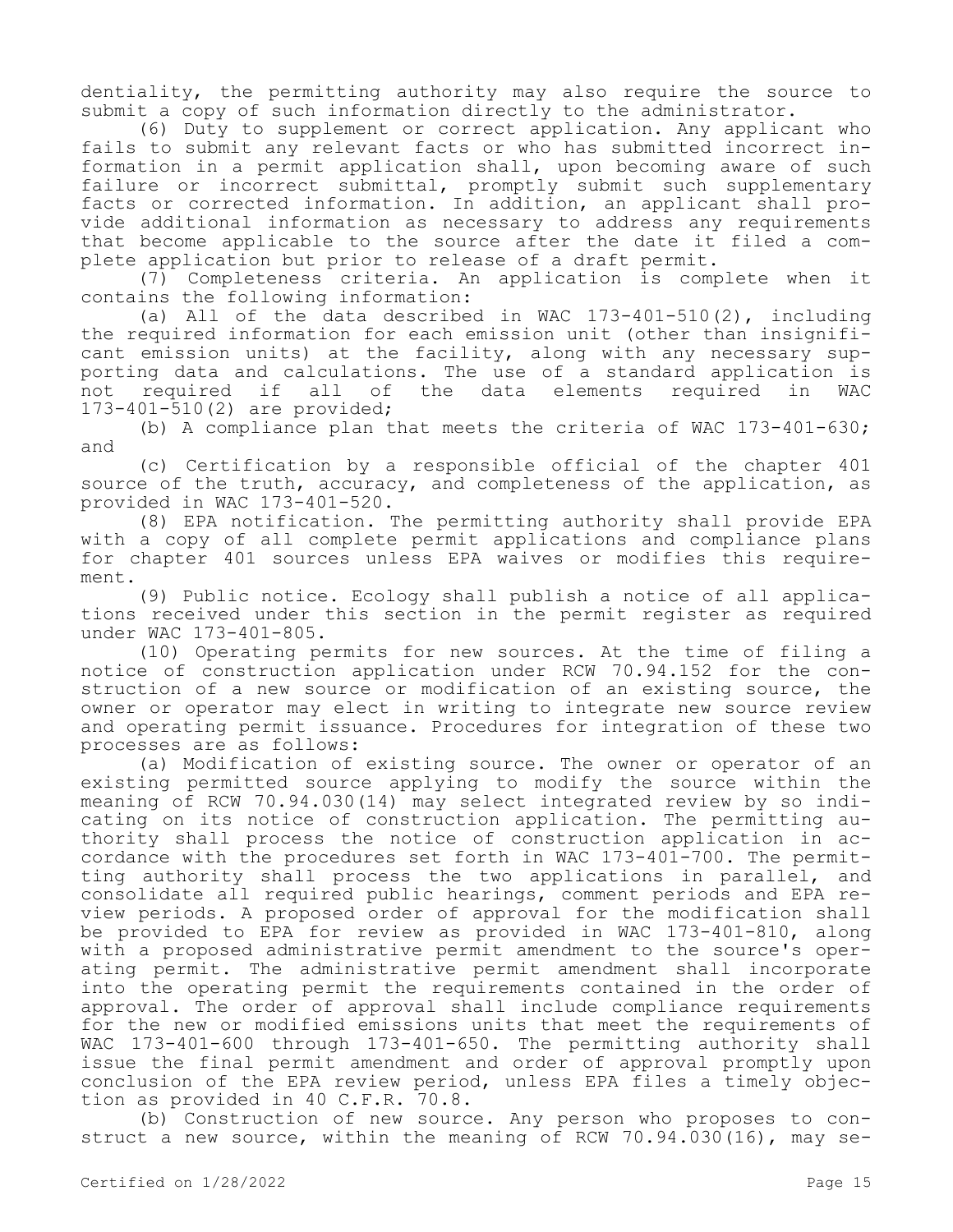dentiality, the permitting authority may also require the source to submit a copy of such information directly to the administrator.

(6) Duty to supplement or correct application. Any applicant who fails to submit any relevant facts or who has submitted incorrect information in a permit application shall, upon becoming aware of such failure or incorrect submittal, promptly submit such supplementary facts or corrected information. In addition, an applicant shall provide additional information as necessary to address any requirements that become applicable to the source after the date it filed a complete application but prior to release of a draft permit.

(7) Completeness criteria. An application is complete when it contains the following information:

(a) All of the data described in WAC 173-401-510(2), including the required information for each emission unit (other than insignificant emission units) at the facility, along with any necessary supporting data and calculations. The use of a standard application is not required if all of the data elements required in WAC 173-401-510(2) are provided;

(b) A compliance plan that meets the criteria of WAC 173-401-630; and

(c) Certification by a responsible official of the chapter 401 source of the truth, accuracy, and completeness of the application, as provided in WAC 173-401-520.

(8) EPA notification. The permitting authority shall provide EPA with a copy of all complete permit applications and compliance plans for chapter 401 sources unless EPA waives or modifies this requirement.

(9) Public notice. Ecology shall publish a notice of all applications received under this section in the permit register as required under WAC 173-401-805.

(10) Operating permits for new sources. At the time of filing a notice of construction application under RCW 70.94.152 for the construction of a new source or modification of an existing source, the owner or operator may elect in writing to integrate new source review and operating permit issuance. Procedures for integration of these two processes are as follows:

(a) Modification of existing source. The owner or operator of an existing permitted source applying to modify the source within the meaning of RCW 70.94.030(14) may select integrated review by so indicating on its notice of construction application. The permitting authority shall process the notice of construction application in accordance with the procedures set forth in WAC 173-401-700. The permitting authority shall process the two applications in parallel, and consolidate all required public hearings, comment periods and EPA review periods. A proposed order of approval for the modification shall be provided to EPA for review as provided in WAC 173-401-810, along with a proposed administrative permit amendment to the source's operating permit. The administrative permit amendment shall incorporate into the operating permit the requirements contained in the order of approval. The order of approval shall include compliance requirements for the new or modified emissions units that meet the requirements of WAC 173-401-600 through 173-401-650. The permitting authority shall issue the final permit amendment and order of approval promptly upon conclusion of the EPA review period, unless EPA files a timely objection as provided in 40 C.F.R. 70.8.

(b) Construction of new source. Any person who proposes to construct a new source, within the meaning of RCW 70.94.030(16), may se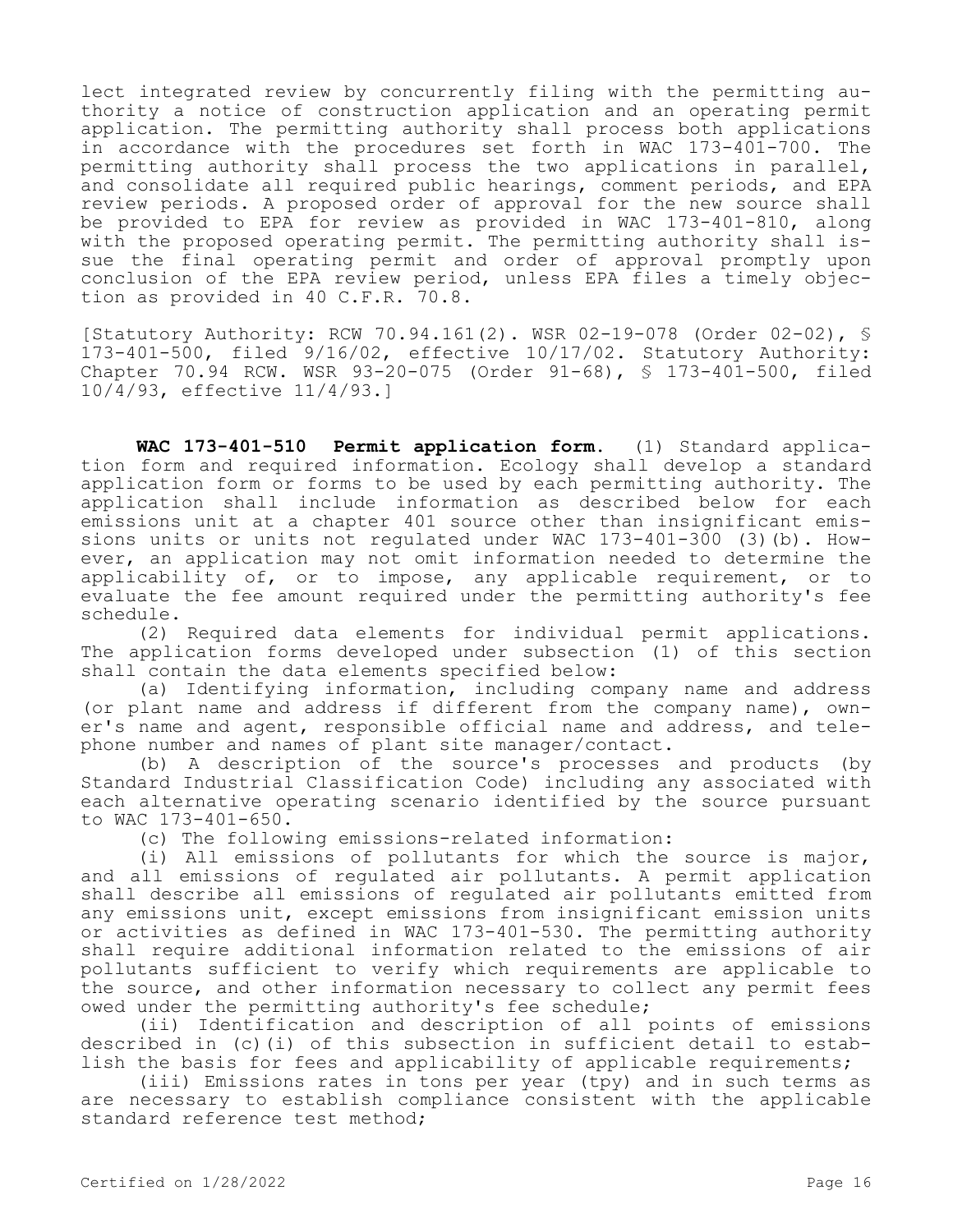lect integrated review by concurrently filing with the permitting authority a notice of construction application and an operating permit application. The permitting authority shall process both applications in accordance with the procedures set forth in WAC 173-401-700. The permitting authority shall process the two applications in parallel, and consolidate all required public hearings, comment periods, and EPA review periods. A proposed order of approval for the new source shall be provided to EPA for review as provided in WAC 173-401-810, along with the proposed operating permit. The permitting authority shall issue the final operating permit and order of approval promptly upon conclusion of the EPA review period, unless EPA files a timely objection as provided in 40 C.F.R. 70.8.

[Statutory Authority: RCW 70.94.161(2). WSR 02-19-078 (Order 02-02), § 173-401-500, filed 9/16/02, effective 10/17/02. Statutory Authority: Chapter 70.94 RCW. WSR 93-20-075 (Order 91-68), § 173-401-500, filed 10/4/93, effective 11/4/93.]

**WAC 173-401-510 Permit application form.** (1) Standard application form and required information. Ecology shall develop a standard application form or forms to be used by each permitting authority. The application shall include information as described below for each emissions unit at a chapter 401 source other than insignificant emissions units or units not regulated under WAC 173-401-300 (3)(b). However, an application may not omit information needed to determine the applicability of, or to impose, any applicable requirement, or to evaluate the fee amount required under the permitting authority's fee schedule.

(2) Required data elements for individual permit applications. The application forms developed under subsection (1) of this section shall contain the data elements specified below:

(a) Identifying information, including company name and address (or plant name and address if different from the company name), owner's name and agent, responsible official name and address, and telephone number and names of plant site manager/contact.

(b) A description of the source's processes and products (by Standard Industrial Classification Code) including any associated with each alternative operating scenario identified by the source pursuant to WAC 173-401-650.

(c) The following emissions-related information:

(i) All emissions of pollutants for which the source is major, and all emissions of regulated air pollutants. A permit application shall describe all emissions of regulated air pollutants emitted from any emissions unit, except emissions from insignificant emission units or activities as defined in WAC 173-401-530. The permitting authority shall require additional information related to the emissions of air pollutants sufficient to verify which requirements are applicable to the source, and other information necessary to collect any permit fees owed under the permitting authority's fee schedule;

(ii) Identification and description of all points of emissions described in (c)(i) of this subsection in sufficient detail to establish the basis for fees and applicability of applicable requirements;

(iii) Emissions rates in tons per year (tpy) and in such terms as are necessary to establish compliance consistent with the applicable standard reference test method;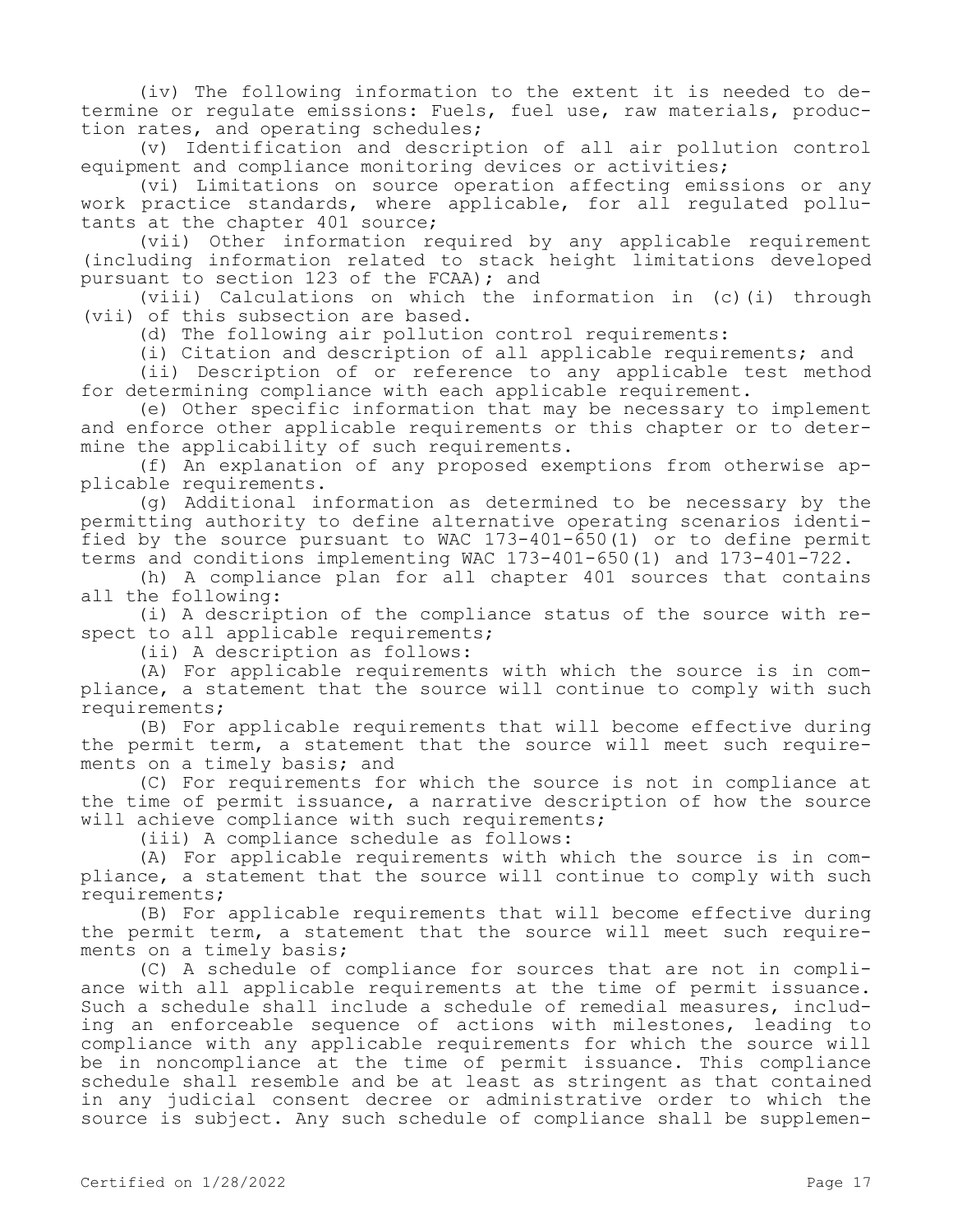(iv) The following information to the extent it is needed to determine or regulate emissions: Fuels, fuel use, raw materials, production rates, and operating schedules;

(v) Identification and description of all air pollution control equipment and compliance monitoring devices or activities;

(vi) Limitations on source operation affecting emissions or any work practice standards, where applicable, for all regulated pollutants at the chapter 401 source;

(vii) Other information required by any applicable requirement (including information related to stack height limitations developed pursuant to section 123 of the FCAA); and

(viii) Calculations on which the information in (c)(i) through (vii) of this subsection are based.

(d) The following air pollution control requirements:

(i) Citation and description of all applicable requirements; and

(ii) Description of or reference to any applicable test method for determining compliance with each applicable requirement.

(e) Other specific information that may be necessary to implement and enforce other applicable requirements or this chapter or to determine the applicability of such requirements.

(f) An explanation of any proposed exemptions from otherwise applicable requirements.

(g) Additional information as determined to be necessary by the permitting authority to define alternative operating scenarios identified by the source pursuant to WAC 173-401-650(1) or to define permit terms and conditions implementing WAC 173-401-650(1) and 173-401-722.

(h) A compliance plan for all chapter 401 sources that contains all the following:

(i) A description of the compliance status of the source with respect to all applicable requirements;

(ii) A description as follows:

(A) For applicable requirements with which the source is in compliance, a statement that the source will continue to comply with such requirements;

(B) For applicable requirements that will become effective during the permit term, a statement that the source will meet such requirements on a timely basis; and

(C) For requirements for which the source is not in compliance at the time of permit issuance, a narrative description of how the source will achieve compliance with such requirements;

(iii) A compliance schedule as follows:

(A) For applicable requirements with which the source is in compliance, a statement that the source will continue to comply with such requirements;

(B) For applicable requirements that will become effective during the permit term, a statement that the source will meet such requirements on a timely basis;

(C) A schedule of compliance for sources that are not in compliance with all applicable requirements at the time of permit issuance. Such a schedule shall include a schedule of remedial measures, including an enforceable sequence of actions with milestones, leading to compliance with any applicable requirements for which the source will be in noncompliance at the time of permit issuance. This compliance schedule shall resemble and be at least as stringent as that contained in any judicial consent decree or administrative order to which the source is subject. Any such schedule of compliance shall be supplemen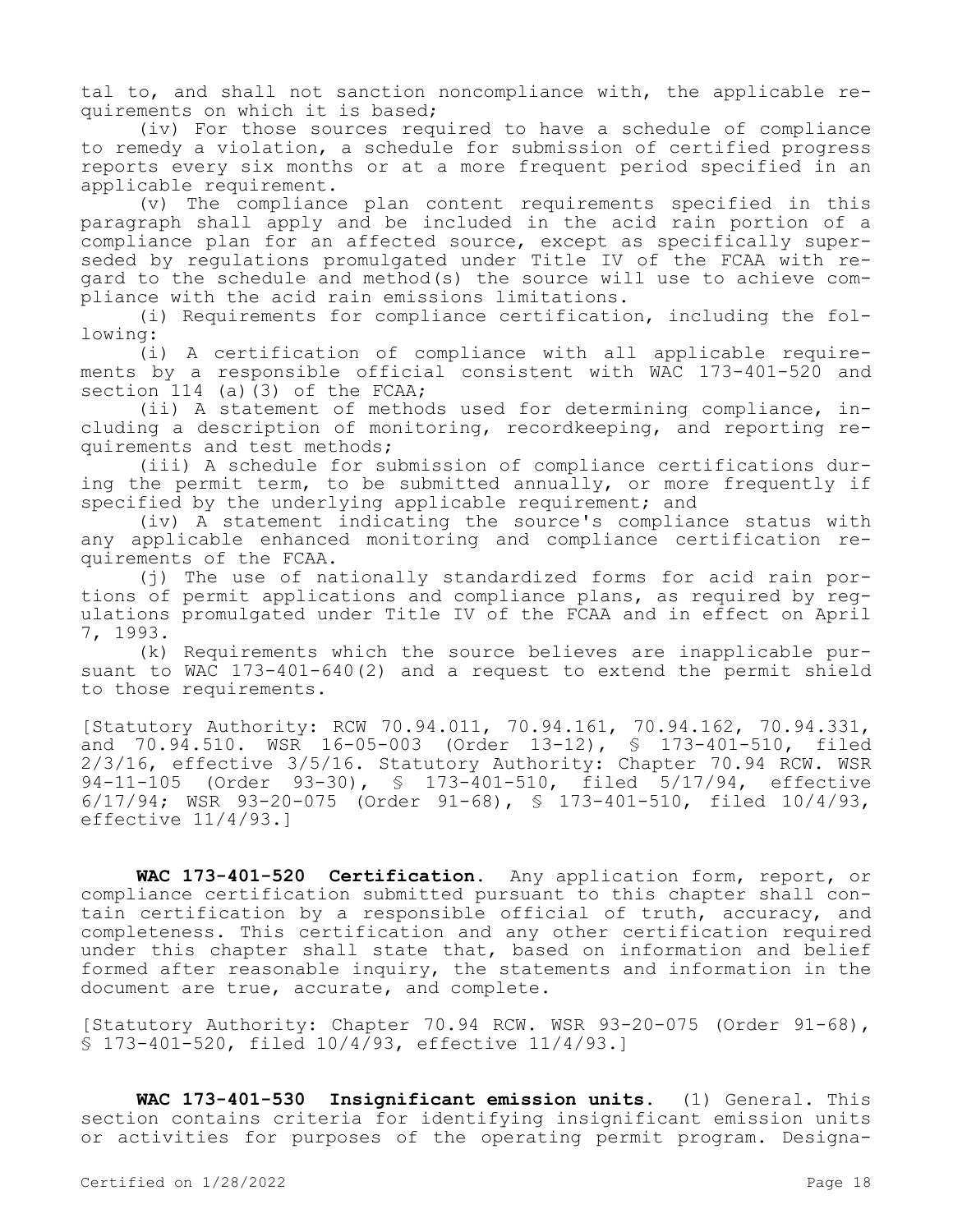tal to, and shall not sanction noncompliance with, the applicable requirements on which it is based;

(iv) For those sources required to have a schedule of compliance to remedy a violation, a schedule for submission of certified progress reports every six months or at a more frequent period specified in an applicable requirement.

(v) The compliance plan content requirements specified in this paragraph shall apply and be included in the acid rain portion of a compliance plan for an affected source, except as specifically superseded by regulations promulgated under Title IV of the FCAA with regard to the schedule and method(s) the source will use to achieve compliance with the acid rain emissions limitations.

(i) Requirements for compliance certification, including the following:

(i) A certification of compliance with all applicable requirements by a responsible official consistent with WAC 173-401-520 and section 114 (a)(3) of the FCAA;

(ii) A statement of methods used for determining compliance, including a description of monitoring, recordkeeping, and reporting requirements and test methods;

(iii) A schedule for submission of compliance certifications during the permit term, to be submitted annually, or more frequently if specified by the underlying applicable requirement; and

(iv) A statement indicating the source's compliance status with any applicable enhanced monitoring and compliance certification requirements of the FCAA.

(j) The use of nationally standardized forms for acid rain portions of permit applications and compliance plans, as required by regulations promulgated under Title IV of the FCAA and in effect on April 7, 1993.

(k) Requirements which the source believes are inapplicable pursuant to WAC 173-401-640(2) and a request to extend the permit shield to those requirements.

[Statutory Authority: RCW 70.94.011, 70.94.161, 70.94.162, 70.94.331, and 70.94.510. WSR 16-05-003 (Order 13-12), § 173-401-510, filed 2/3/16, effective 3/5/16. Statutory Authority: Chapter 70.94 RCW. WSR 94-11-105 (Order 93-30), § 173-401-510, filed 5/17/94, effective 6/17/94; WSR 93-20-075 (Order 91-68), § 173-401-510, filed 10/4/93, effective 11/4/93.]

**WAC 173-401-520 Certification.** Any application form, report, or compliance certification submitted pursuant to this chapter shall contain certification by a responsible official of truth, accuracy, and completeness. This certification and any other certification required under this chapter shall state that, based on information and belief formed after reasonable inquiry, the statements and information in the document are true, accurate, and complete.

[Statutory Authority: Chapter 70.94 RCW. WSR 93-20-075 (Order 91-68), § 173-401-520, filed 10/4/93, effective 11/4/93.]

**WAC 173-401-530 Insignificant emission units.** (1) General. This section contains criteria for identifying insignificant emission units or activities for purposes of the operating permit program. Designa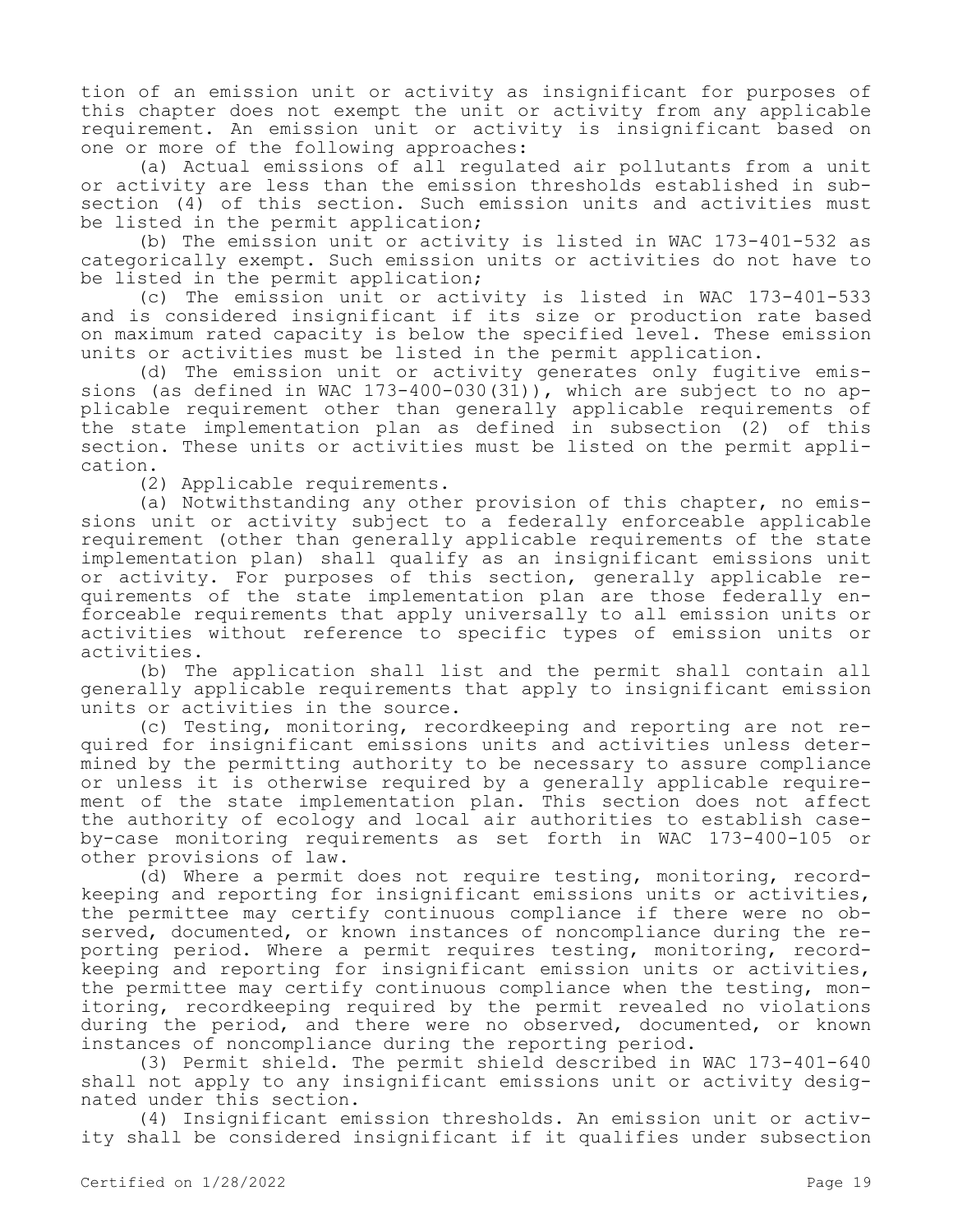tion of an emission unit or activity as insignificant for purposes of this chapter does not exempt the unit or activity from any applicable requirement. An emission unit or activity is insignificant based on one or more of the following approaches:

(a) Actual emissions of all regulated air pollutants from a unit or activity are less than the emission thresholds established in subsection (4) of this section. Such emission units and activities must be listed in the permit application;

(b) The emission unit or activity is listed in WAC 173-401-532 as categorically exempt. Such emission units or activities do not have to be listed in the permit application;

(c) The emission unit or activity is listed in WAC 173-401-533 and is considered insignificant if its size or production rate based on maximum rated capacity is below the specified level. These emission units or activities must be listed in the permit application.

(d) The emission unit or activity generates only fugitive emissions (as defined in WAC 173-400-030(31)), which are subject to no applicable requirement other than generally applicable requirements of the state implementation plan as defined in subsection (2) of this section. These units or activities must be listed on the permit application.

(2) Applicable requirements.

(a) Notwithstanding any other provision of this chapter, no emissions unit or activity subject to a federally enforceable applicable requirement (other than generally applicable requirements of the state implementation plan) shall qualify as an insignificant emissions unit or activity. For purposes of this section, generally applicable requirements of the state implementation plan are those federally enforceable requirements that apply universally to all emission units or activities without reference to specific types of emission units or activities.

(b) The application shall list and the permit shall contain all generally applicable requirements that apply to insignificant emission units or activities in the source.

(c) Testing, monitoring, recordkeeping and reporting are not required for insignificant emissions units and activities unless determined by the permitting authority to be necessary to assure compliance or unless it is otherwise required by a generally applicable requirement of the state implementation plan. This section does not affect the authority of ecology and local air authorities to establish caseby-case monitoring requirements as set forth in WAC 173-400-105 or other provisions of law.

(d) Where a permit does not require testing, monitoring, recordkeeping and reporting for insignificant emissions units or activities, the permittee may certify continuous compliance if there were no observed, documented, or known instances of noncompliance during the reporting period. Where a permit requires testing, monitoring, recordkeeping and reporting for insignificant emission units or activities, the permittee may certify continuous compliance when the testing, monitoring, recordkeeping required by the permit revealed no violations during the period, and there were no observed, documented, or known instances of noncompliance during the reporting period.

(3) Permit shield. The permit shield described in WAC 173-401-640 shall not apply to any insignificant emissions unit or activity designated under this section.

(4) Insignificant emission thresholds. An emission unit or activity shall be considered insignificant if it qualifies under subsection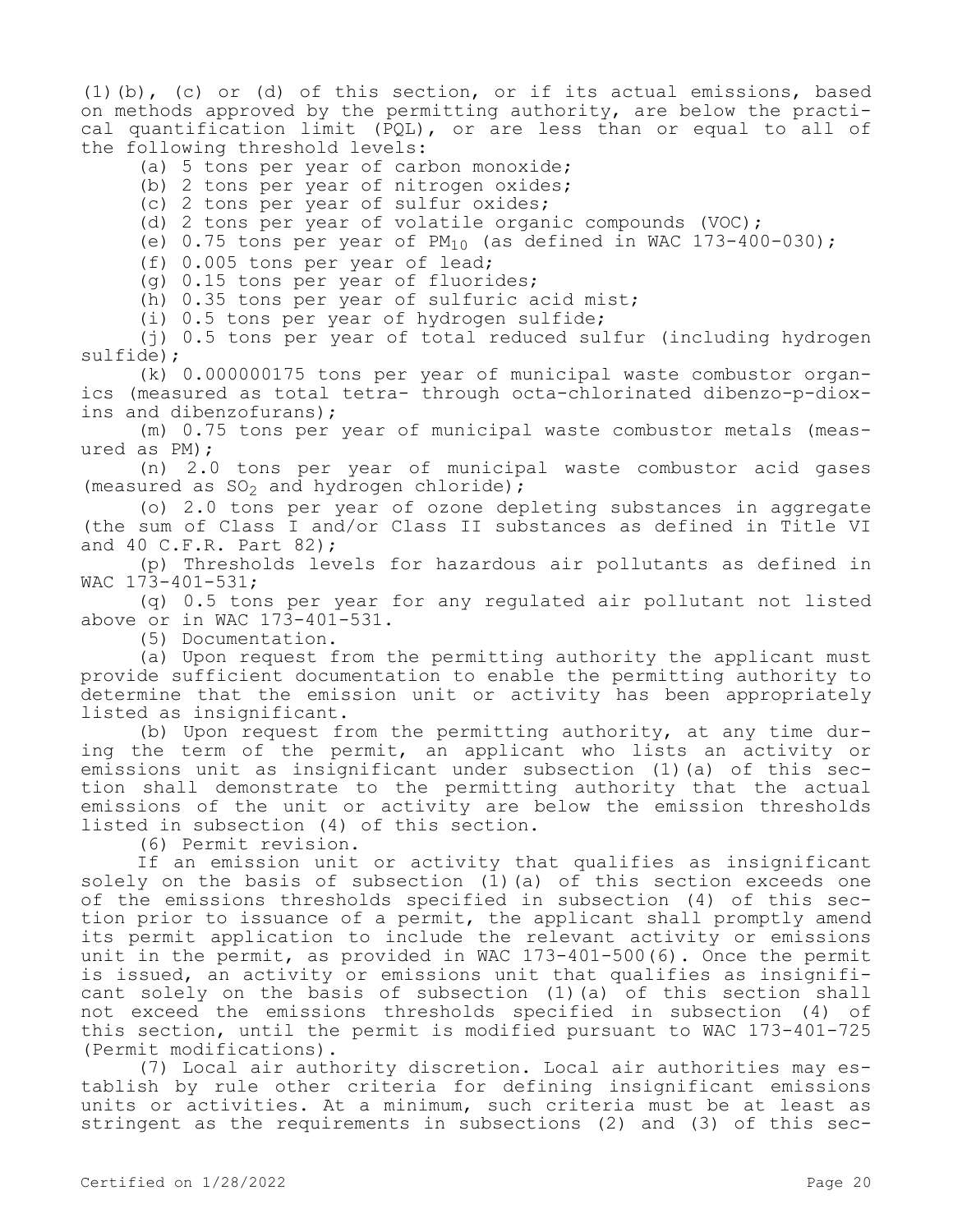(1)(b), (c) or (d) of this section, or if its actual emissions, based on methods approved by the permitting authority, are below the practical quantification limit (PQL), or are less than or equal to all of the following threshold levels:

(a) 5 tons per year of carbon monoxide;

(b) 2 tons per year of nitrogen oxides;

(c) 2 tons per year of sulfur oxides;

(d) 2 tons per year of volatile organic compounds (VOC);

(e)  $0.75$  tons per year of  $PM_{10}$  (as defined in WAC 173-400-030);

(f) 0.005 tons per year of lead;

(g) 0.15 tons per year of fluorides;

(h) 0.35 tons per year of sulfuric acid mist;

(i) 0.5 tons per year of hydrogen sulfide;

(j) 0.5 tons per year of total reduced sulfur (including hydrogen sulfide);

(k) 0.000000175 tons per year of municipal waste combustor organics (measured as total tetra- through octa-chlorinated dibenzo-p-dioxins and dibenzofurans);

(m) 0.75 tons per year of municipal waste combustor metals (measured as PM);

(n) 2.0 tons per year of municipal waste combustor acid gases (measured as  $SO_2$  and hydrogen chloride);

(o) 2.0 tons per year of ozone depleting substances in aggregate (the sum of Class I and/or Class II substances as defined in Title VI and 40 C.F.R. Part 82);

(p) Thresholds levels for hazardous air pollutants as defined in WAC 173-401-531;

(q) 0.5 tons per year for any regulated air pollutant not listed above or in WAC 173-401-531.

(5) Documentation.

(a) Upon request from the permitting authority the applicant must provide sufficient documentation to enable the permitting authority to determine that the emission unit or activity has been appropriately listed as insignificant.

(b) Upon request from the permitting authority, at any time during the term of the permit, an applicant who lists an activity or emissions unit as insignificant under subsection (1)(a) of this section shall demonstrate to the permitting authority that the actual emissions of the unit or activity are below the emission thresholds listed in subsection (4) of this section.

(6) Permit revision.

If an emission unit or activity that qualifies as insignificant solely on the basis of subsection (1)(a) of this section exceeds one of the emissions thresholds specified in subsection (4) of this section prior to issuance of a permit, the applicant shall promptly amend its permit application to include the relevant activity or emissions unit in the permit, as provided in WAC 173-401-500(6). Once the permit is issued, an activity or emissions unit that qualifies as insignificant solely on the basis of subsection (1)(a) of this section shall not exceed the emissions thresholds specified in subsection (4) of this section, until the permit is modified pursuant to WAC 173-401-725 (Permit modifications).

(7) Local air authority discretion. Local air authorities may establish by rule other criteria for defining insignificant emissions units or activities. At a minimum, such criteria must be at least as stringent as the requirements in subsections (2) and (3) of this sec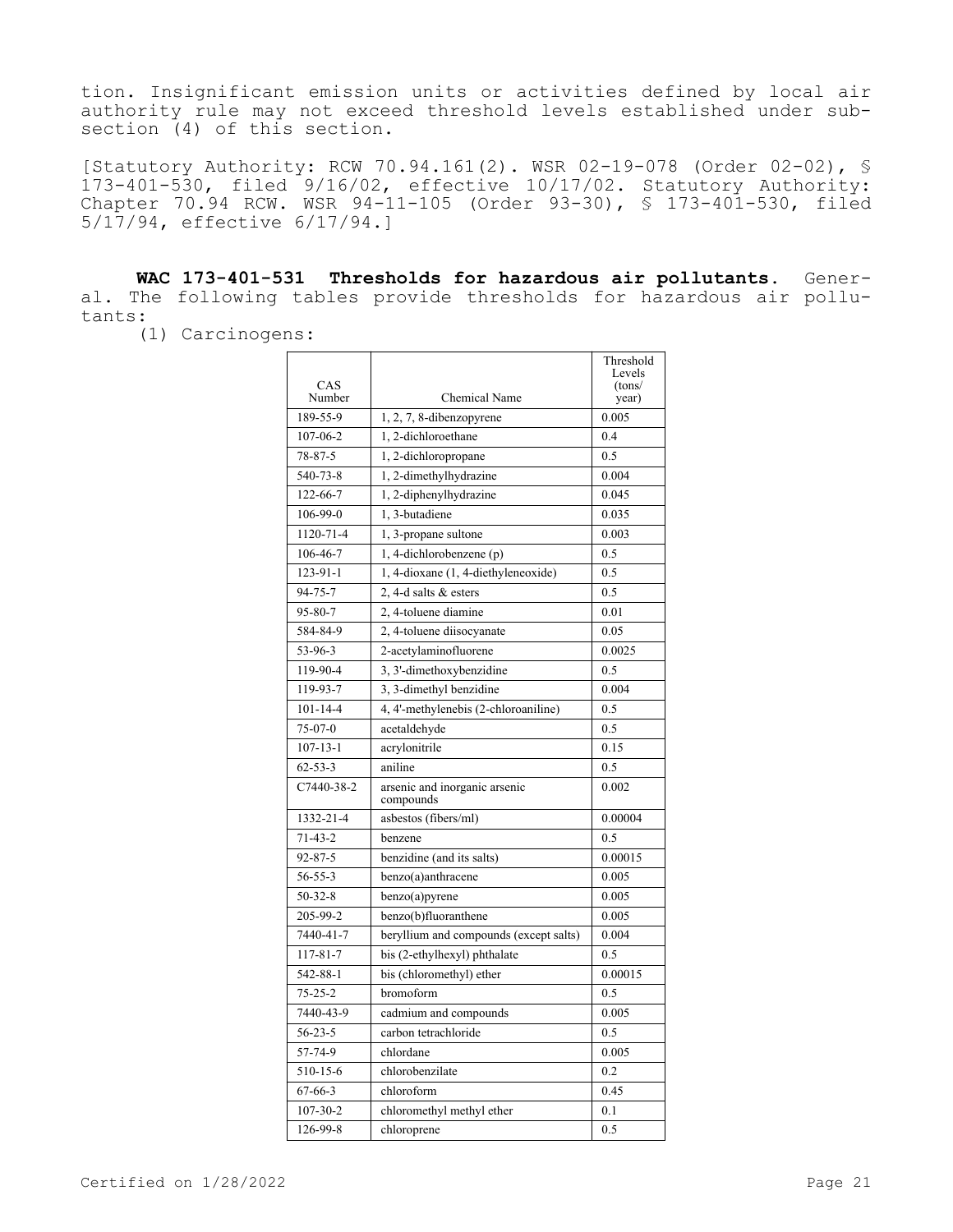tion. Insignificant emission units or activities defined by local air authority rule may not exceed threshold levels established under subsection (4) of this section.

[Statutory Authority: RCW 70.94.161(2). WSR 02-19-078 (Order 02-02), § 173-401-530, filed 9/16/02, effective 10/17/02. Statutory Authority: Chapter 70.94 RCW. WSR 94-11-105 (Order 93-30), § 173-401-530, filed 5/17/94, effective 6/17/94.]

**WAC 173-401-531 Thresholds for hazardous air pollutants.** General. The following tables provide thresholds for hazardous air pollutants:

(1) Carcinogens:

| CAS<br>Number  | <b>Chemical Name</b>                       | Threshold<br>Levels<br>(tons/<br>year) |
|----------------|--------------------------------------------|----------------------------------------|
| 189-55-9       | $1, 2, 7, 8$ -dibenzopyrene                | 0.005                                  |
| 107-06-2       | 1.2-dichloroethane                         | 0.4                                    |
| 78-87-5        | 1, 2-dichloropropane                       | 0.5                                    |
| 540-73-8       | 1, 2-dimethylhydrazine                     | 0.004                                  |
| 122-66-7       | 1, 2-diphenylhydrazine                     | 0.045                                  |
| 106-99-0       | 1, 3-butadiene                             | 0.035                                  |
| 1120-71-4      | 1, 3-propane sultone                       | 0.003                                  |
| 106-46-7       | 1, 4-dichlorobenzene (p)                   | 0.5                                    |
| 123-91-1       | 1, 4-dioxane (1, 4-diethyleneoxide)        | 0.5                                    |
| $94 - 75 - 7$  | 2.4-d salts & esters                       | 0.5                                    |
| $95 - 80 - 7$  | 2, 4-toluene diamine                       | 0.01                                   |
| 584-84-9       | 2, 4-toluene diisocyanate                  | 0.05                                   |
| 53-96-3        | 2-acetylaminofluorene                      | 0.0025                                 |
| 119-90-4       | 3, 3'-dimethoxybenzidine                   | 0.5                                    |
| 119-93-7       | 3, 3-dimethyl benzidine                    | 0.004                                  |
| $101 - 14 - 4$ | 4, 4'-methylenebis (2-chloroaniline)       | 0.5                                    |
| $75-07-0$      | acetaldehyde                               | 0.5                                    |
| $107 - 13 - 1$ | acrylonitrile                              | 0.15                                   |
| $62 - 53 - 3$  | aniline                                    | 0.5                                    |
| C7440-38-2     | arsenic and inorganic arsenic<br>compounds | 0.002                                  |
| 1332-21-4      | asbestos (fibers/ml)                       | 0.00004                                |
| $71 - 43 - 2$  | benzene                                    | 0.5                                    |
| $92 - 87 - 5$  | benzidine (and its salts)                  | 0.00015                                |
| 56-55-3        | benzo(a)anthracene                         | 0.005                                  |
| $50 - 32 - 8$  | benzo(a)pyrene                             | 0.005                                  |
| 205-99-2       | benzo(b)fluoranthene                       | 0.005                                  |
| 7440-41-7      | beryllium and compounds (except salts)     | 0.004                                  |
| $117 - 81 - 7$ | bis (2-ethylhexyl) phthalate               | 0.5                                    |
| 542-88-1       | bis (chloromethyl) ether                   | 0.00015                                |
| $75 - 25 - 2$  | bromoform                                  | 0.5                                    |
| 7440-43-9      | cadmium and compounds                      | 0.005                                  |
| $56 - 23 - 5$  | carbon tetrachloride                       | 0.5                                    |
| 57-74-9        | chlordane                                  | 0.005                                  |
| 510-15-6       | chlorobenzilate                            | 0.2                                    |
| $67 - 66 - 3$  | chloroform                                 | 0.45                                   |
| $107 - 30 - 2$ | chloromethyl methyl ether                  | 0.1                                    |
| 126-99-8       | chloroprene                                | 0.5                                    |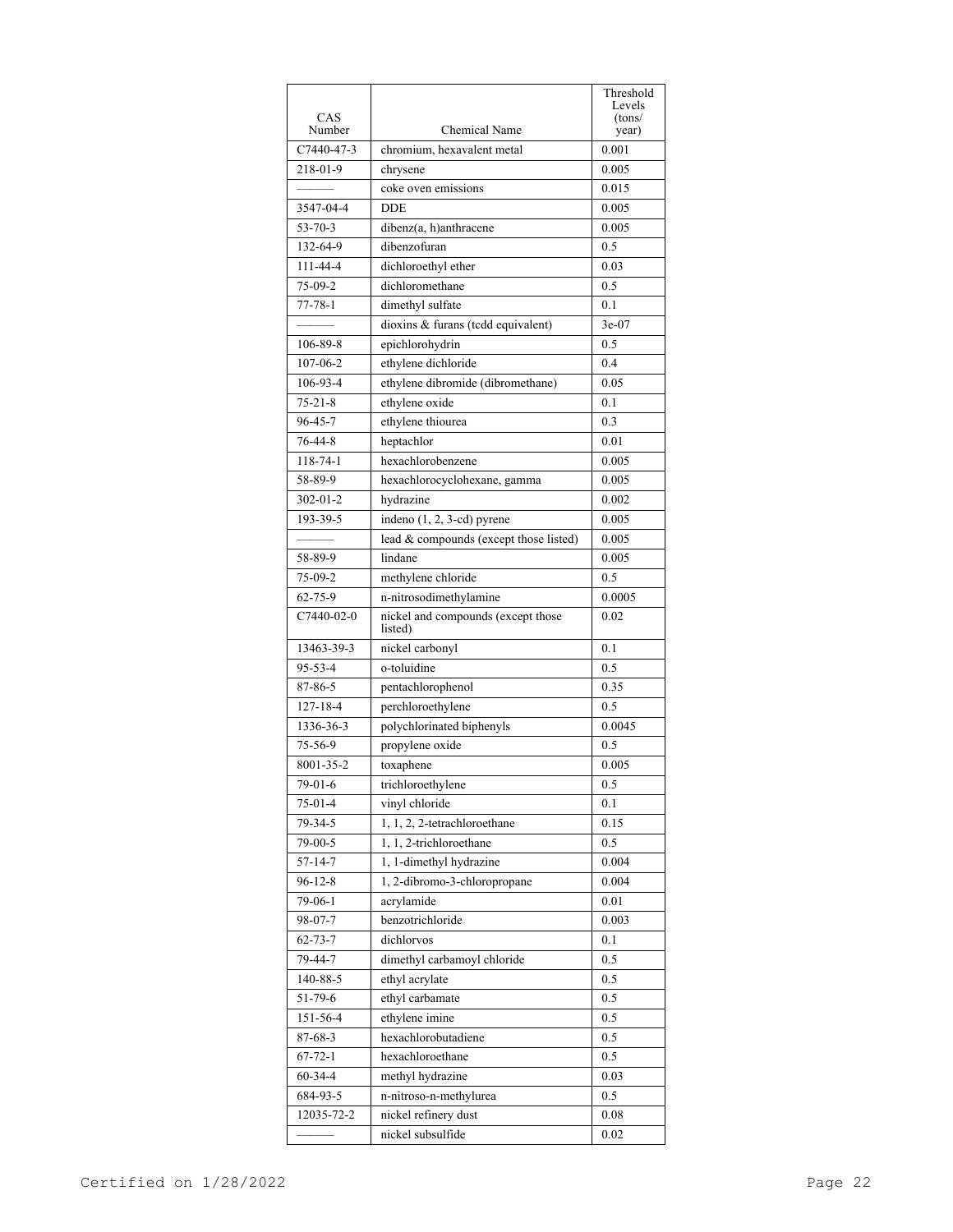|                |                                               | Threshold        |
|----------------|-----------------------------------------------|------------------|
| CAS            |                                               | Levels<br>(tons/ |
| Number         | Chemical Name                                 | year)            |
| C7440-47-3     | chromium, hexavalent metal                    | 0.001            |
| 218-01-9       | chrysene                                      | 0.005            |
|                | coke oven emissions                           | 0.015            |
| 3547-04-4      | <b>DDE</b>                                    | 0.005            |
| $53 - 70 - 3$  | dibenz(a, h)anthracene                        | 0.005            |
| 132-64-9       | dibenzofuran                                  | 0.5              |
| 111-44-4       | dichloroethyl ether                           | 0.03             |
| $75-09-2$      | dichloromethane                               | 0.5              |
| $77 - 78 - 1$  | dimethyl sulfate                              | 0.1              |
|                | dioxins & furans (tcdd equivalent)            | $3e-07$          |
| 106-89-8       | epichlorohydrin                               | 0.5              |
| 107-06-2       | ethylene dichloride                           | 0.4              |
| 106-93-4       | ethylene dibromide (dibromethane)             | 0.05             |
| $75 - 21 - 8$  | ethylene oxide                                | 0.1              |
| $96 - 45 - 7$  | ethylene thiourea                             | 0.3              |
| 76-44-8        | heptachlor                                    | 0.01             |
| $118 - 74 - 1$ | hexachlorobenzene                             | 0.005            |
| 58-89-9        | hexachlorocyclohexane, gamma                  | 0.005            |
| $302 - 01 - 2$ | hydrazine                                     | 0.002            |
| 193-39-5       | indeno (1, 2, 3-cd) pyrene                    | 0.005            |
|                | lead & compounds (except those listed)        | 0.005            |
| 58-89-9        | lindane                                       | 0.005            |
| $75-09-2$      | methylene chloride                            | 0.5              |
| $62 - 75 - 9$  | n-nitrosodimethylamine                        | 0.0005           |
| $C7440-02-0$   | nickel and compounds (except those<br>listed) | 0.02             |
| 13463-39-3     | nickel carbonyl                               | 0.1              |
| $95 - 53 - 4$  | o-toluidine                                   | 0.5              |
| 87-86-5        | pentachlorophenol                             | 0.35             |
| $127 - 18 - 4$ | perchloroethylene                             | 0.5              |
| 1336-36-3      | polychlorinated biphenyls                     | 0.0045           |
| 75-56-9        | propylene oxide                               | 0.5              |
| 8001-35-2      | toxaphene                                     | 0.005            |
| 79-01-6        | trichloroethylene                             | 0.5              |
| 75-01-4        | vinyl chloride                                | 0.1              |
| 79-34-5        | 1, 1, 2, 2-tetrachloroethane                  | 0.15             |
| 79-00-5        | 1, 1, 2-trichloroethane                       | 0.5              |
| $57 - 14 - 7$  | 1, 1-dimethyl hydrazine                       | 0.004            |
| $96 - 12 - 8$  | 1, 2-dibromo-3-chloropropane                  | 0.004            |
| 79-06-1        | acrylamide                                    | 0.01             |
| 98-07-7        | benzotrichloride                              | 0.003            |
| $62 - 73 - 7$  | dichlorvos                                    | 0.1              |
| 79-44-7        | dimethyl carbamoyl chloride                   | 0.5              |
| 140-88-5       | ethyl acrylate                                | 0.5              |
| 51-79-6        | ethyl carbamate                               | 0.5              |
| 151-56-4       | ethylene imine                                | 0.5              |
| 87-68-3        | hexachlorobutadiene                           | $0.5\,$          |
| $67 - 72 - 1$  | hexachloroethane                              | 0.5              |
| $60 - 34 - 4$  | methyl hydrazine                              | 0.03             |
| 684-93-5       | n-nitroso-n-methylurea                        | 0.5              |
| 12035-72-2     | nickel refinery dust                          | 0.08             |
|                | nickel subsulfide                             | 0.02             |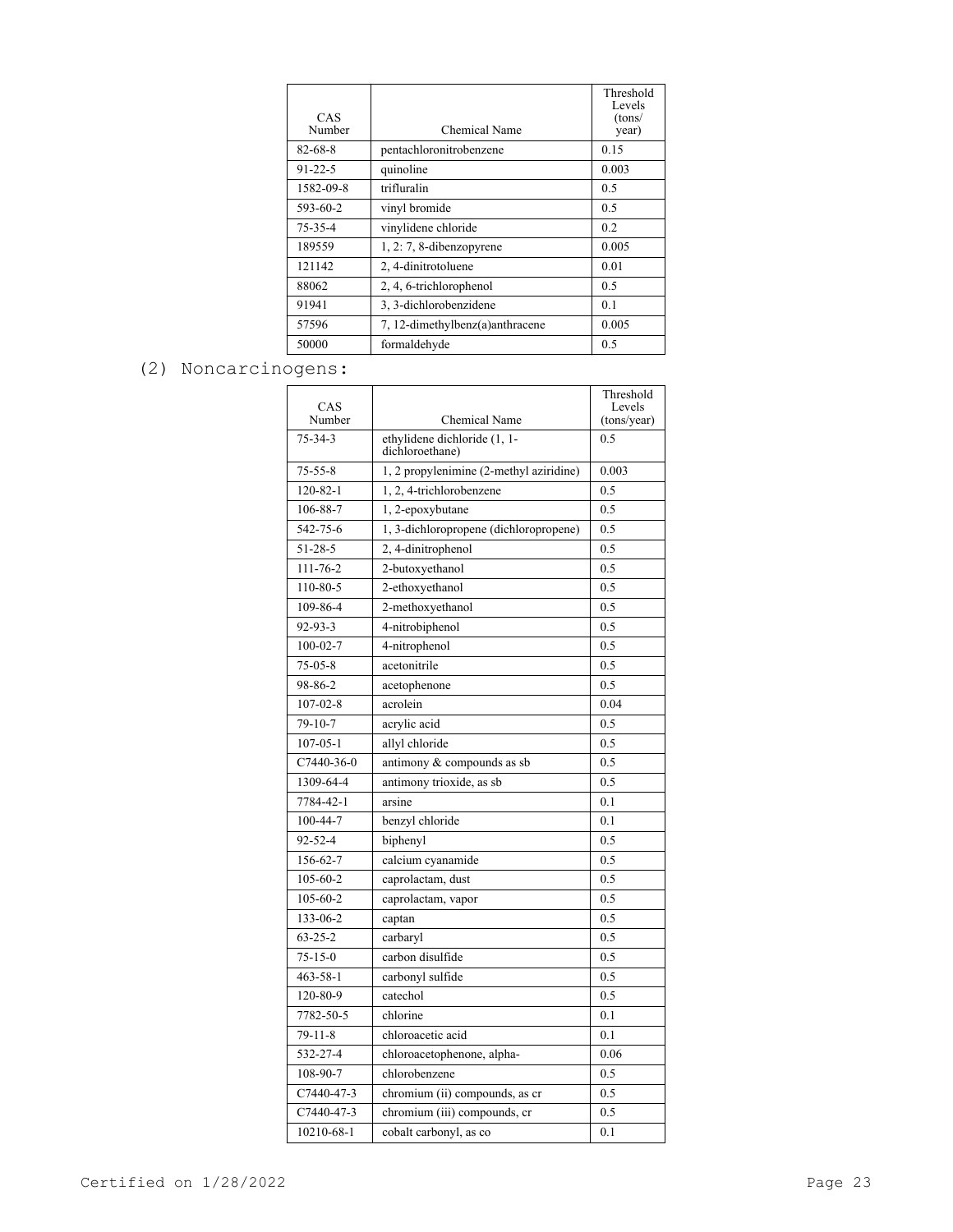|               |                                 | Threshold<br>Levels |
|---------------|---------------------------------|---------------------|
| CAS<br>Number | Chemical Name                   | (tons/<br>year)     |
| 82-68-8       | pentachloronitrobenzene         | 0.15                |
| $91 - 22 - 5$ | quinoline                       | 0.003               |
| 1582-09-8     | trifluralin                     | 0.5                 |
| 593-60-2      | vinyl bromide                   | 0.5                 |
| $75 - 35 - 4$ | vinylidene chloride             | 0.2                 |
| 189559        | $1, 2: 7, 8$ -dibenzopyrene     | 0.005               |
| 121142        | 2, 4-dinitrotoluene             | 0.01                |
| 88062         | 2, 4, 6-trichlorophenol         | 0.5                 |
| 91941         | 3, 3-dichlorobenzidene          | 0.1                 |
| 57596         | 7, 12-dimethylbenz(a)anthracene | 0.005               |
| 50000         | formaldehyde                    | 0.5                 |

# (2) Noncarcinogens:

| CAS<br>Number  | Chemical Name                                   | Threshold<br>Levels<br>(tons/year) |
|----------------|-------------------------------------------------|------------------------------------|
| 75-34-3        | ethylidene dichloride (1, 1-<br>dichloroethane) | 0.5                                |
| $75 - 55 - 8$  | 1, 2 propylenimine (2-methyl aziridine)         | 0.003                              |
| 120-82-1       | 1, 2, 4-trichlorobenzene                        | 0.5                                |
| 106-88-7       | 1, 2-epoxybutane                                | 0.5                                |
| 542-75-6       | 1, 3-dichloropropene (dichloropropene)          | 0.5                                |
| 51-28-5        | 2, 4-dinitrophenol                              | 0.5                                |
| 111-76-2       | 2-butoxyethanol                                 | 0.5                                |
| 110-80-5       | 2-ethoxyethanol                                 | 0.5                                |
| 109-86-4       | 2-methoxyethanol                                | 0.5                                |
| $92 - 93 - 3$  | 4-nitrobiphenol                                 | 0.5                                |
| $100 - 02 - 7$ | 4-nitrophenol                                   | 0.5                                |
| $75 - 05 - 8$  | acetonitrile                                    | 0.5                                |
| 98-86-2        | acetophenone                                    | 0.5                                |
| $107 - 02 - 8$ | acrolein                                        | 0.04                               |
| $79-10-7$      | acrylic acid                                    | 0.5                                |
| $107 - 05 - 1$ | allyl chloride                                  | 0.5                                |
| C7440-36-0     | antimony & compounds as sb                      | 0.5                                |
| 1309-64-4      | antimony trioxide, as sb                        | 0.5                                |
| 7784-42-1      | arsine                                          | 0.1                                |
| $100 - 44 - 7$ | benzyl chloride                                 | 0.1                                |
| $92 - 52 - 4$  | biphenyl                                        | 0.5                                |
| 156-62-7       | calcium cyanamide                               | 0.5                                |
| $105 - 60 - 2$ | caprolactam, dust                               | 0.5                                |
| 105-60-2       | caprolactam, vapor                              | 0.5                                |
| 133-06-2       | captan                                          | 0.5                                |
| $63 - 25 - 2$  | carbaryl                                        | 0.5                                |
| $75 - 15 - 0$  | carbon disulfide                                | 0.5                                |
| $463 - 58 - 1$ | carbonyl sulfide                                | 0.5                                |
| 120-80-9       | catechol                                        | 0.5                                |
| 7782-50-5      | chlorine                                        | 0.1                                |
| $79 - 11 - 8$  | chloroacetic acid                               | 0.1                                |
| 532-27-4       | chloroacetophenone, alpha-                      | 0.06                               |
| 108-90-7       | chlorobenzene                                   | 0.5                                |
| C7440-47-3     | chromium (ii) compounds, as cr                  | 0.5                                |
| C7440-47-3     | chromium (iii) compounds, cr                    | 0.5                                |
| 10210-68-1     | cobalt carbonyl, as co                          | 0.1                                |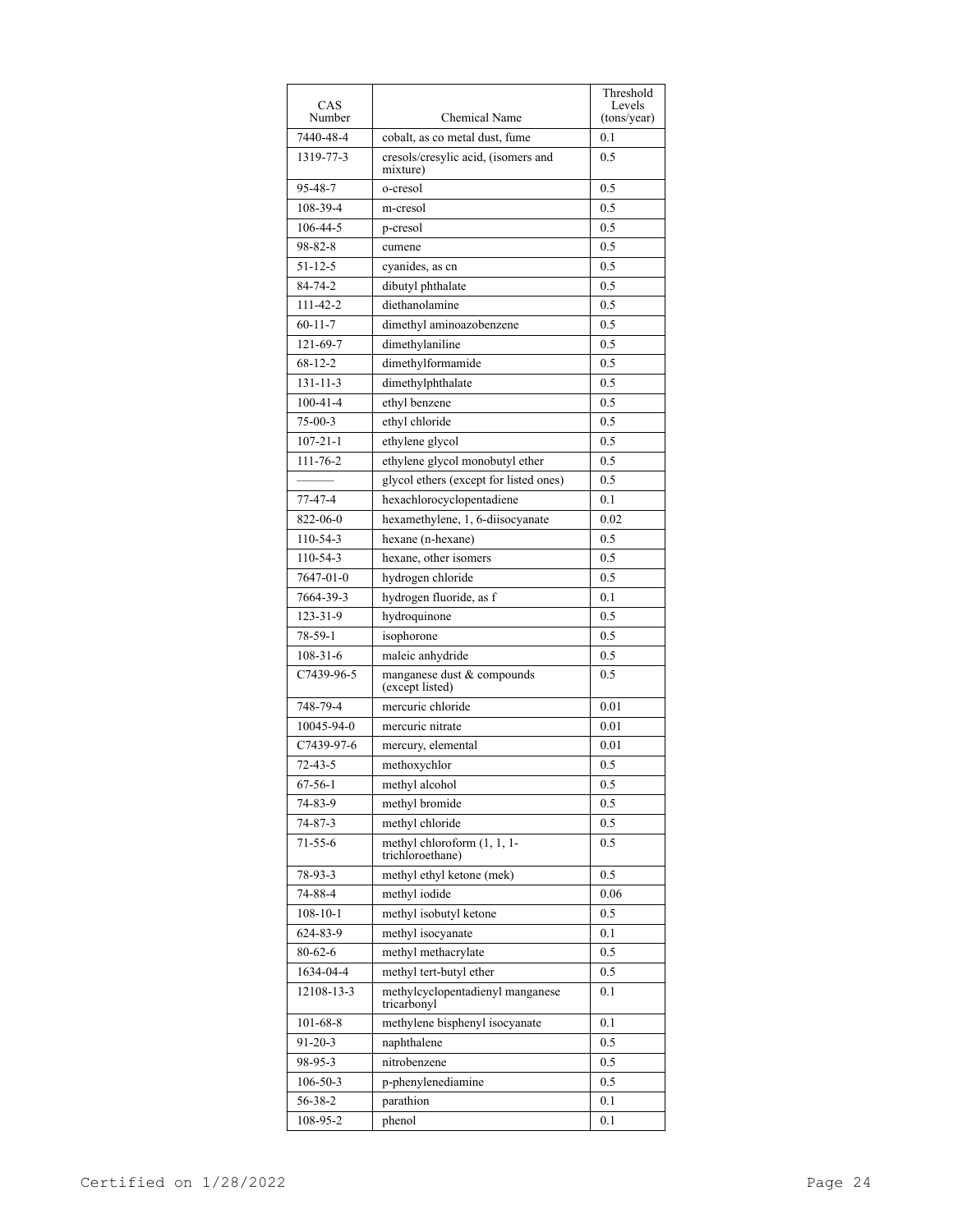|                |                                                 | Threshold             |
|----------------|-------------------------------------------------|-----------------------|
| CAS<br>Number  | Chemical Name                                   | Levels<br>(tons/year) |
| 7440-48-4      | cobalt, as co metal dust, fume                  | 0.1                   |
| 1319-77-3      | cresols/cresylic acid, (isomers and             | 0.5                   |
|                | mixture)                                        |                       |
| 95-48-7        | o-cresol                                        | 0.5                   |
| 108-39-4       | m-cresol                                        | 0.5                   |
| 106-44-5       | p-cresol                                        | 0.5                   |
| $98 - 82 - 8$  | cumene                                          | 0.5                   |
| 51-12-5        | cyanides, as cn                                 | 0.5                   |
| 84-74-2        | dibutyl phthalate                               | 0.5                   |
| 111-42-2       | diethanolamine                                  | 0.5                   |
| $60 - 11 - 7$  | dimethyl aminoazobenzene                        | 0.5                   |
| 121-69-7       | dimethylaniline                                 | 0.5                   |
| $68 - 12 - 2$  | dimethylformamide                               | 0.5                   |
| $131 - 11 - 3$ | dimethylphthalate                               | 0.5                   |
| $100 - 41 - 4$ | ethyl benzene                                   | 0.5                   |
| $75-00-3$      | ethyl chloride                                  | 0.5                   |
| $107 - 21 - 1$ | ethylene glycol                                 | 0.5                   |
| $111 - 76 - 2$ | ethylene glycol monobutyl ether                 | 0.5                   |
|                | glycol ethers (except for listed ones)          | 0.5                   |
| 77-47-4        | hexachlorocyclopentadiene                       | 0.1                   |
| 822-06-0       | hexamethylene, 1, 6-diisocyanate                | 0.02                  |
| $110 - 54 - 3$ | hexane (n-hexane)                               | 0.5                   |
| $110 - 54 - 3$ | hexane, other isomers                           | 0.5                   |
| 7647-01-0      | hydrogen chloride                               | 0.5                   |
| 7664-39-3      | hydrogen fluoride, as f                         | 0.1                   |
| $123 - 31 - 9$ | hydroquinone                                    | 0.5                   |
|                |                                                 |                       |
| 78-59-1        | isophorone                                      | 0.5                   |
| $108 - 31 - 6$ | maleic anhydride                                | 0.5                   |
| C7439-96-5     | manganese dust & compounds<br>(except listed)   | 0.5                   |
| 748-79-4       | mercuric chloride                               | 0.01                  |
| 10045-94-0     | mercuric nitrate                                | 0.01                  |
| C7439-97-6     | mercury, elemental                              | 0.01                  |
| $72 - 43 - 5$  | methoxychlor                                    | 0.5                   |
| 67-56-1        | methyl alcohol                                  | 0.5                   |
| 74-83-9        | methyl bromide                                  | 0.5                   |
| $74 - 87 - 3$  | methyl chloride                                 | 0.5                   |
| $71 - 55 - 6$  | methyl chloroform (1, 1, 1-<br>trichloroethane) | 0.5                   |
| 78-93-3        | methyl ethyl ketone (mek)                       | 0.5                   |
| 74-88-4        | methyl iodide                                   | 0.06                  |
| $108 - 10 - 1$ | methyl isobutyl ketone                          | 0.5                   |
| 624-83-9       | methyl isocyanate                               | 0.1                   |
| 80-62-6        | methyl methacrylate                             | 0.5                   |
| 1634-04-4      | methyl tert-butyl ether                         | 0.5                   |
| 12108-13-3     | methylcyclopentadienyl manganese<br>tricarbonyl | 0.1                   |
| $101 - 68 - 8$ | methylene bisphenyl isocyanate                  | 0.1                   |
| $91 - 20 - 3$  | naphthalene                                     | 0.5                   |
| 98-95-3        | nitrobenzene                                    | 0.5                   |
| $106 - 50 - 3$ | p-phenylenediamine                              | 0.5                   |
| 56-38-2        | parathion                                       | 0.1                   |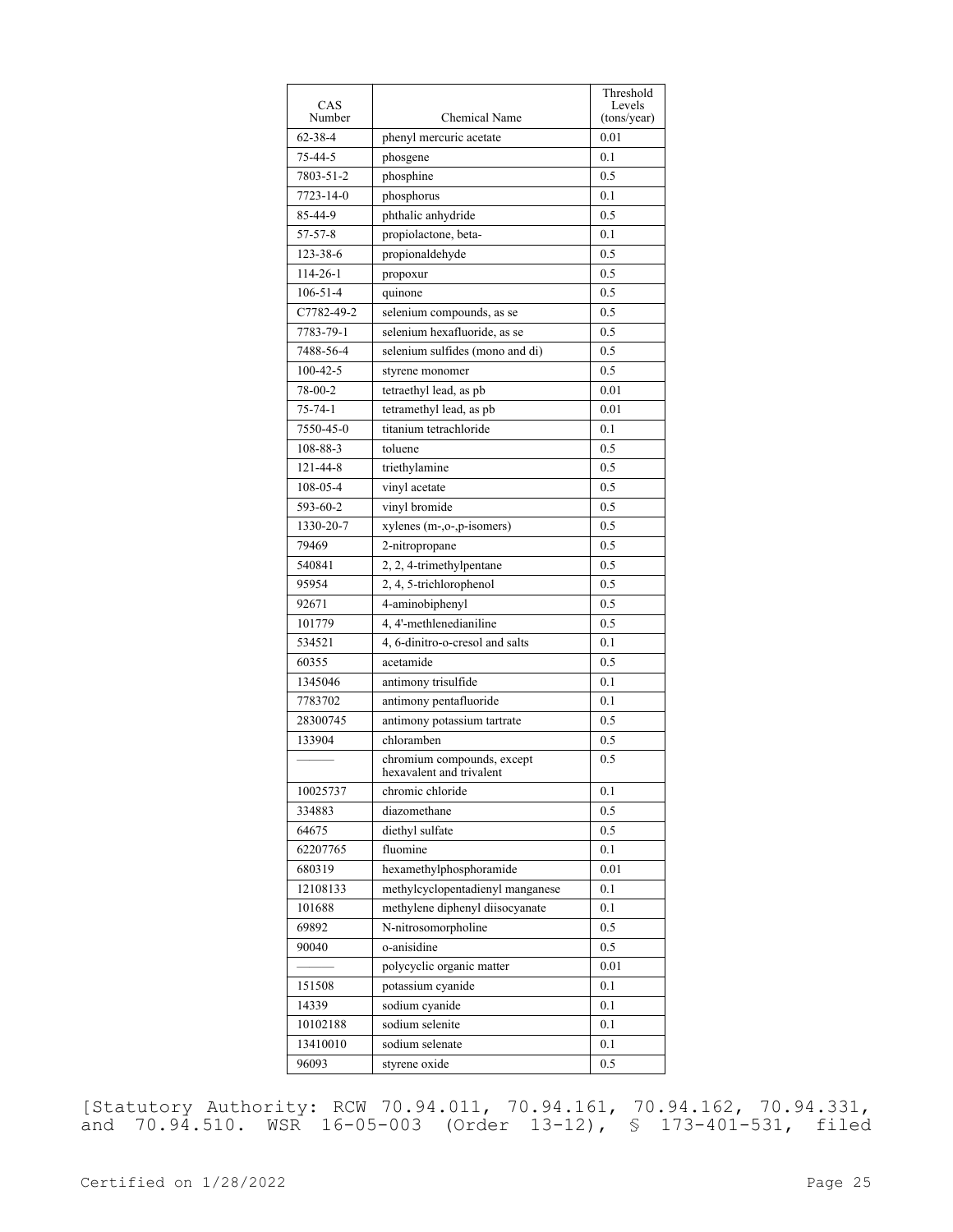|                  |                                                        | Threshold             |
|------------------|--------------------------------------------------------|-----------------------|
| CAS<br>Number    | Chemical Name                                          | Levels<br>(tons/year) |
| $62 - 38 - 4$    | phenyl mercuric acetate                                | 0.01                  |
| 75-44-5          | phosgene                                               | 0.1                   |
| 7803-51-2        | phosphine                                              | 0.5                   |
| 7723-14-0        | phosphorus                                             | 0.1                   |
| 85-44-9          | phthalic anhydride                                     | 0.5                   |
| 57-57-8          | propiolactone, beta-                                   | 0.1                   |
| 123-38-6         | propionaldehyde                                        | 0.5                   |
| 114-26-1         | propoxur                                               | 0.5                   |
| $106 - 51 - 4$   | quinone                                                | 0.5                   |
| C7782-49-2       | selenium compounds, as se                              | 0.5                   |
| 7783-79-1        | selenium hexafluoride, as se                           | 0.5                   |
| 7488-56-4        | selenium sulfides (mono and di)                        | 0.5                   |
| $100 - 42 - 5$   | styrene monomer                                        | 0.5                   |
| 78-00-2          | tetraethyl lead, as pb                                 | 0.01                  |
| $75 - 74 - 1$    | tetramethyl lead, as pb                                | 0.01                  |
| 7550-45-0        | titanium tetrachloride                                 | 0.1                   |
| 108-88-3         | toluene                                                | 0.5                   |
| 121-44-8         | triethylamine                                          | 0.5                   |
| 108-05-4         | vinyl acetate                                          | 0.5                   |
| 593-60-2         | vinyl bromide                                          | 0.5                   |
| 1330-20-7        | xylenes (m-,o-,p-isomers)                              | 0.5                   |
| 79469            |                                                        | 0.5                   |
| 540841           | 2-nitropropane                                         | 0.5                   |
| 95954            | 2, 2, 4-trimethylpentane                               | 0.5                   |
|                  | 2, 4, 5-trichlorophenol                                |                       |
| 92671            | 4-aminobiphenyl<br>4, 4'-methlenedianiline             | 0.5<br>0.5            |
| 101779<br>534521 | 4, 6-dinitro-o-cresol and salts                        | 0.1                   |
|                  |                                                        |                       |
| 60355            | acetamide                                              | 0.5                   |
| 1345046          | antimony trisulfide                                    | 0.1                   |
| 7783702          | antimony pentafluoride                                 | 0.1                   |
| 28300745         | antimony potassium tartrate                            | 0.5                   |
| 133904           | chloramben                                             | 0.5                   |
|                  | chromium compounds, except<br>hexavalent and trivalent | 0.5                   |
| 10025737         | chromic chloride                                       | 0.1                   |
| 334883           | diazomethane                                           | 0.5                   |
| 64675            | diethyl sulfate                                        | 0.5                   |
| 62207765         | fluomine                                               | 0.1                   |
| 680319           | hexamethylphosphoramide                                | 0.01                  |
| 12108133         | methylcyclopentadienyl manganese                       | 0.1                   |
| 101688           | methylene diphenyl diisocyanate                        | 0.1                   |
| 69892            | N-nitrosomorpholine                                    | 0.5                   |
| 90040            | o-anisidine                                            | 0.5                   |
|                  | polycyclic organic matter                              | 0.01                  |
| 151508           | potassium cyanide                                      | 0.1                   |
| 14339            | sodium cyanide                                         | 0.1                   |
| 10102188         | sodium selenite                                        | 0.1                   |
| 13410010         | sodium selenate                                        | 0.1                   |
| 96093            | styrene oxide                                          | 0.5                   |

[Statutory Authority: RCW 70.94.011, 70.94.161, 70.94.162, 70.94.331, and 70.94.510. WSR 16-05-003 (Order 13-12), § 173-401-531, filed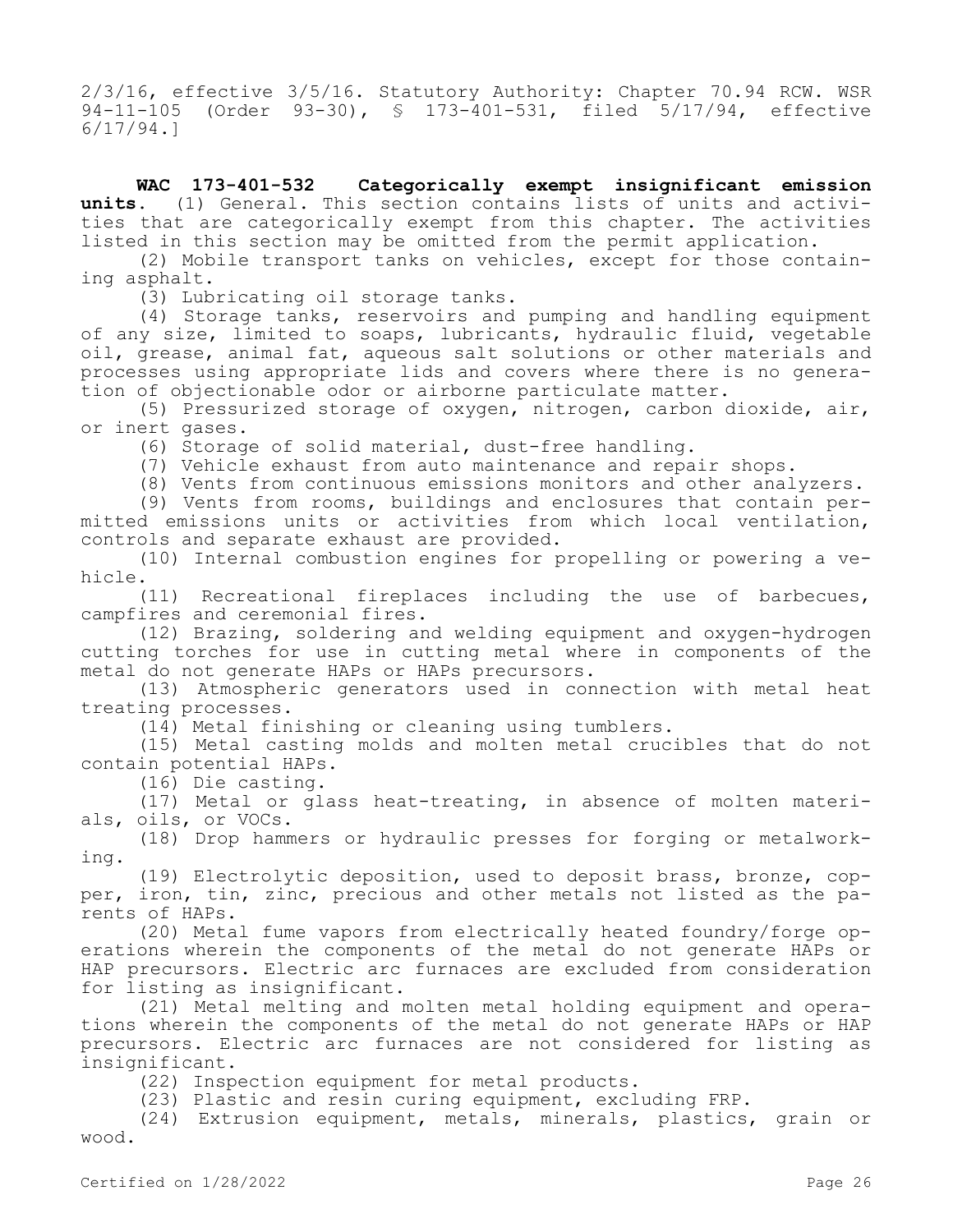2/3/16, effective 3/5/16. Statutory Authority: Chapter 70.94 RCW. WSR 94-11-105 (Order 93-30), § 173-401-531, filed 5/17/94, effective 6/17/94.]

**WAC 173-401-532 Categorically exempt insignificant emission units.** (1) General. This section contains lists of units and activities that are categorically exempt from this chapter. The activities listed in this section may be omitted from the permit application.

(2) Mobile transport tanks on vehicles, except for those containing asphalt.

(3) Lubricating oil storage tanks.

(4) Storage tanks, reservoirs and pumping and handling equipment of any size, limited to soaps, lubricants, hydraulic fluid, vegetable oil, grease, animal fat, aqueous salt solutions or other materials and processes using appropriate lids and covers where there is no generation of objectionable odor or airborne particulate matter.

(5) Pressurized storage of oxygen, nitrogen, carbon dioxide, air, or inert gases.

(6) Storage of solid material, dust-free handling.

(7) Vehicle exhaust from auto maintenance and repair shops.

(8) Vents from continuous emissions monitors and other analyzers.

(9) Vents from rooms, buildings and enclosures that contain permitted emissions units or activities from which local ventilation, controls and separate exhaust are provided.

(10) Internal combustion engines for propelling or powering a vehicle.

(11) Recreational fireplaces including the use of barbecues, campfires and ceremonial fires.

(12) Brazing, soldering and welding equipment and oxygen-hydrogen cutting torches for use in cutting metal where in components of the metal do not generate HAPs or HAPs precursors.

(13) Atmospheric generators used in connection with metal heat treating processes.

(14) Metal finishing or cleaning using tumblers.

(15) Metal casting molds and molten metal crucibles that do not contain potential HAPs.

(16) Die casting.

(17) Metal or glass heat-treating, in absence of molten materials, oils, or VOCs.

(18) Drop hammers or hydraulic presses for forging or metalworking.

(19) Electrolytic deposition, used to deposit brass, bronze, copper, iron, tin, zinc, precious and other metals not listed as the parents of HAPs.

(20) Metal fume vapors from electrically heated foundry/forge operations wherein the components of the metal do not generate HAPs or HAP precursors. Electric arc furnaces are excluded from consideration for listing as insignificant.

(21) Metal melting and molten metal holding equipment and operations wherein the components of the metal do not generate HAPs or HAP precursors. Electric arc furnaces are not considered for listing as insignificant.

(22) Inspection equipment for metal products.

(23) Plastic and resin curing equipment, excluding FRP.

(24) Extrusion equipment, metals, minerals, plastics, grain or wood.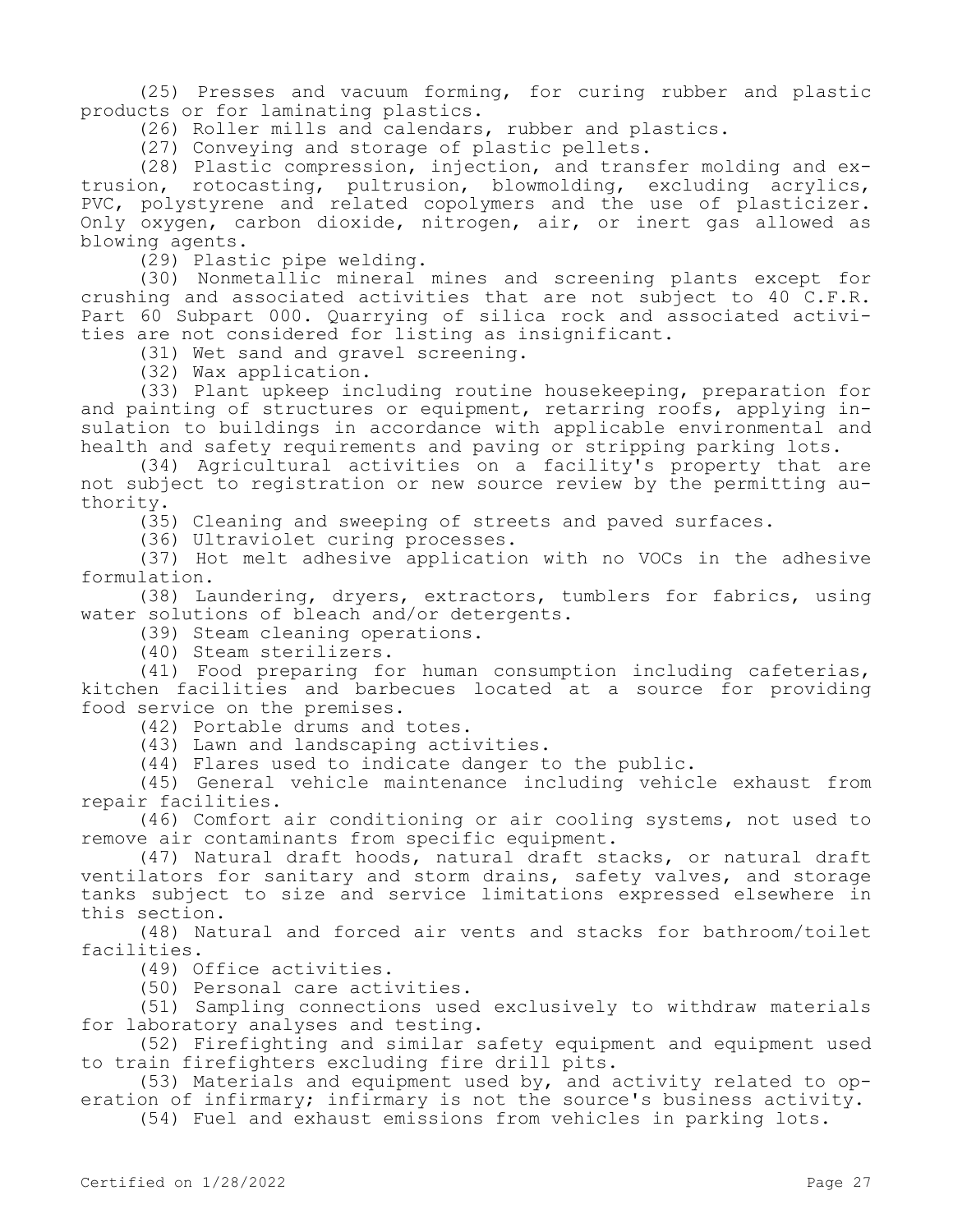(25) Presses and vacuum forming, for curing rubber and plastic products or for laminating plastics.

(26) Roller mills and calendars, rubber and plastics.

(27) Conveying and storage of plastic pellets.

(28) Plastic compression, injection, and transfer molding and extrusion, rotocasting, pultrusion, blowmolding, excluding acrylics, PVC, polystyrene and related copolymers and the use of plasticizer. Only oxygen, carbon dioxide, nitrogen, air, or inert gas allowed as blowing agents.

(29) Plastic pipe welding.

(30) Nonmetallic mineral mines and screening plants except for crushing and associated activities that are not subject to 40 C.F.R. Part 60 Subpart 000. Quarrying of silica rock and associated activities are not considered for listing as insignificant.

(31) Wet sand and gravel screening.

(32) Wax application.

(33) Plant upkeep including routine housekeeping, preparation for and painting of structures or equipment, retarring roofs, applying insulation to buildings in accordance with applicable environmental and health and safety requirements and paving or stripping parking lots.

(34) Agricultural activities on a facility's property that are not subject to registration or new source review by the permitting authority.

(35) Cleaning and sweeping of streets and paved surfaces.

(36) Ultraviolet curing processes.

(37) Hot melt adhesive application with no VOCs in the adhesive formulation.

(38) Laundering, dryers, extractors, tumblers for fabrics, using water solutions of bleach and/or detergents.

(39) Steam cleaning operations.

(40) Steam sterilizers.

(41) Food preparing for human consumption including cafeterias, kitchen facilities and barbecues located at a source for providing food service on the premises.

(42) Portable drums and totes.

(43) Lawn and landscaping activities.

(44) Flares used to indicate danger to the public.

(45) General vehicle maintenance including vehicle exhaust from repair facilities.

(46) Comfort air conditioning or air cooling systems, not used to remove air contaminants from specific equipment.

(47) Natural draft hoods, natural draft stacks, or natural draft ventilators for sanitary and storm drains, safety valves, and storage tanks subject to size and service limitations expressed elsewhere in this section.

(48) Natural and forced air vents and stacks for bathroom/toilet facilities.

(49) Office activities.

(50) Personal care activities.

(51) Sampling connections used exclusively to withdraw materials for laboratory analyses and testing.

(52) Firefighting and similar safety equipment and equipment used to train firefighters excluding fire drill pits.

(53) Materials and equipment used by, and activity related to operation of infirmary; infirmary is not the source's business activity.

(54) Fuel and exhaust emissions from vehicles in parking lots.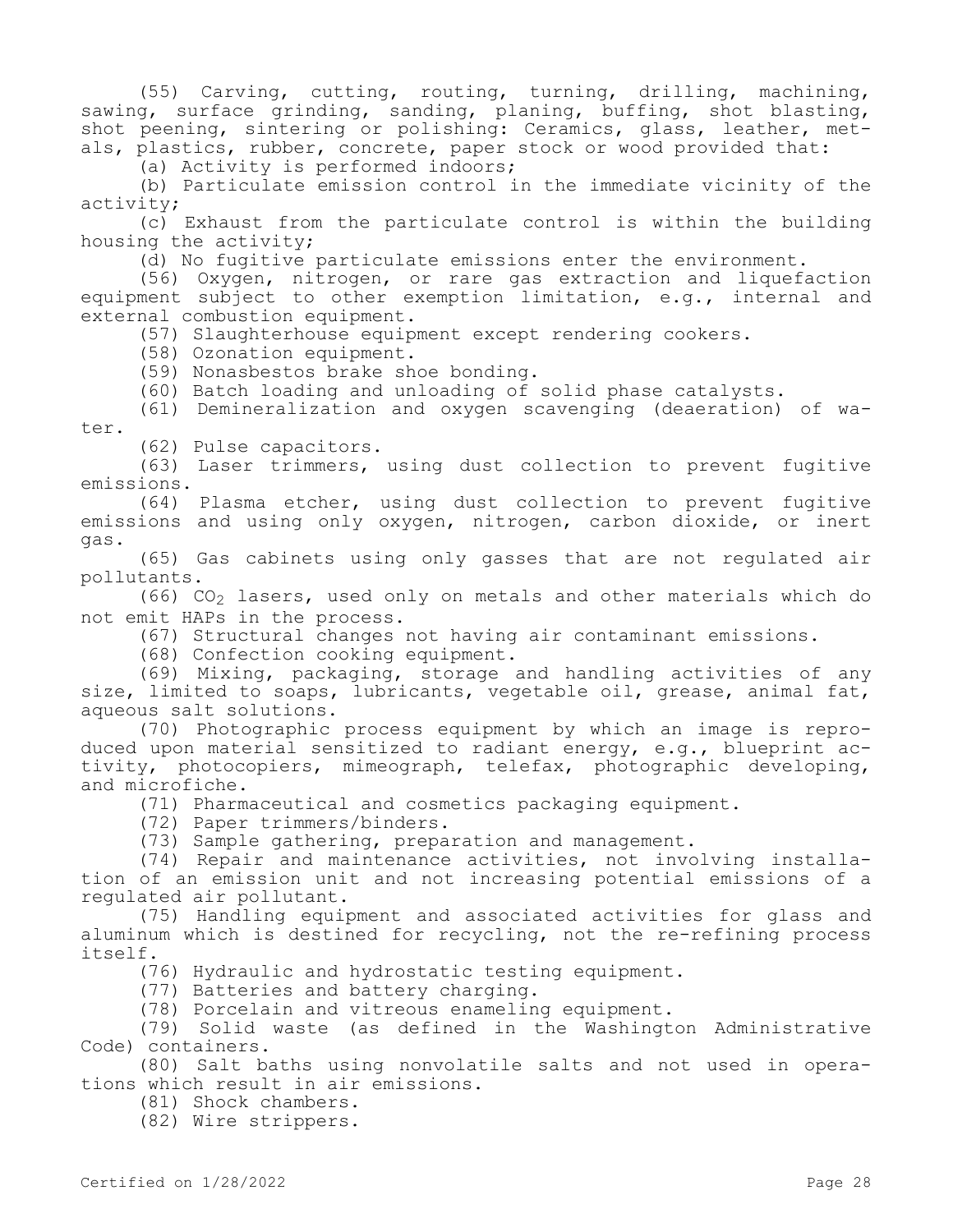(55) Carving, cutting, routing, turning, drilling, machining, sawing, surface grinding, sanding, planing, buffing, shot blasting, shot peening, sintering or polishing: Ceramics, glass, leather, metals, plastics, rubber, concrete, paper stock or wood provided that:

(a) Activity is performed indoors;

(b) Particulate emission control in the immediate vicinity of the activity;

(c) Exhaust from the particulate control is within the building housing the activity;

(d) No fugitive particulate emissions enter the environment.

(56) Oxygen, nitrogen, or rare gas extraction and liquefaction equipment subject to other exemption limitation, e.g., internal and external combustion equipment.

(57) Slaughterhouse equipment except rendering cookers.

(58) Ozonation equipment.

(59) Nonasbestos brake shoe bonding.

(60) Batch loading and unloading of solid phase catalysts.

(61) Demineralization and oxygen scavenging (deaeration) of water.

(62) Pulse capacitors.

(63) Laser trimmers, using dust collection to prevent fugitive emissions.

(64) Plasma etcher, using dust collection to prevent fugitive emissions and using only oxygen, nitrogen, carbon dioxide, or inert gas.

(65) Gas cabinets using only gasses that are not regulated air pollutants.

(66)  $CO<sub>2</sub>$  lasers, used only on metals and other materials which do not emit HAPs in the process.

(67) Structural changes not having air contaminant emissions.

(68) Confection cooking equipment.

(69) Mixing, packaging, storage and handling activities of any size, limited to soaps, lubricants, vegetable oil, grease, animal fat, aqueous salt solutions.

(70) Photographic process equipment by which an image is reproduced upon material sensitized to radiant energy, e.g., blueprint activity, photocopiers, mimeograph, telefax, photographic developing, and microfiche.

(71) Pharmaceutical and cosmetics packaging equipment.

(72) Paper trimmers/binders.

(73) Sample gathering, preparation and management.

(74) Repair and maintenance activities, not involving installation of an emission unit and not increasing potential emissions of a regulated air pollutant.

(75) Handling equipment and associated activities for glass and aluminum which is destined for recycling, not the re-refining process itself.

(76) Hydraulic and hydrostatic testing equipment.

(77) Batteries and battery charging.

(78) Porcelain and vitreous enameling equipment.

(79) Solid waste (as defined in the Washington Administrative Code) containers.

(80) Salt baths using nonvolatile salts and not used in operations which result in air emissions.

(81) Shock chambers.

(82) Wire strippers.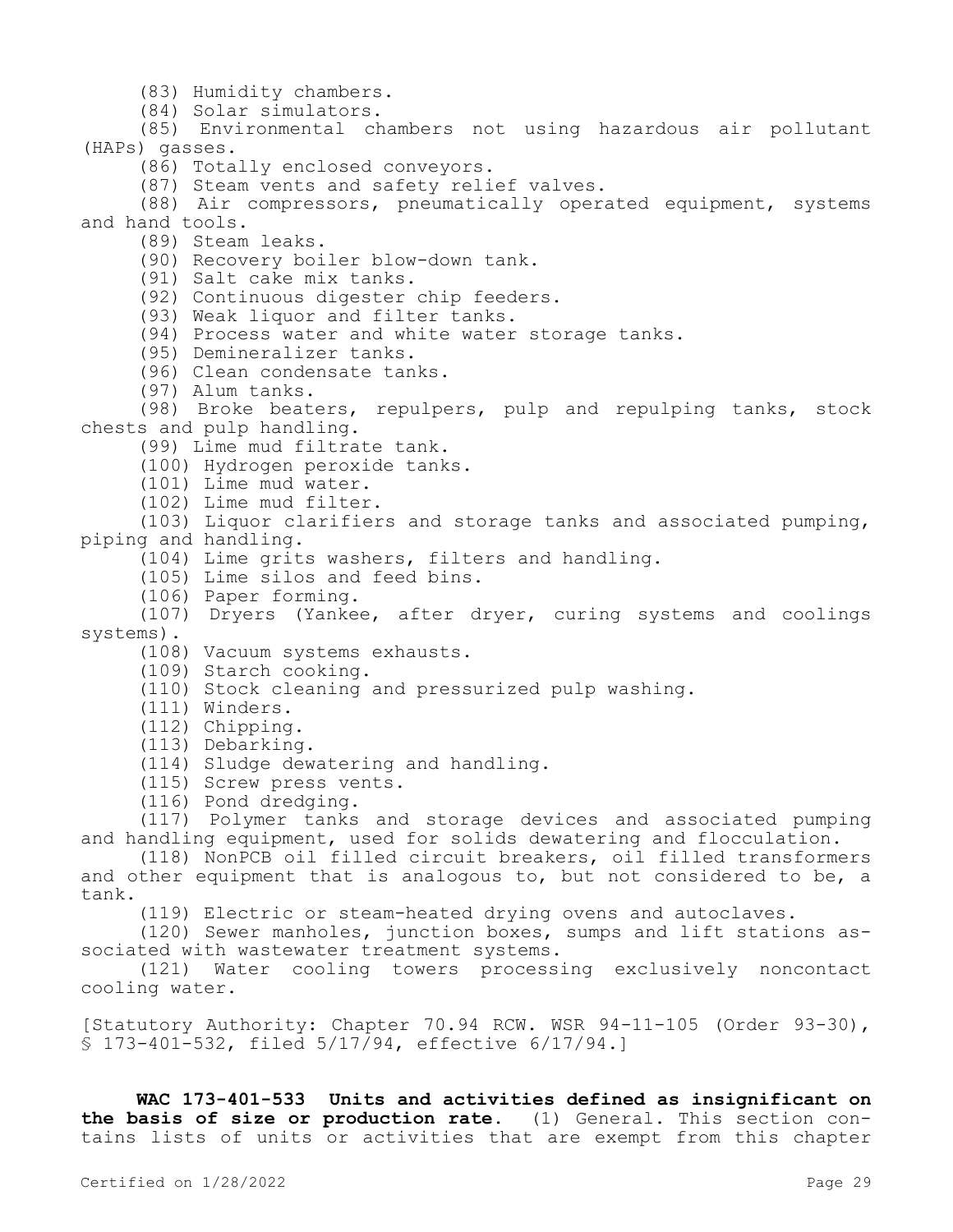(83) Humidity chambers.

(84) Solar simulators.

(85) Environmental chambers not using hazardous air pollutant (HAPs) gasses.

(86) Totally enclosed conveyors.

(87) Steam vents and safety relief valves.

(88) Air compressors, pneumatically operated equipment, systems and hand tools.

(89) Steam leaks.

(90) Recovery boiler blow-down tank.

(91) Salt cake mix tanks.

(92) Continuous digester chip feeders.

(93) Weak liquor and filter tanks.

(94) Process water and white water storage tanks.

(95) Demineralizer tanks.

(96) Clean condensate tanks.

(97) Alum tanks.

(98) Broke beaters, repulpers, pulp and repulping tanks, stock chests and pulp handling.

(99) Lime mud filtrate tank.

(100) Hydrogen peroxide tanks.

(101) Lime mud water.

(102) Lime mud filter.

(103) Liquor clarifiers and storage tanks and associated pumping, piping and handling.

(104) Lime grits washers, filters and handling.

(105) Lime silos and feed bins.

(106) Paper forming.

(107) Dryers (Yankee, after dryer, curing systems and coolings systems).

(108) Vacuum systems exhausts.

(109) Starch cooking.

(110) Stock cleaning and pressurized pulp washing.

(111) Winders.

(112) Chipping.

(113) Debarking.

(114) Sludge dewatering and handling.

(115) Screw press vents.

(116) Pond dredging.

(117) Polymer tanks and storage devices and associated pumping and handling equipment, used for solids dewatering and flocculation.

(118) NonPCB oil filled circuit breakers, oil filled transformers and other equipment that is analogous to, but not considered to be, a tank.

(119) Electric or steam-heated drying ovens and autoclaves.

(120) Sewer manholes, junction boxes, sumps and lift stations associated with wastewater treatment systems.

(121) Water cooling towers processing exclusively noncontact cooling water.

[Statutory Authority: Chapter 70.94 RCW. WSR 94-11-105 (Order 93-30), § 173-401-532, filed 5/17/94, effective 6/17/94.]

**WAC 173-401-533 Units and activities defined as insignificant on the basis of size or production rate.** (1) General. This section contains lists of units or activities that are exempt from this chapter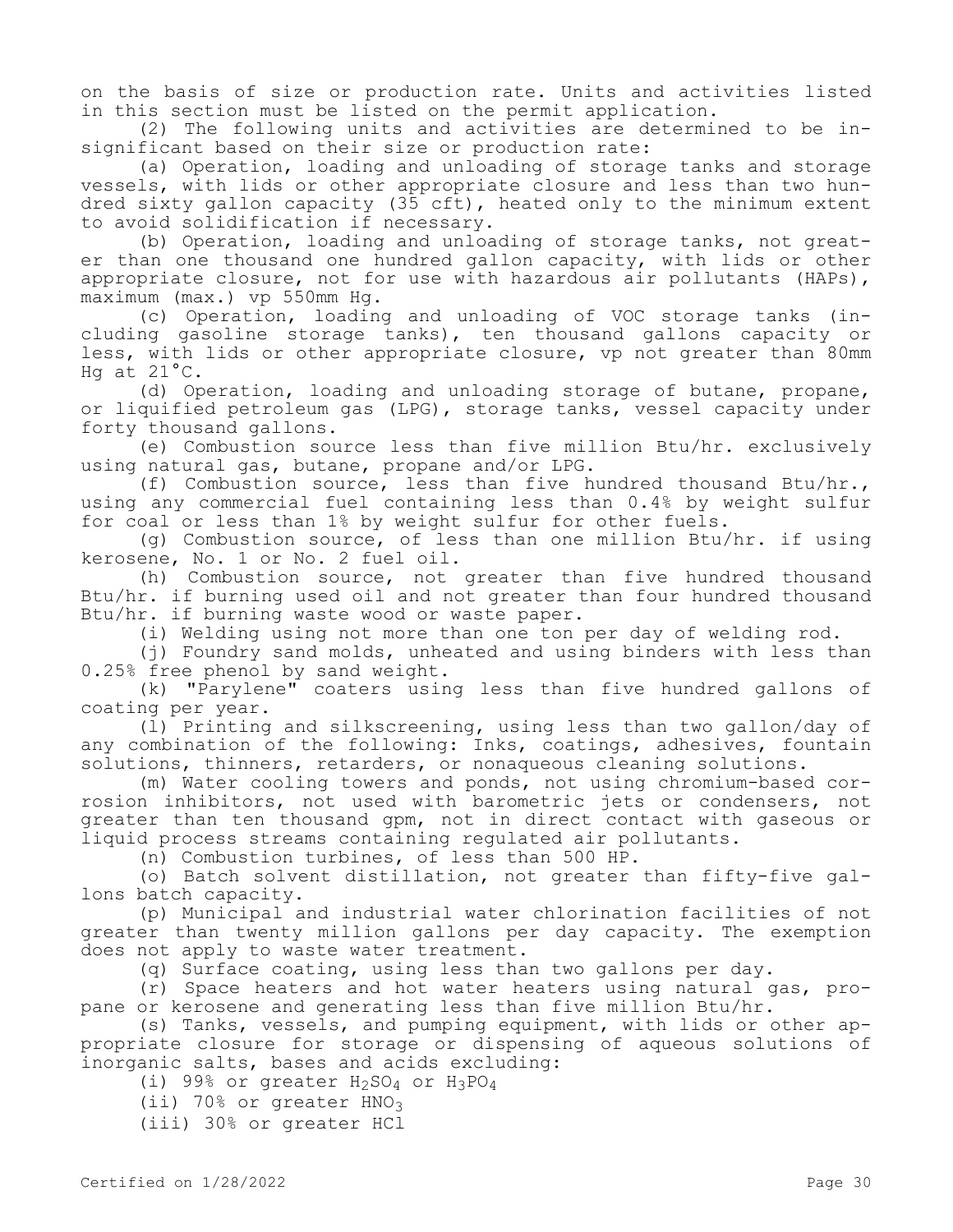on the basis of size or production rate. Units and activities listed in this section must be listed on the permit application.

(2) The following units and activities are determined to be insignificant based on their size or production rate:

(a) Operation, loading and unloading of storage tanks and storage vessels, with lids or other appropriate closure and less than two hundred sixty gallon capacity (35 cft), heated only to the minimum extent to avoid solidification if necessary.

(b) Operation, loading and unloading of storage tanks, not greater than one thousand one hundred gallon capacity, with lids or other appropriate closure, not for use with hazardous air pollutants (HAPs), maximum (max.) vp 550mm Hg.

(c) Operation, loading and unloading of VOC storage tanks (including gasoline storage tanks), ten thousand gallons capacity or less, with lids or other appropriate closure, vp not greater than 80mm Hg at 21°C.

(d) Operation, loading and unloading storage of butane, propane, or liquified petroleum gas (LPG), storage tanks, vessel capacity under forty thousand gallons.

(e) Combustion source less than five million Btu/hr. exclusively using natural gas, butane, propane and/or LPG.

(f) Combustion source, less than five hundred thousand Btu/hr., using any commercial fuel containing less than 0.4% by weight sulfur for coal or less than 1% by weight sulfur for other fuels.

(g) Combustion source, of less than one million Btu/hr. if using kerosene, No. 1 or No. 2 fuel oil.

(h) Combustion source, not greater than five hundred thousand Btu/hr. if burning used oil and not greater than four hundred thousand Btu/hr. if burning waste wood or waste paper.

(i) Welding using not more than one ton per day of welding rod.

(i) Foundry sand molds, unheated and using binders with less than 0.25% free phenol by sand weight.

(k) "Parylene" coaters using less than five hundred gallons of coating per year.

(l) Printing and silkscreening, using less than two gallon/day of any combination of the following: Inks, coatings, adhesives, fountain solutions, thinners, retarders, or nonaqueous cleaning solutions.

(m) Water cooling towers and ponds, not using chromium-based corrosion inhibitors, not used with barometric jets or condensers, not greater than ten thousand gpm, not in direct contact with gaseous or liquid process streams containing regulated air pollutants.

(n) Combustion turbines, of less than 500 HP.

(o) Batch solvent distillation, not greater than fifty-five gallons batch capacity.

(p) Municipal and industrial water chlorination facilities of not greater than twenty million gallons per day capacity. The exemption does not apply to waste water treatment.

(q) Surface coating, using less than two gallons per day.

(r) Space heaters and hot water heaters using natural gas, propane or kerosene and generating less than five million Btu/hr.

(s) Tanks, vessels, and pumping equipment, with lids or other appropriate closure for storage or dispensing of aqueous solutions of inorganic salts, bases and acids excluding:

(i) 99% or greater  $H_2SO_4$  or  $H_3PO_4$ 

(ii) 70% or greater  $HNO<sub>3</sub>$ 

(iii) 30% or greater HCl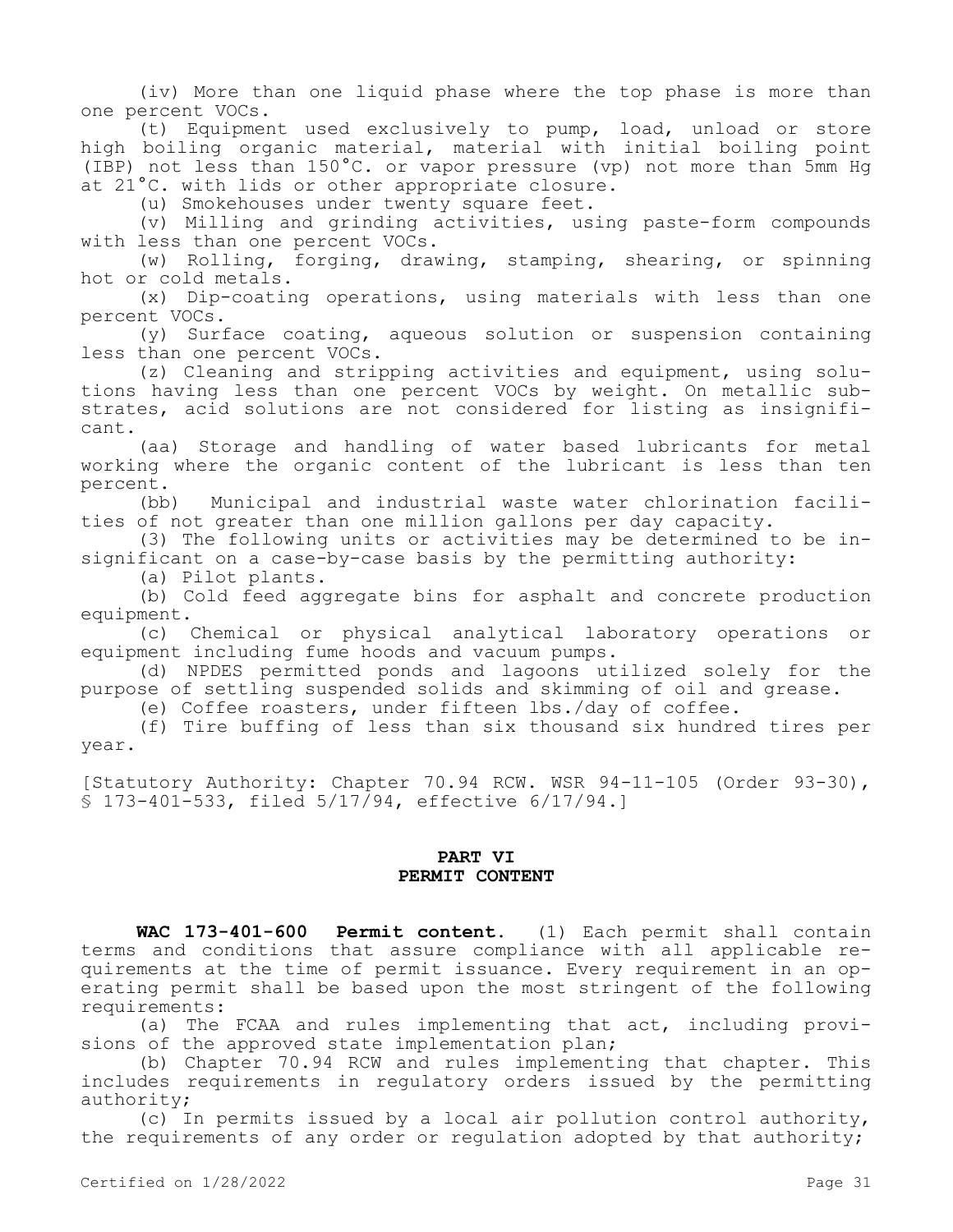(iv) More than one liquid phase where the top phase is more than one percent VOCs.

(t) Equipment used exclusively to pump, load, unload or store high boiling organic material, material with initial boiling point (IBP) not less than 150°C. or vapor pressure (vp) not more than 5mm Hg at 21°C. with lids or other appropriate closure.

(u) Smokehouses under twenty square feet.

(v) Milling and grinding activities, using paste-form compounds with less than one percent VOCs.

(w) Rolling, forging, drawing, stamping, shearing, or spinning hot or cold metals.

(x) Dip-coating operations, using materials with less than one percent VOCs.

(y) Surface coating, aqueous solution or suspension containing less than one percent VOCs.

(z) Cleaning and stripping activities and equipment, using solutions having less than one percent VOCs by weight. On metallic substrates, acid solutions are not considered for listing as insignificant.

(aa) Storage and handling of water based lubricants for metal working where the organic content of the lubricant is less than ten percent.

(bb) Municipal and industrial waste water chlorination facilities of not greater than one million gallons per day capacity.

(3) The following units or activities may be determined to be insignificant on a case-by-case basis by the permitting authority:

(a) Pilot plants.

(b) Cold feed aggregate bins for asphalt and concrete production equipment.

(c) Chemical or physical analytical laboratory operations or equipment including fume hoods and vacuum pumps.

(d) NPDES permitted ponds and lagoons utilized solely for the purpose of settling suspended solids and skimming of oil and grease.

(e) Coffee roasters, under fifteen lbs./day of coffee.

(f) Tire buffing of less than six thousand six hundred tires per year.

[Statutory Authority: Chapter 70.94 RCW. WSR 94-11-105 (Order 93-30), § 173-401-533, filed 5/17/94, effective 6/17/94.]

### **PART VI PERMIT CONTENT**

**WAC 173-401-600 Permit content.** (1) Each permit shall contain terms and conditions that assure compliance with all applicable requirements at the time of permit issuance. Every requirement in an operating permit shall be based upon the most stringent of the following requirements:

(a) The FCAA and rules implementing that act, including provisions of the approved state implementation plan;

(b) Chapter 70.94 RCW and rules implementing that chapter. This includes requirements in regulatory orders issued by the permitting authority;

(c) In permits issued by a local air pollution control authority, the requirements of any order or regulation adopted by that authority;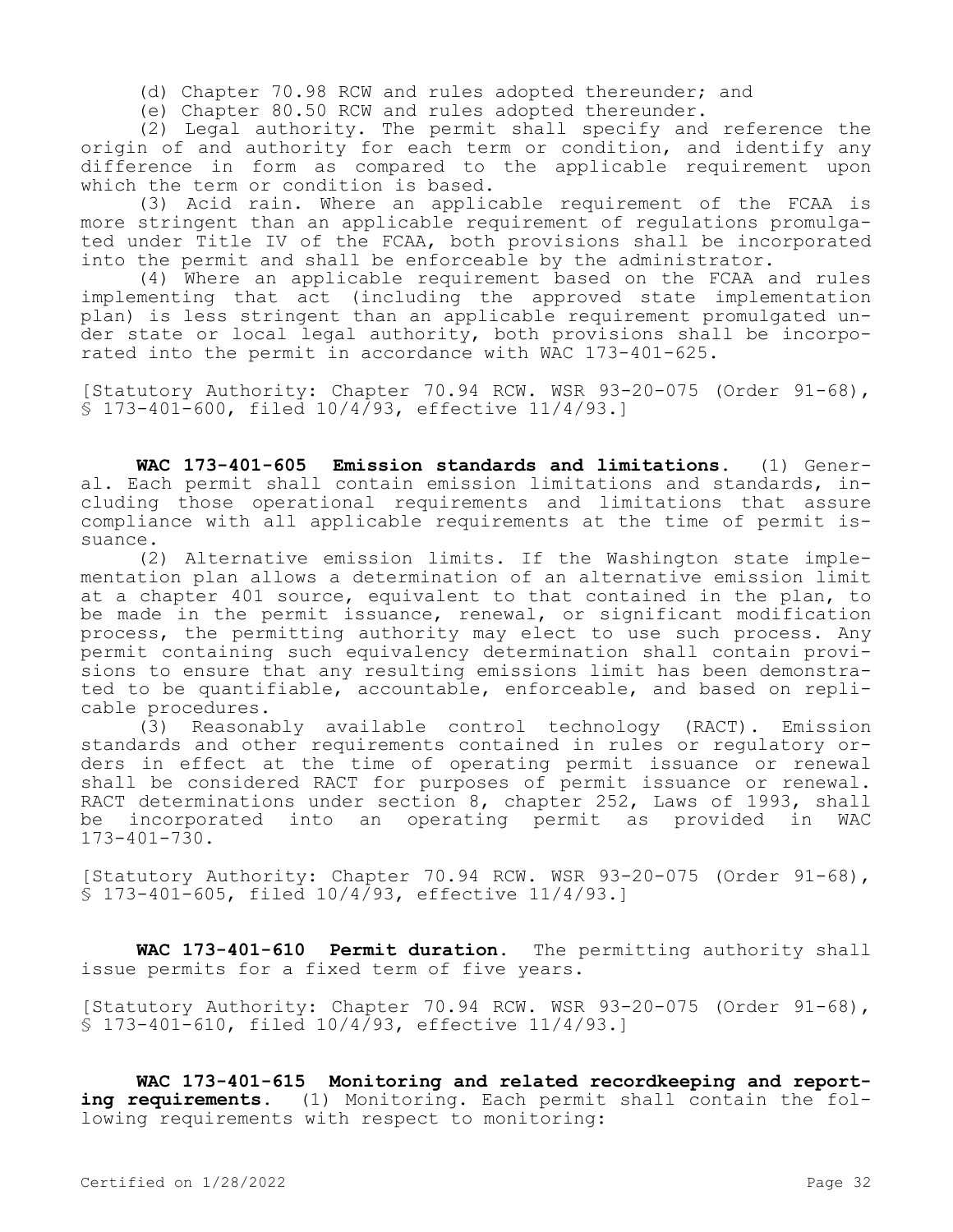(d) Chapter 70.98 RCW and rules adopted thereunder; and

(e) Chapter 80.50 RCW and rules adopted thereunder.

(2) Legal authority. The permit shall specify and reference the origin of and authority for each term or condition, and identify any difference in form as compared to the applicable requirement upon which the term or condition is based.

(3) Acid rain. Where an applicable requirement of the FCAA is more stringent than an applicable requirement of regulations promulgated under Title IV of the FCAA, both provisions shall be incorporated into the permit and shall be enforceable by the administrator.

(4) Where an applicable requirement based on the FCAA and rules implementing that act (including the approved state implementation plan) is less stringent than an applicable requirement promulgated under state or local legal authority, both provisions shall be incorporated into the permit in accordance with WAC 173-401-625.

[Statutory Authority: Chapter 70.94 RCW. WSR 93-20-075 (Order 91-68), § 173-401-600, filed 10/4/93, effective 11/4/93.]

**WAC 173-401-605 Emission standards and limitations.** (1) General. Each permit shall contain emission limitations and standards, including those operational requirements and limitations that assure compliance with all applicable requirements at the time of permit issuance.

(2) Alternative emission limits. If the Washington state implementation plan allows a determination of an alternative emission limit at a chapter 401 source, equivalent to that contained in the plan, to be made in the permit issuance, renewal, or significant modification process, the permitting authority may elect to use such process. Any permit containing such equivalency determination shall contain provisions to ensure that any resulting emissions limit has been demonstrated to be quantifiable, accountable, enforceable, and based on replicable procedures.

(3) Reasonably available control technology (RACT). Emission standards and other requirements contained in rules or regulatory orders in effect at the time of operating permit issuance or renewal shall be considered RACT for purposes of permit issuance or renewal. RACT determinations under section 8, chapter 252, Laws of 1993, shall be incorporated into an operating permit as provided in WAC  $173 - 401 - 730$ .

[Statutory Authority: Chapter 70.94 RCW. WSR 93-20-075 (Order 91-68), § 173-401-605, filed 10/4/93, effective 11/4/93.]

WAC 173-401-610 Permit duration. The permitting authority shall issue permits for a fixed term of five years.

[Statutory Authority: Chapter 70.94 RCW. WSR 93-20-075 (Order 91-68), § 173-401-610, filed 10/4/93, effective 11/4/93.]

**WAC 173-401-615 Monitoring and related recordkeeping and reporting requirements.** (1) Monitoring. Each permit shall contain the following requirements with respect to monitoring: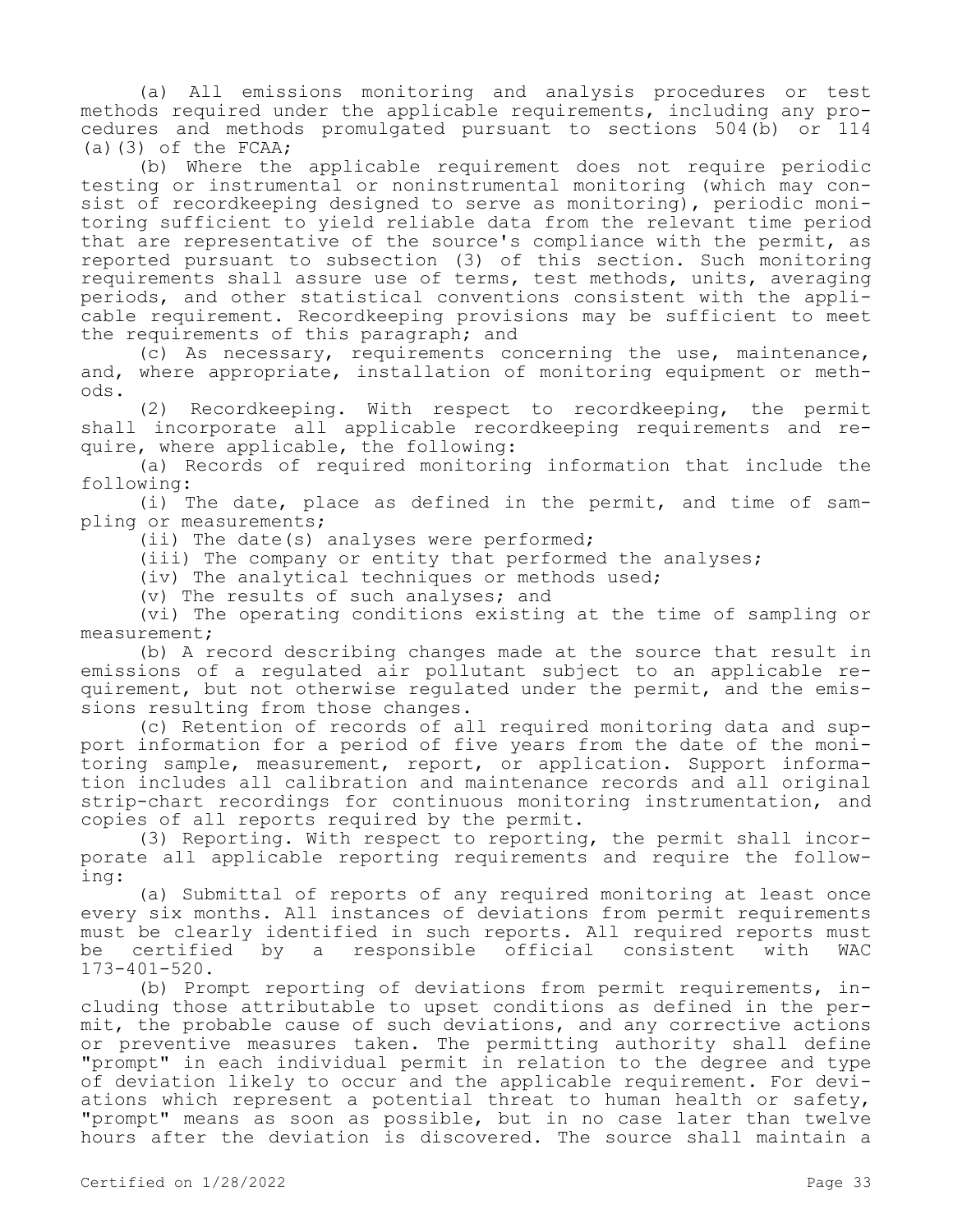(a) All emissions monitoring and analysis procedures or test methods required under the applicable requirements, including any procedures and methods promulgated pursuant to sections 504(b) or 114 (a) $(3)$  of the FCAA;

(b) Where the applicable requirement does not require periodic testing or instrumental or noninstrumental monitoring (which may consist of recordkeeping designed to serve as monitoring), periodic monitoring sufficient to yield reliable data from the relevant time period that are representative of the source's compliance with the permit, as reported pursuant to subsection (3) of this section. Such monitoring requirements shall assure use of terms, test methods, units, averaging periods, and other statistical conventions consistent with the applicable requirement. Recordkeeping provisions may be sufficient to meet the requirements of this paragraph; and

(c) As necessary, requirements concerning the use, maintenance, and, where appropriate, installation of monitoring equipment or methods.

(2) Recordkeeping. With respect to recordkeeping, the permit shall incorporate all applicable recordkeeping requirements and require, where applicable, the following:

(a) Records of required monitoring information that include the following:

(i) The date, place as defined in the permit, and time of sampling or measurements;

(ii) The date(s) analyses were performed;

(iii) The company or entity that performed the analyses;

(iv) The analytical techniques or methods used;

(v) The results of such analyses; and

(vi) The operating conditions existing at the time of sampling or measurement;

(b) A record describing changes made at the source that result in emissions of a regulated air pollutant subject to an applicable requirement, but not otherwise regulated under the permit, and the emissions resulting from those changes.

(c) Retention of records of all required monitoring data and support information for a period of five years from the date of the monitoring sample, measurement, report, or application. Support information includes all calibration and maintenance records and all original strip-chart recordings for continuous monitoring instrumentation, and copies of all reports required by the permit.

(3) Reporting. With respect to reporting, the permit shall incorporate all applicable reporting requirements and require the following:

(a) Submittal of reports of any required monitoring at least once every six months. All instances of deviations from permit requirements must be clearly identified in such reports. All required reports must<br>be certified by a responsible official consistent with WAC be certified by a responsible official consistent with WAC 173-401-520.

(b) Prompt reporting of deviations from permit requirements, including those attributable to upset conditions as defined in the permit, the probable cause of such deviations, and any corrective actions or preventive measures taken. The permitting authority shall define "prompt" in each individual permit in relation to the degree and type of deviation likely to occur and the applicable requirement. For deviations which represent a potential threat to human health or safety, "prompt" means as soon as possible, but in no case later than twelve hours after the deviation is discovered. The source shall maintain a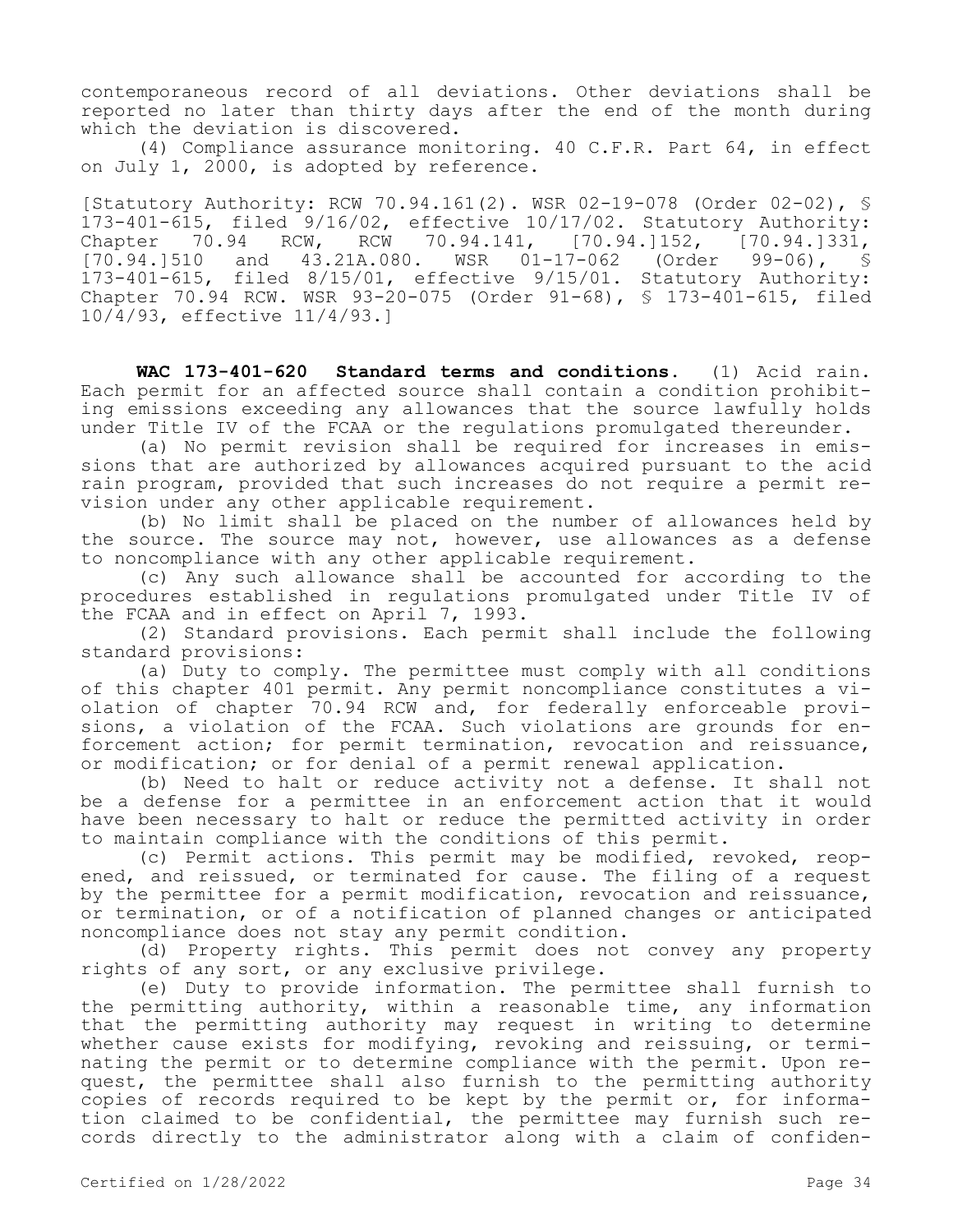contemporaneous record of all deviations. Other deviations shall be reported no later than thirty days after the end of the month during which the deviation is discovered.

(4) Compliance assurance monitoring. 40 C.F.R. Part 64, in effect on July 1, 2000, is adopted by reference.

[Statutory Authority: RCW 70.94.161(2). WSR 02-19-078 (Order 02-02), § 173-401-615, filed 9/16/02, effective 10/17/02. Statutory Authority:<br>Chapter 70.94 RCW, RCW 70.94.141, [70.94.]152, [70.94.]331, Chapter 70.94 RCW, RCW 70.94.141,<br>[70.94.]510 and 43.21A.080. WSR 01and 43.21A.080. WSR 01-17-062 (Order 99-06), § 173-401-615, filed 8/15/01, effective 9/15/01. Statutory Authority: Chapter 70.94 RCW. WSR 93-20-075 (Order 91-68), § 173-401-615, filed 10/4/93, effective 11/4/93.]

**WAC 173-401-620 Standard terms and conditions.** (1) Acid rain. Each permit for an affected source shall contain a condition prohibiting emissions exceeding any allowances that the source lawfully holds under Title IV of the FCAA or the regulations promulgated thereunder.

(a) No permit revision shall be required for increases in emissions that are authorized by allowances acquired pursuant to the acid rain program, provided that such increases do not require a permit revision under any other applicable requirement.

(b) No limit shall be placed on the number of allowances held by the source. The source may not, however, use allowances as a defense to noncompliance with any other applicable requirement.

(c) Any such allowance shall be accounted for according to the procedures established in regulations promulgated under Title IV of the FCAA and in effect on April 7, 1993.

(2) Standard provisions. Each permit shall include the following standard provisions:

(a) Duty to comply. The permittee must comply with all conditions of this chapter 401 permit. Any permit noncompliance constitutes a violation of chapter 70.94 RCW and, for federally enforceable provisions, a violation of the FCAA. Such violations are grounds for enforcement action; for permit termination, revocation and reissuance, or modification; or for denial of a permit renewal application.

(b) Need to halt or reduce activity not a defense. It shall not be a defense for a permittee in an enforcement action that it would have been necessary to halt or reduce the permitted activity in order to maintain compliance with the conditions of this permit.

(c) Permit actions. This permit may be modified, revoked, reopened, and reissued, or terminated for cause. The filing of a request by the permittee for a permit modification, revocation and reissuance, or termination, or of a notification of planned changes or anticipated noncompliance does not stay any permit condition.

(d) Property rights. This permit does not convey any property rights of any sort, or any exclusive privilege.

(e) Duty to provide information. The permittee shall furnish to the permitting authority, within a reasonable time, any information that the permitting authority may request in writing to determine whether cause exists for modifying, revoking and reissuing, or terminating the permit or to determine compliance with the permit. Upon request, the permittee shall also furnish to the permitting authority copies of records required to be kept by the permit or, for information claimed to be confidential, the permittee may furnish such records directly to the administrator along with a claim of confiden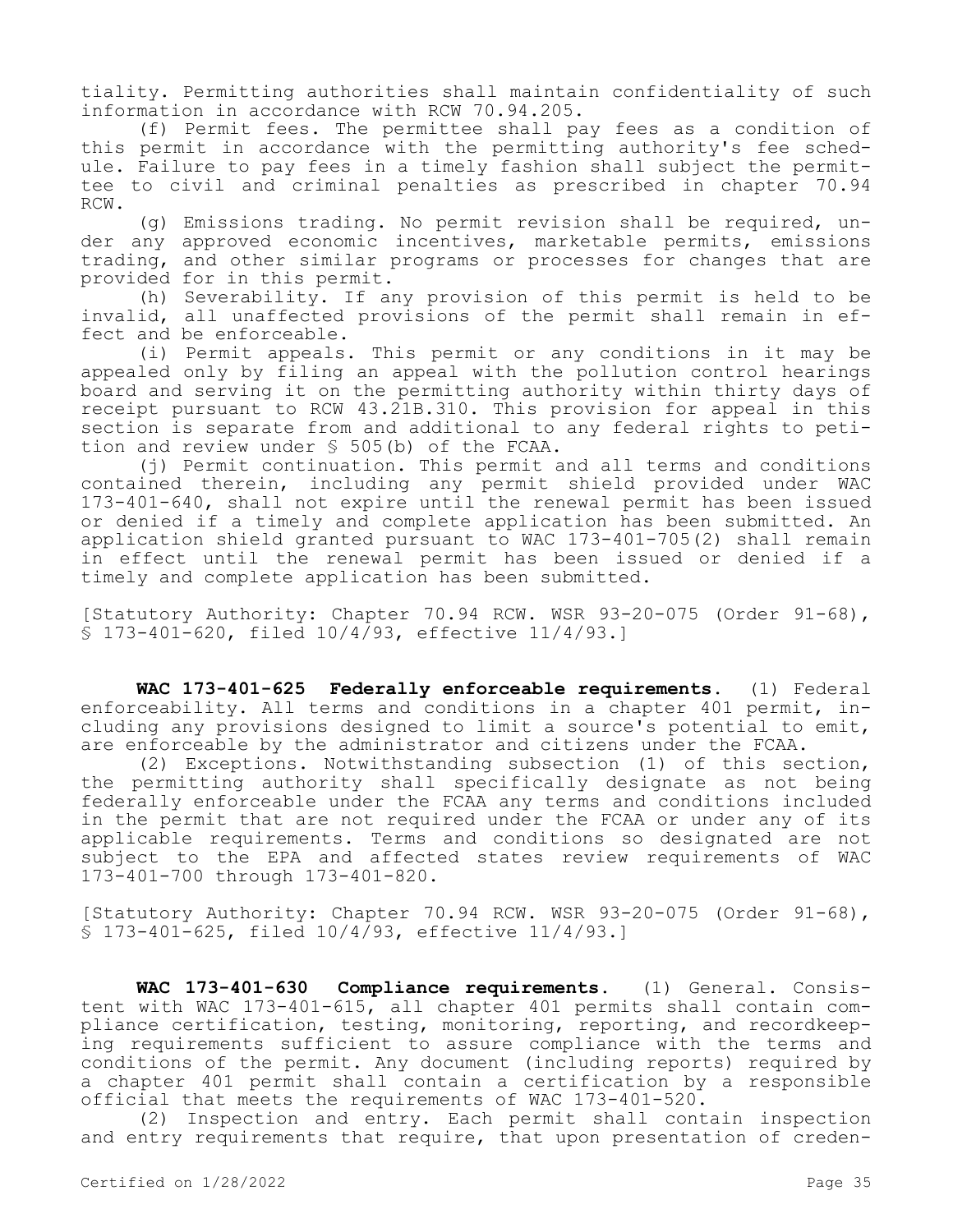tiality. Permitting authorities shall maintain confidentiality of such information in accordance with RCW 70.94.205.

(f) Permit fees. The permittee shall pay fees as a condition of this permit in accordance with the permitting authority's fee schedule. Failure to pay fees in a timely fashion shall subject the permittee to civil and criminal penalties as prescribed in chapter 70.94 RCW.

(g) Emissions trading. No permit revision shall be required, under any approved economic incentives, marketable permits, emissions trading, and other similar programs or processes for changes that are provided for in this permit.

(h) Severability. If any provision of this permit is held to be invalid, all unaffected provisions of the permit shall remain in effect and be enforceable.

(i) Permit appeals. This permit or any conditions in it may be appealed only by filing an appeal with the pollution control hearings board and serving it on the permitting authority within thirty days of receipt pursuant to RCW 43.21B.310. This provision for appeal in this section is separate from and additional to any federal rights to petition and review under § 505(b) of the FCAA.

(j) Permit continuation. This permit and all terms and conditions contained therein, including any permit shield provided under WAC 173-401-640, shall not expire until the renewal permit has been issued or denied if a timely and complete application has been submitted. An application shield granted pursuant to WAC 173-401-705(2) shall remain in effect until the renewal permit has been issued or denied if a timely and complete application has been submitted.

[Statutory Authority: Chapter 70.94 RCW. WSR 93-20-075 (Order 91-68), § 173-401-620, filed 10/4/93, effective 11/4/93.]

**WAC 173-401-625 Federally enforceable requirements.** (1) Federal enforceability. All terms and conditions in a chapter 401 permit, including any provisions designed to limit a source's potential to emit, are enforceable by the administrator and citizens under the FCAA.

(2) Exceptions. Notwithstanding subsection (1) of this section, the permitting authority shall specifically designate as not being federally enforceable under the FCAA any terms and conditions included in the permit that are not required under the FCAA or under any of its applicable requirements. Terms and conditions so designated are not subject to the EPA and affected states review requirements of WAC 173-401-700 through 173-401-820.

[Statutory Authority: Chapter 70.94 RCW. WSR 93-20-075 (Order 91-68), § 173-401-625, filed 10/4/93, effective 11/4/93.]

**WAC 173-401-630 Compliance requirements.** (1) General. Consistent with WAC 173-401-615, all chapter 401 permits shall contain compliance certification, testing, monitoring, reporting, and recordkeeping requirements sufficient to assure compliance with the terms and conditions of the permit. Any document (including reports) required by a chapter 401 permit shall contain a certification by a responsible official that meets the requirements of WAC 173-401-520.

(2) Inspection and entry. Each permit shall contain inspection and entry requirements that require, that upon presentation of creden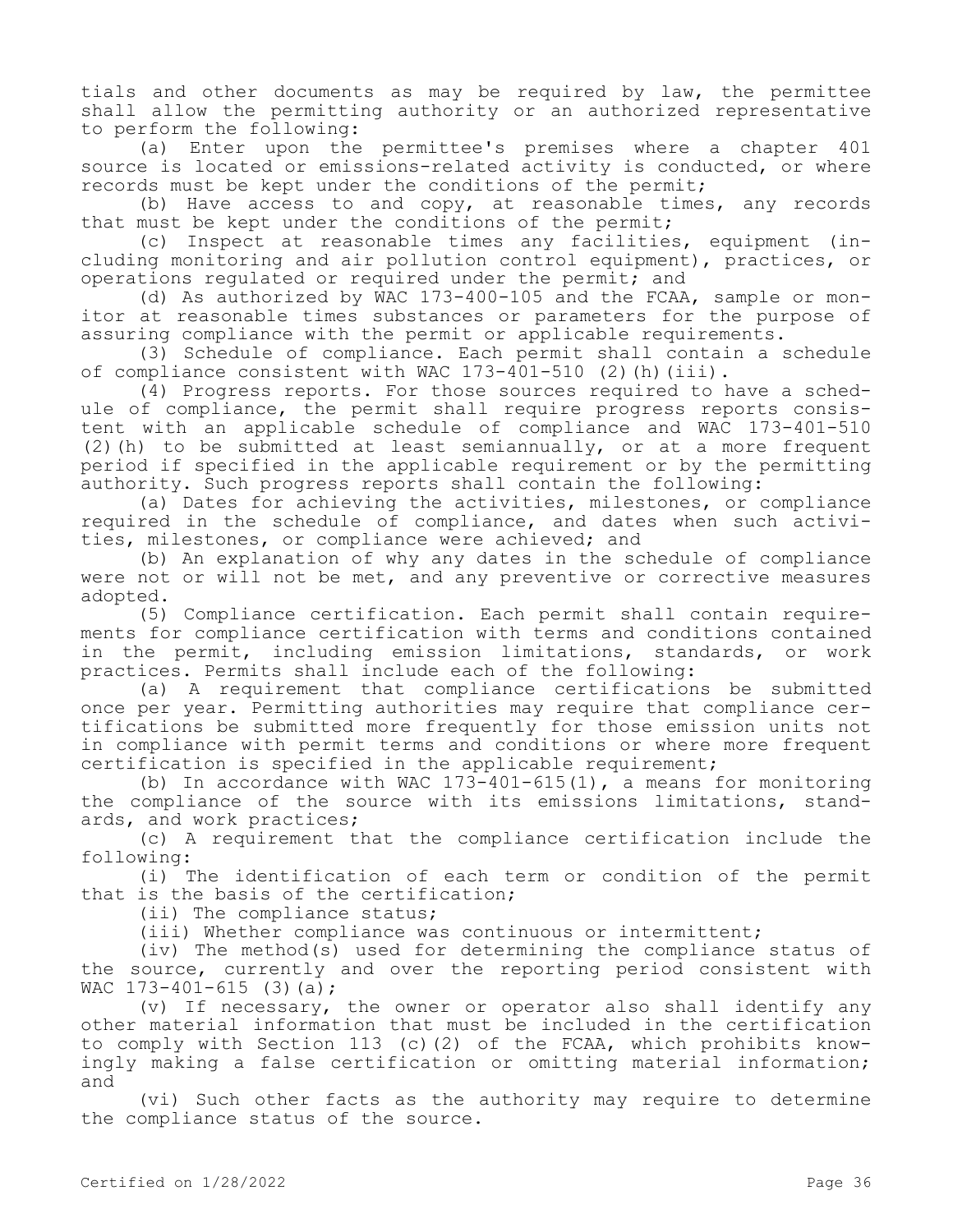tials and other documents as may be required by law, the permittee shall allow the permitting authority or an authorized representative to perform the following:

(a) Enter upon the permittee's premises where a chapter 401 source is located or emissions-related activity is conducted, or where records must be kept under the conditions of the permit;

(b) Have access to and copy, at reasonable times, any records that must be kept under the conditions of the permit;

(c) Inspect at reasonable times any facilities, equipment (including monitoring and air pollution control equipment), practices, or operations regulated or required under the permit; and

(d) As authorized by WAC 173-400-105 and the FCAA, sample or monitor at reasonable times substances or parameters for the purpose of assuring compliance with the permit or applicable requirements.

(3) Schedule of compliance. Each permit shall contain a schedule of compliance consistent with WAC 173-401-510 (2)(h)(iii).

(4) Progress reports. For those sources required to have a schedule of compliance, the permit shall require progress reports consistent with an applicable schedule of compliance and WAC 173-401-510 (2)(h) to be submitted at least semiannually, or at a more frequent period if specified in the applicable requirement or by the permitting authority. Such progress reports shall contain the following:

(a) Dates for achieving the activities, milestones, or compliance required in the schedule of compliance, and dates when such activities, milestones, or compliance were achieved; and

(b) An explanation of why any dates in the schedule of compliance were not or will not be met, and any preventive or corrective measures adopted.

(5) Compliance certification. Each permit shall contain requirements for compliance certification with terms and conditions contained in the permit, including emission limitations, standards, or work practices. Permits shall include each of the following:

(a) A requirement that compliance certifications be submitted once per year. Permitting authorities may require that compliance certifications be submitted more frequently for those emission units not in compliance with permit terms and conditions or where more frequent certification is specified in the applicable requirement;

(b) In accordance with WAC  $173-401-615(1)$ , a means for monitoring the compliance of the source with its emissions limitations, standards, and work practices;

(c) A requirement that the compliance certification include the following:

(i) The identification of each term or condition of the permit that is the basis of the certification;

(ii) The compliance status;

(iii) Whether compliance was continuous or intermittent;

(iv) The method(s) used for determining the compliance status of the source, currently and over the reporting period consistent with WAC  $173-401-615$  (3)(a);

(v) If necessary, the owner or operator also shall identify any other material information that must be included in the certification to comply with Section 113 (c)(2) of the FCAA, which prohibits knowingly making a false certification or omitting material information; and

(vi) Such other facts as the authority may require to determine the compliance status of the source.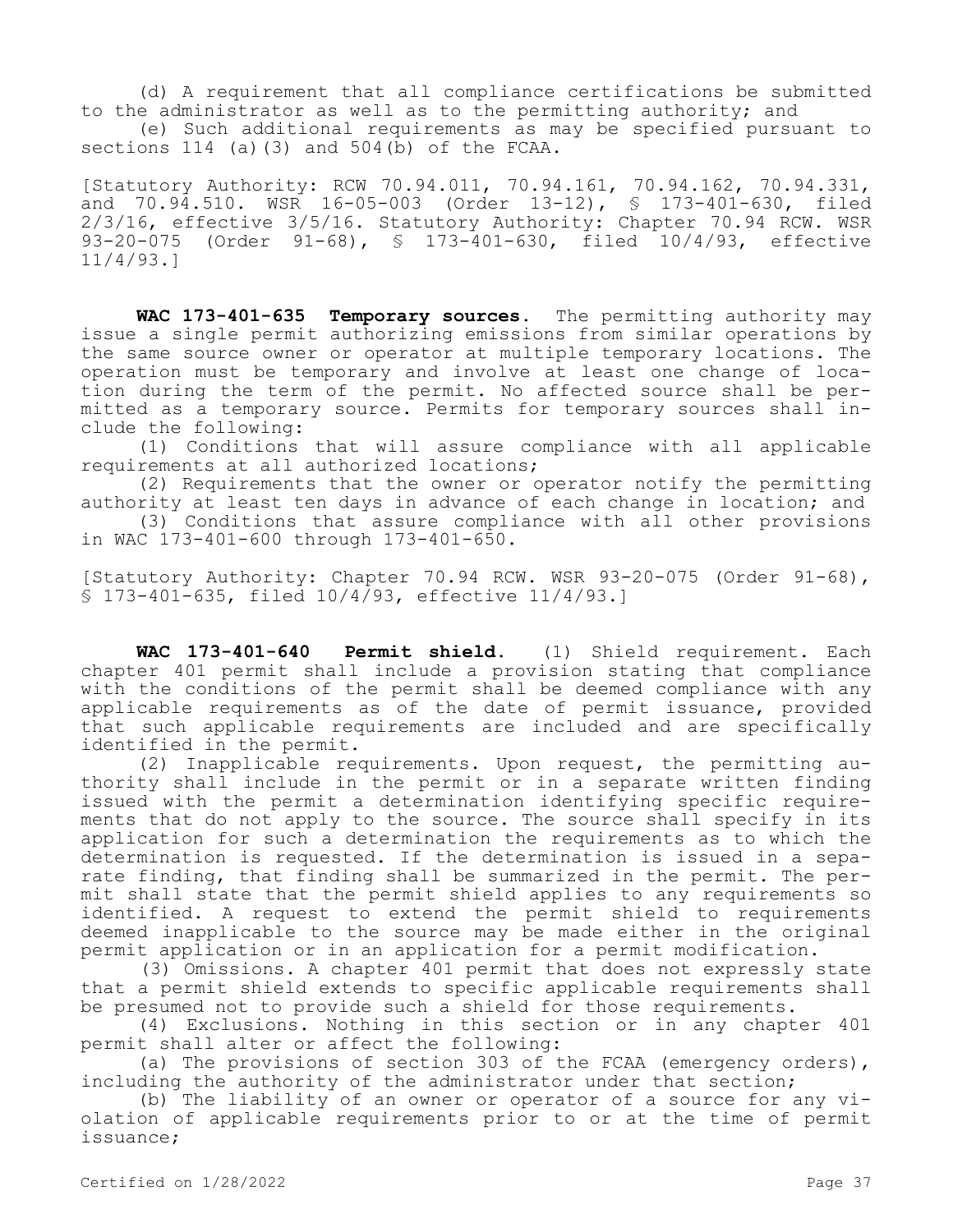(d) A requirement that all compliance certifications be submitted to the administrator as well as to the permitting authority; and

(e) Such additional requirements as may be specified pursuant to sections 114 (a)(3) and 504(b) of the FCAA.

[Statutory Authority: RCW 70.94.011, 70.94.161, 70.94.162, 70.94.331, and 70.94.510. WSR 16-05-003 (Order 13-12), § 173-401-630, filed 2/3/16, effective 3/5/16. Statutory Authority: Chapter 70.94 RCW. WSR 93-20-075 (Order 91-68), § 173-401-630, filed 10/4/93, effective 11/4/93.]

WAC 173-401-635 Temporary sources. The permitting authority may issue a single permit authorizing emissions from similar operations by the same source owner or operator at multiple temporary locations. The operation must be temporary and involve at least one change of location during the term of the permit. No affected source shall be permitted as a temporary source. Permits for temporary sources shall include the following:

(1) Conditions that will assure compliance with all applicable requirements at all authorized locations;

(2) Requirements that the owner or operator notify the permitting authority at least ten days in advance of each change in location; and

(3) Conditions that assure compliance with all other provisions in WAC 173-401-600 through 173-401-650.

[Statutory Authority: Chapter 70.94 RCW. WSR 93-20-075 (Order 91-68), § 173-401-635, filed 10/4/93, effective 11/4/93.]

**WAC 173-401-640 Permit shield.** (1) Shield requirement. Each chapter 401 permit shall include a provision stating that compliance with the conditions of the permit shall be deemed compliance with any applicable requirements as of the date of permit issuance, provided that such applicable requirements are included and are specifically identified in the permit.

(2) Inapplicable requirements. Upon request, the permitting authority shall include in the permit or in a separate written finding issued with the permit a determination identifying specific requirements that do not apply to the source. The source shall specify in its application for such a determination the requirements as to which the determination is requested. If the determination is issued in a separate finding, that finding shall be summarized in the permit. The permit shall state that the permit shield applies to any requirements so identified. A request to extend the permit shield to requirements deemed inapplicable to the source may be made either in the original permit application or in an application for a permit modification.

 (3) Omissions. A chapter 401 permit that does not expressly state that a permit shield extends to specific applicable requirements shall be presumed not to provide such a shield for those requirements.

(4) Exclusions. Nothing in this section or in any chapter 401 permit shall alter or affect the following:

(a) The provisions of section 303 of the FCAA (emergency orders), including the authority of the administrator under that section;

(b) The liability of an owner or operator of a source for any violation of applicable requirements prior to or at the time of permit issuance;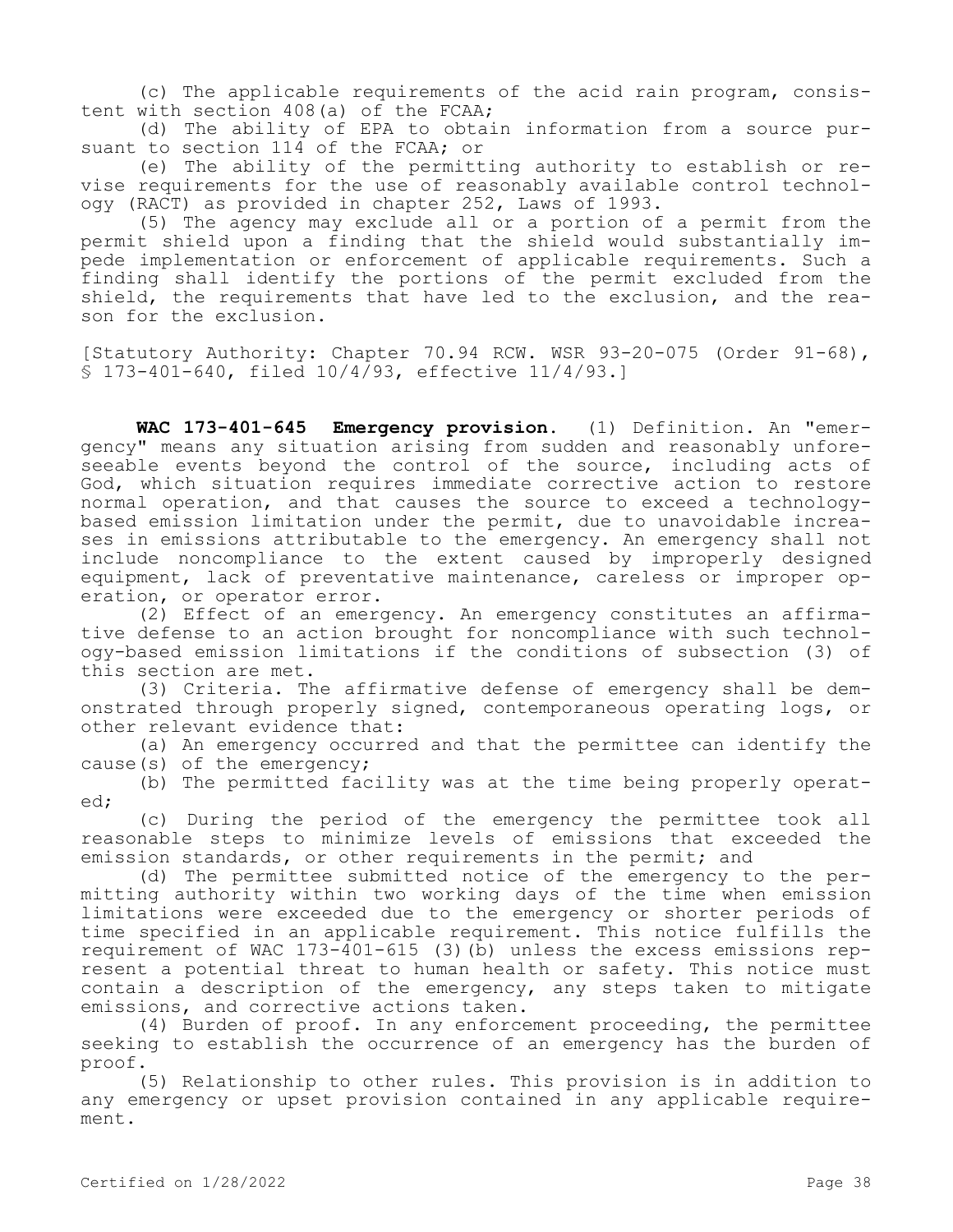(c) The applicable requirements of the acid rain program, consistent with section 408(a) of the FCAA;

(d) The ability of EPA to obtain information from a source pursuant to section 114 of the FCAA; or

(e) The ability of the permitting authority to establish or revise requirements for the use of reasonably available control technology (RACT) as provided in chapter 252, Laws of 1993.

(5) The agency may exclude all or a portion of a permit from the permit shield upon a finding that the shield would substantially impede implementation or enforcement of applicable requirements. Such a finding shall identify the portions of the permit excluded from the shield, the requirements that have led to the exclusion, and the reason for the exclusion.

[Statutory Authority: Chapter 70.94 RCW. WSR 93-20-075 (Order 91-68), § 173-401-640, filed 10/4/93, effective 11/4/93.]

**WAC 173-401-645 Emergency provision.** (1) Definition. An "emergency" means any situation arising from sudden and reasonably unforeseeable events beyond the control of the source, including acts of God, which situation requires immediate corrective action to restore normal operation, and that causes the source to exceed a technologybased emission limitation under the permit, due to unavoidable increases in emissions attributable to the emergency. An emergency shall not include noncompliance to the extent caused by improperly designed equipment, lack of preventative maintenance, careless or improper operation, or operator error.

(2) Effect of an emergency. An emergency constitutes an affirmative defense to an action brought for noncompliance with such technology-based emission limitations if the conditions of subsection (3) of this section are met.

(3) Criteria. The affirmative defense of emergency shall be demonstrated through properly signed, contemporaneous operating logs, or other relevant evidence that:

(a) An emergency occurred and that the permittee can identify the cause(s) of the emergency;

(b) The permitted facility was at the time being properly operated;

(c) During the period of the emergency the permittee took all reasonable steps to minimize levels of emissions that exceeded the emission standards, or other requirements in the permit; and

(d) The permittee submitted notice of the emergency to the permitting authority within two working days of the time when emission limitations were exceeded due to the emergency or shorter periods of time specified in an applicable requirement. This notice fulfills the requirement of WAC 173-401-615 (3)(b) unless the excess emissions represent a potential threat to human health or safety. This notice must contain a description of the emergency, any steps taken to mitigate emissions, and corrective actions taken.

(4) Burden of proof. In any enforcement proceeding, the permittee seeking to establish the occurrence of an emergency has the burden of proof.

(5) Relationship to other rules. This provision is in addition to any emergency or upset provision contained in any applicable requirement.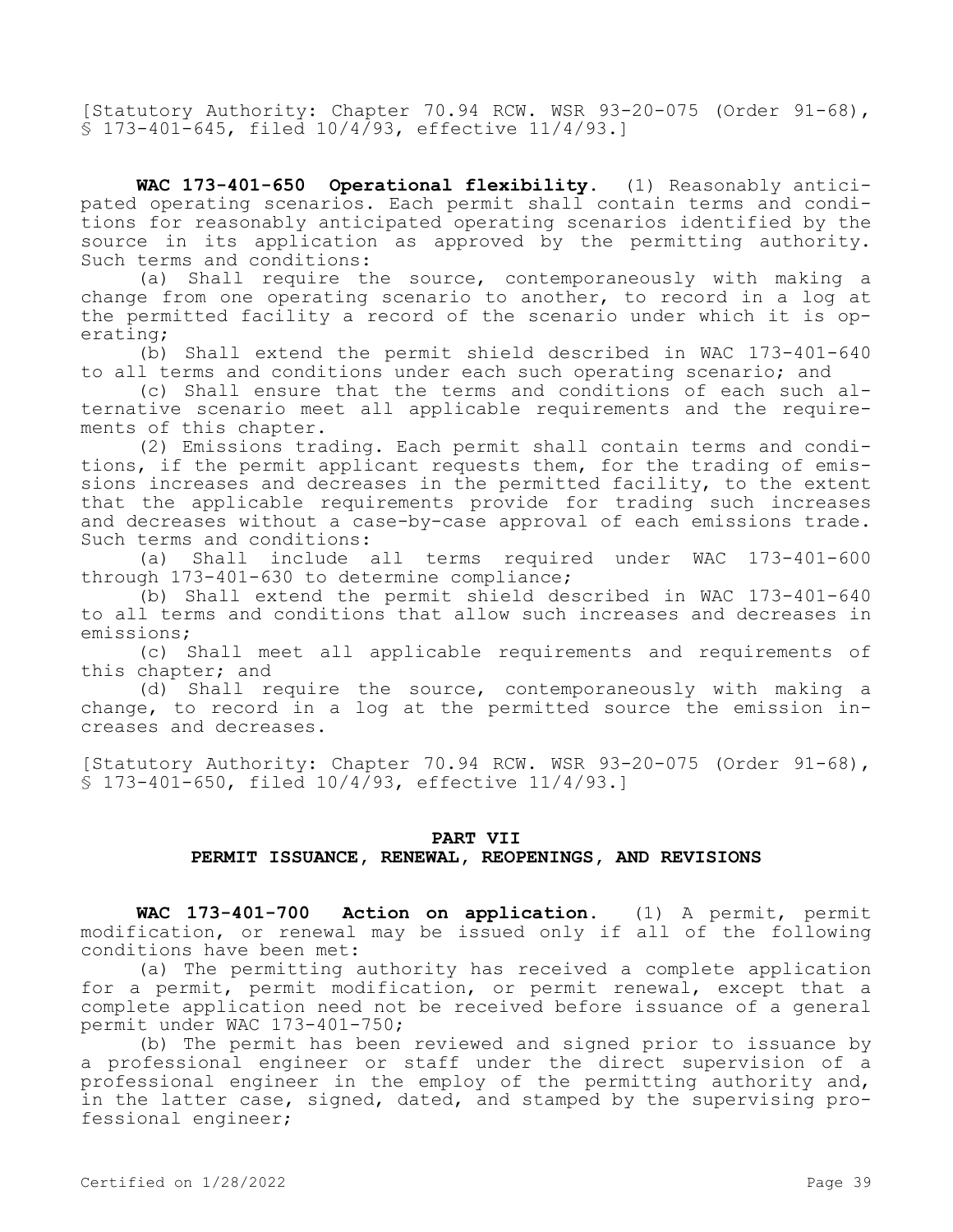[Statutory Authority: Chapter 70.94 RCW. WSR 93-20-075 (Order 91-68), § 173-401-645, filed 10/4/93, effective 11/4/93.]

**WAC 173-401-650 Operational flexibility.** (1) Reasonably anticipated operating scenarios. Each permit shall contain terms and conditions for reasonably anticipated operating scenarios identified by the source in its application as approved by the permitting authority. Such terms and conditions:

(a) Shall require the source, contemporaneously with making a change from one operating scenario to another, to record in a log at the permitted facility a record of the scenario under which it is operating;

(b) Shall extend the permit shield described in WAC 173-401-640 to all terms and conditions under each such operating scenario; and

(c) Shall ensure that the terms and conditions of each such alternative scenario meet all applicable requirements and the requirements of this chapter.

(2) Emissions trading. Each permit shall contain terms and conditions, if the permit applicant requests them, for the trading of emissions increases and decreases in the permitted facility, to the extent that the applicable requirements provide for trading such increases and decreases without a case-by-case approval of each emissions trade. Such terms and conditions:

(a) Shall include all terms required under WAC 173-401-600 through 173-401-630 to determine compliance;

(b) Shall extend the permit shield described in WAC 173-401-640 to all terms and conditions that allow such increases and decreases in emissions;

(c) Shall meet all applicable requirements and requirements of this chapter; and

(d) Shall require the source, contemporaneously with making a change, to record in a log at the permitted source the emission increases and decreases.

[Statutory Authority: Chapter 70.94 RCW. WSR 93-20-075 (Order 91-68), § 173-401-650, filed 10/4/93, effective 11/4/93.]

#### **PART VII**

# **PERMIT ISSUANCE, RENEWAL, REOPENINGS, AND REVISIONS**

**WAC 173-401-700 Action on application.** (1) A permit, permit modification, or renewal may be issued only if all of the following conditions have been met:

(a) The permitting authority has received a complete application for a permit, permit modification, or permit renewal, except that a complete application need not be received before issuance of a general permit under WAC 173-401-750;

(b) The permit has been reviewed and signed prior to issuance by a professional engineer or staff under the direct supervision of a professional engineer in the employ of the permitting authority and, in the latter case, signed, dated, and stamped by the supervising professional engineer;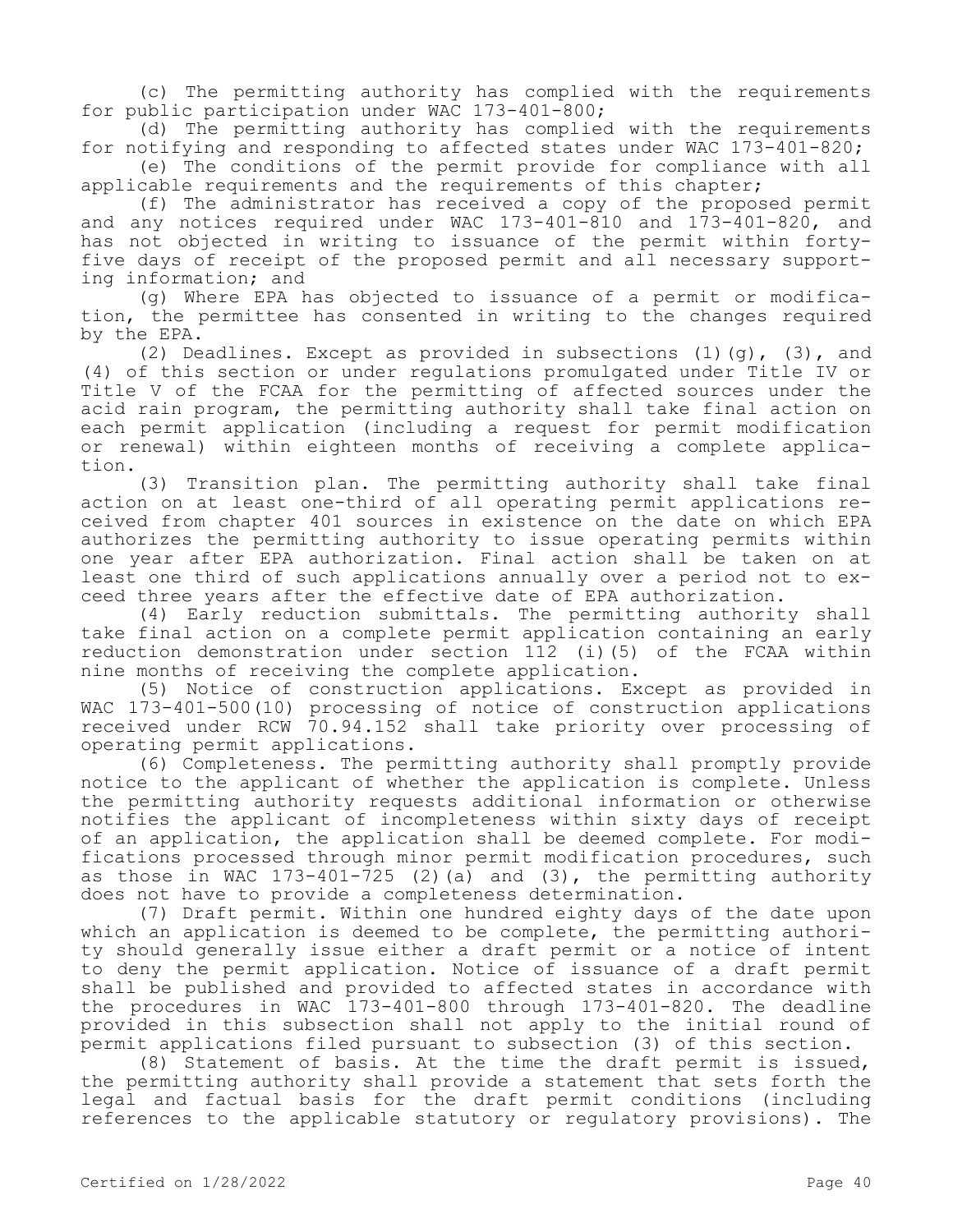(c) The permitting authority has complied with the requirements for public participation under WAC 173-401-800;

(d) The permitting authority has complied with the requirements for notifying and responding to affected states under WAC 173-401-820;

(e) The conditions of the permit provide for compliance with all applicable requirements and the requirements of this chapter;

(f) The administrator has received a copy of the proposed permit and any notices required under WAC 173-401-810 and 173-401-820, and has not objected in writing to issuance of the permit within fortyfive days of receipt of the proposed permit and all necessary supporting information; and

(g) Where EPA has objected to issuance of a permit or modification, the permittee has consented in writing to the changes required by the EPA.

(2) Deadlines. Except as provided in subsections  $(1)(q)$ ,  $(3)$ , and (4) of this section or under regulations promulgated under Title IV or Title V of the FCAA for the permitting of affected sources under the acid rain program, the permitting authority shall take final action on each permit application (including a request for permit modification or renewal) within eighteen months of receiving a complete application.

(3) Transition plan. The permitting authority shall take final action on at least one-third of all operating permit applications received from chapter 401 sources in existence on the date on which EPA authorizes the permitting authority to issue operating permits within one year after EPA authorization. Final action shall be taken on at least one third of such applications annually over a period not to exceed three years after the effective date of EPA authorization.

(4) Early reduction submittals. The permitting authority shall take final action on a complete permit application containing an early reduction demonstration under section 112 (i)(5) of the FCAA within nine months of receiving the complete application.

(5) Notice of construction applications. Except as provided in WAC 173-401-500(10) processing of notice of construction applications received under RCW 70.94.152 shall take priority over processing of operating permit applications.

(6) Completeness. The permitting authority shall promptly provide notice to the applicant of whether the application is complete. Unless the permitting authority requests additional information or otherwise notifies the applicant of incompleteness within sixty days of receipt of an application, the application shall be deemed complete. For modifications processed through minor permit modification procedures, such as those in WAC  $173-401-725$  (2)(a) and (3), the permitting authority does not have to provide a completeness determination.

(7) Draft permit. Within one hundred eighty days of the date upon which an application is deemed to be complete, the permitting authority should generally issue either a draft permit or a notice of intent to deny the permit application. Notice of issuance of a draft permit shall be published and provided to affected states in accordance with the procedures in WAC 173-401-800 through 173-401-820. The deadline provided in this subsection shall not apply to the initial round of permit applications filed pursuant to subsection (3) of this section.

(8) Statement of basis. At the time the draft permit is issued, the permitting authority shall provide a statement that sets forth the legal and factual basis for the draft permit conditions (including references to the applicable statutory or regulatory provisions). The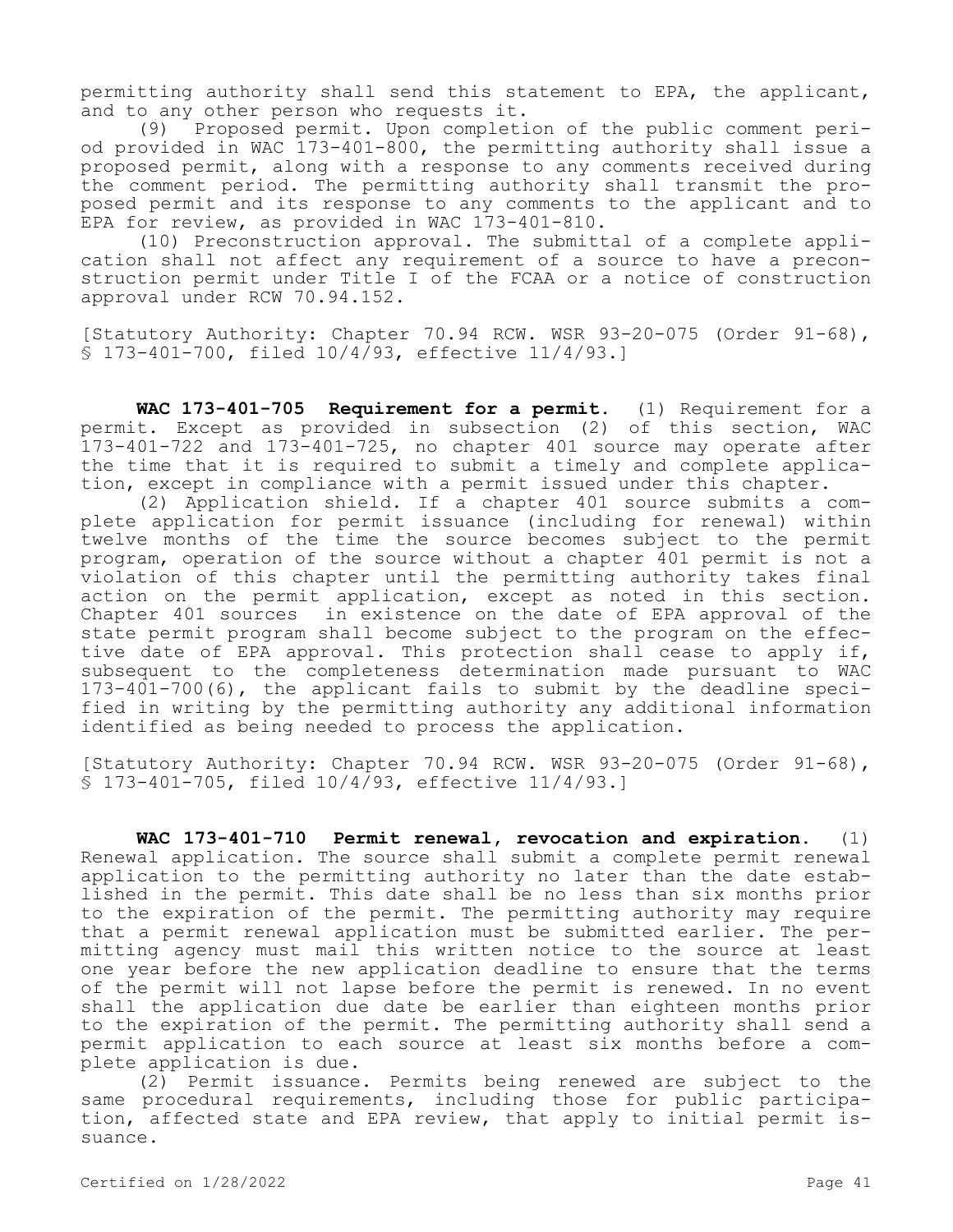permitting authority shall send this statement to EPA, the applicant, and to any other person who requests it.

(9) Proposed permit. Upon completion of the public comment period provided in WAC 173-401-800, the permitting authority shall issue a proposed permit, along with a response to any comments received during the comment period. The permitting authority shall transmit the proposed permit and its response to any comments to the applicant and to EPA for review, as provided in WAC 173-401-810.

(10) Preconstruction approval. The submittal of a complete application shall not affect any requirement of a source to have a preconstruction permit under Title I of the FCAA or a notice of construction approval under RCW 70.94.152.

[Statutory Authority: Chapter 70.94 RCW. WSR 93-20-075 (Order 91-68), § 173-401-700, filed 10/4/93, effective 11/4/93.]

**WAC 173-401-705 Requirement for a permit.** (1) Requirement for a permit. Except as provided in subsection (2) of this section, WAC 173-401-722 and 173-401-725, no chapter 401 source may operate after the time that it is required to submit a timely and complete application, except in compliance with a permit issued under this chapter.

(2) Application shield. If a chapter 401 source submits a complete application for permit issuance (including for renewal) within twelve months of the time the source becomes subject to the permit program, operation of the source without a chapter 401 permit is not a violation of this chapter until the permitting authority takes final action on the permit application, except as noted in this section. Chapter 401 sources in existence on the date of EPA approval of the state permit program shall become subject to the program on the effective date of EPA approval. This protection shall cease to apply if, subsequent to the completeness determination made pursuant to WAC 173-401-700(6), the applicant fails to submit by the deadline specified in writing by the permitting authority any additional information identified as being needed to process the application.

[Statutory Authority: Chapter 70.94 RCW. WSR 93-20-075 (Order 91-68), § 173-401-705, filed 10/4/93, effective 11/4/93.]

**WAC 173-401-710 Permit renewal, revocation and expiration.** (1) Renewal application. The source shall submit a complete permit renewal application to the permitting authority no later than the date established in the permit. This date shall be no less than six months prior to the expiration of the permit. The permitting authority may require that a permit renewal application must be submitted earlier. The permitting agency must mail this written notice to the source at least one year before the new application deadline to ensure that the terms of the permit will not lapse before the permit is renewed. In no event shall the application due date be earlier than eighteen months prior to the expiration of the permit. The permitting authority shall send a permit application to each source at least six months before a complete application is due.

(2) Permit issuance. Permits being renewed are subject to the same procedural requirements, including those for public participation, affected state and EPA review, that apply to initial permit issuance.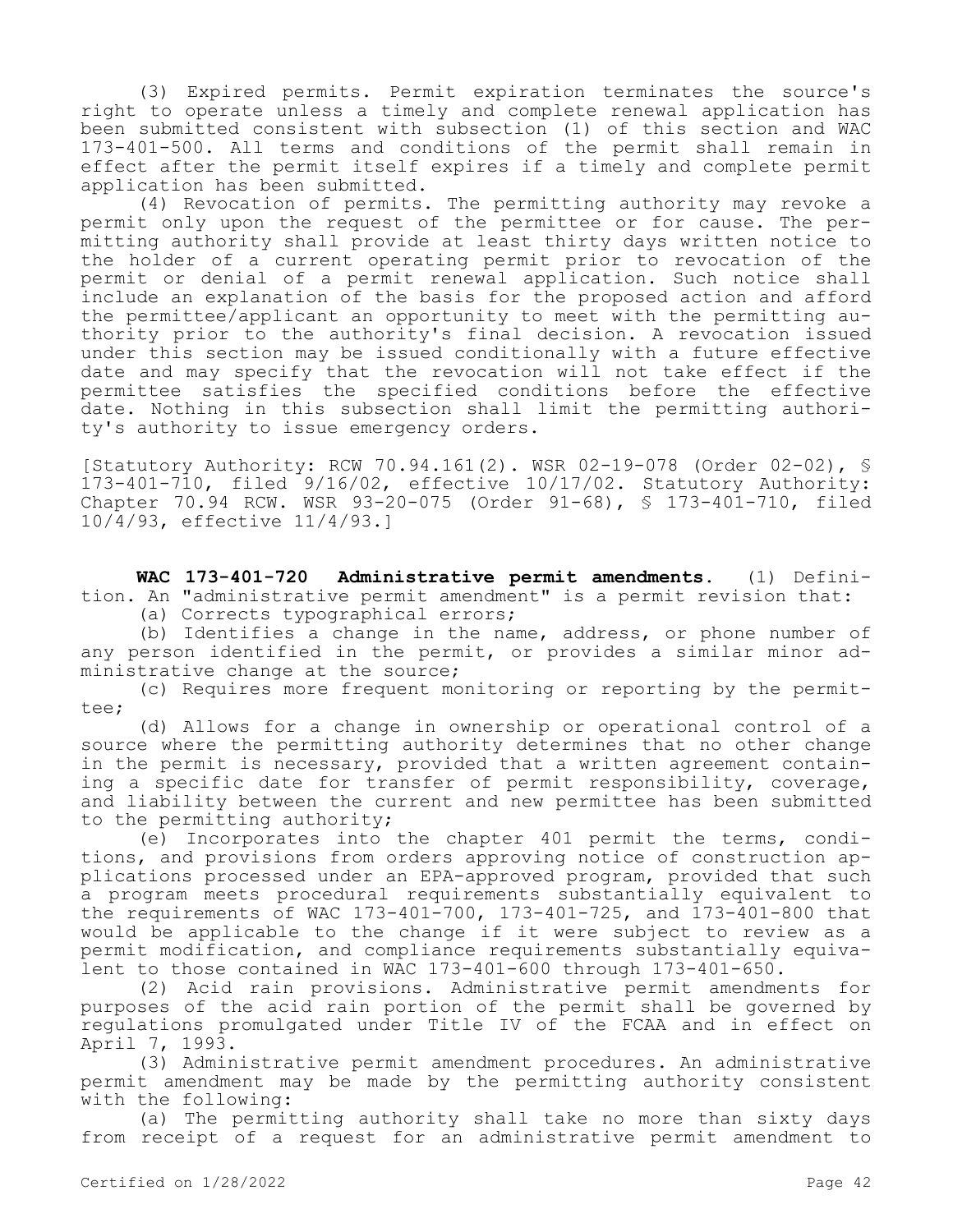(3) Expired permits. Permit expiration terminates the source's right to operate unless a timely and complete renewal application has been submitted consistent with subsection (1) of this section and WAC 173-401-500. All terms and conditions of the permit shall remain in effect after the permit itself expires if a timely and complete permit application has been submitted.

(4) Revocation of permits. The permitting authority may revoke a permit only upon the request of the permittee or for cause. The permitting authority shall provide at least thirty days written notice to the holder of a current operating permit prior to revocation of the permit or denial of a permit renewal application. Such notice shall include an explanation of the basis for the proposed action and afford the permittee/applicant an opportunity to meet with the permitting authority prior to the authority's final decision. A revocation issued under this section may be issued conditionally with a future effective date and may specify that the revocation will not take effect if the permittee satisfies the specified conditions before the effective date. Nothing in this subsection shall limit the permitting authority's authority to issue emergency orders.

[Statutory Authority: RCW 70.94.161(2). WSR 02-19-078 (Order 02-02), § 173-401-710, filed 9/16/02, effective 10/17/02. Statutory Authority: Chapter 70.94 RCW. WSR 93-20-075 (Order 91-68), § 173-401-710, filed 10/4/93, effective 11/4/93.]

**WAC 173-401-720 Administrative permit amendments.** (1) Definition. An "administrative permit amendment" is a permit revision that:

(a) Corrects typographical errors;

(b) Identifies a change in the name, address, or phone number of any person identified in the permit, or provides a similar minor administrative change at the source;

(c) Requires more frequent monitoring or reporting by the permittee;

(d) Allows for a change in ownership or operational control of a source where the permitting authority determines that no other change in the permit is necessary, provided that a written agreement containing a specific date for transfer of permit responsibility, coverage, and liability between the current and new permittee has been submitted to the permitting authority;

(e) Incorporates into the chapter 401 permit the terms, conditions, and provisions from orders approving notice of construction applications processed under an EPA-approved program, provided that such a program meets procedural requirements substantially equivalent to the requirements of WAC 173-401-700, 173-401-725, and 173-401-800 that would be applicable to the change if it were subject to review as a permit modification, and compliance requirements substantially equivalent to those contained in WAC 173-401-600 through 173-401-650.

(2) Acid rain provisions. Administrative permit amendments for purposes of the acid rain portion of the permit shall be governed by regulations promulgated under Title IV of the FCAA and in effect on April 7, 1993.

(3) Administrative permit amendment procedures. An administrative permit amendment may be made by the permitting authority consistent with the following:

(a) The permitting authority shall take no more than sixty days from receipt of a request for an administrative permit amendment to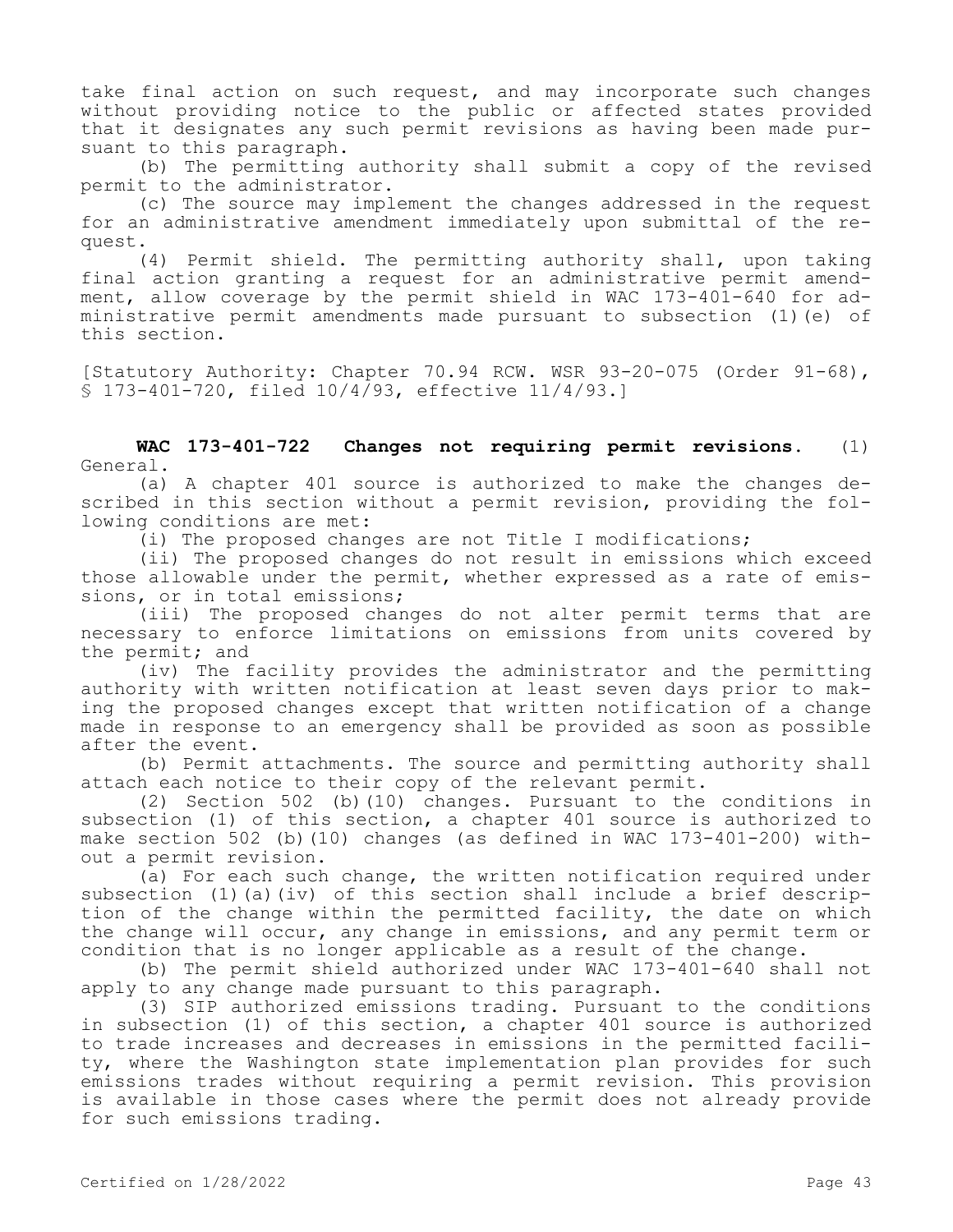take final action on such request, and may incorporate such changes without providing notice to the public or affected states provided that it designates any such permit revisions as having been made pursuant to this paragraph.

(b) The permitting authority shall submit a copy of the revised permit to the administrator.

(c) The source may implement the changes addressed in the request for an administrative amendment immediately upon submittal of the request.

(4) Permit shield. The permitting authority shall, upon taking final action granting a request for an administrative permit amendment, allow coverage by the permit shield in WAC 173-401-640 for administrative permit amendments made pursuant to subsection (1)(e) of this section.

[Statutory Authority: Chapter 70.94 RCW. WSR 93-20-075 (Order 91-68), § 173-401-720, filed 10/4/93, effective 11/4/93.]

**WAC 173-401-722 Changes not requiring permit revisions.** (1) General.

(a) A chapter 401 source is authorized to make the changes described in this section without a permit revision, providing the following conditions are met:

(i) The proposed changes are not Title I modifications;

(ii) The proposed changes do not result in emissions which exceed those allowable under the permit, whether expressed as a rate of emissions, or in total emissions;

(iii) The proposed changes do not alter permit terms that are necessary to enforce limitations on emissions from units covered by the permit; and

(iv) The facility provides the administrator and the permitting authority with written notification at least seven days prior to making the proposed changes except that written notification of a change made in response to an emergency shall be provided as soon as possible after the event.

(b) Permit attachments. The source and permitting authority shall attach each notice to their copy of the relevant permit.

(2) Section 502 (b)(10) changes. Pursuant to the conditions in subsection (1) of this section, a chapter 401 source is authorized to make section 502 (b)(10) changes (as defined in WAC 173-401-200) without a permit revision.

(a) For each such change, the written notification required under subsection (1)(a)(iv) of this section shall include a brief description of the change within the permitted facility, the date on which the change will occur, any change in emissions, and any permit term or condition that is no longer applicable as a result of the change.

(b) The permit shield authorized under WAC 173-401-640 shall not apply to any change made pursuant to this paragraph.

(3) SIP authorized emissions trading. Pursuant to the conditions in subsection (1) of this section, a chapter 401 source is authorized to trade increases and decreases in emissions in the permitted facility, where the Washington state implementation plan provides for such emissions trades without requiring a permit revision. This provision is available in those cases where the permit does not already provide for such emissions trading.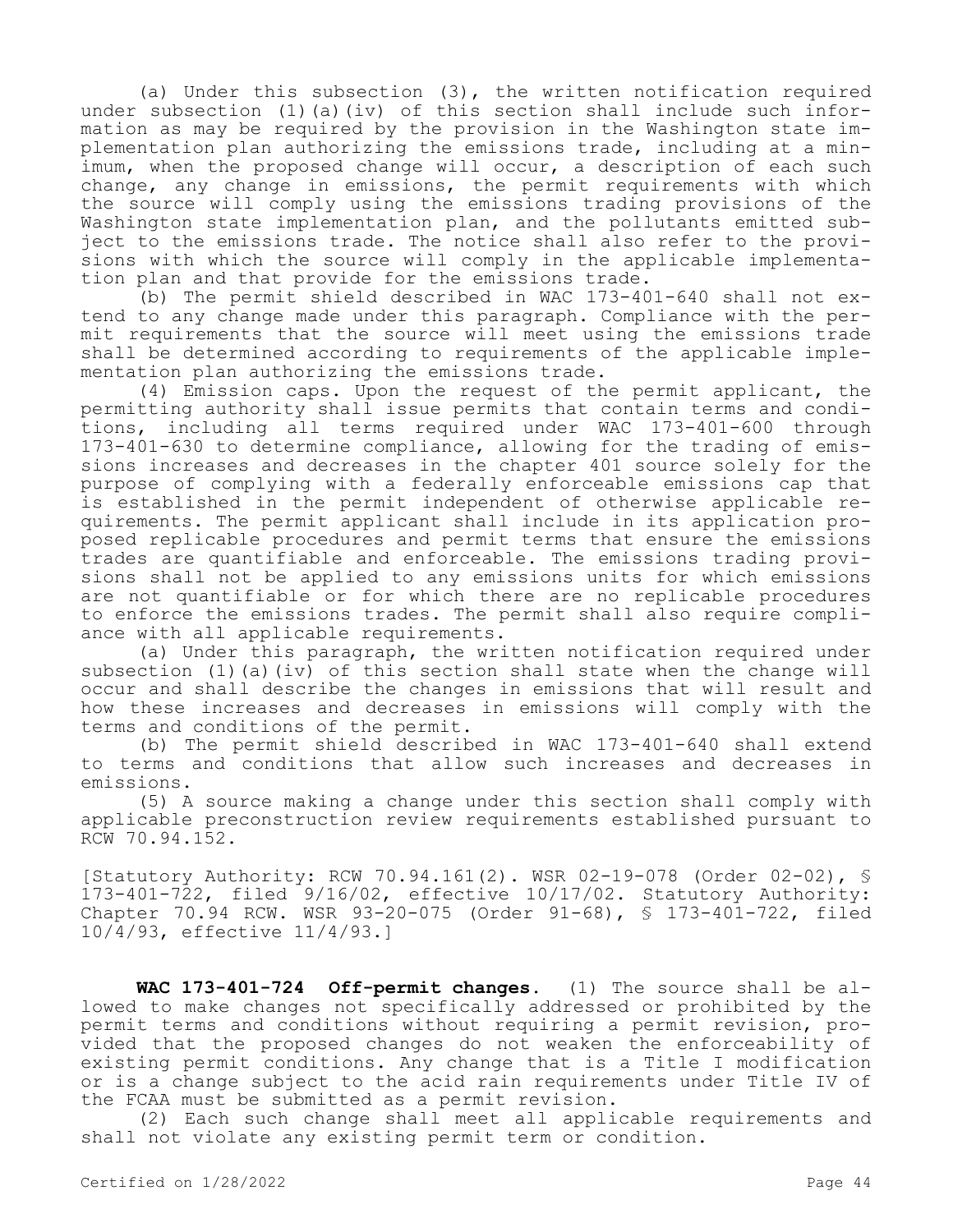(a) Under this subsection (3), the written notification required under subsection  $(1)(a)(iv)$  of this section shall include such information as may be required by the provision in the Washington state implementation plan authorizing the emissions trade, including at a minimum, when the proposed change will occur, a description of each such change, any change in emissions, the permit requirements with which the source will comply using the emissions trading provisions of the Washington state implementation plan, and the pollutants emitted subject to the emissions trade. The notice shall also refer to the provisions with which the source will comply in the applicable implementation plan and that provide for the emissions trade.

(b) The permit shield described in WAC 173-401-640 shall not extend to any change made under this paragraph. Compliance with the permit requirements that the source will meet using the emissions trade shall be determined according to requirements of the applicable implementation plan authorizing the emissions trade.

(4) Emission caps. Upon the request of the permit applicant, the permitting authority shall issue permits that contain terms and conditions, including all terms required under WAC 173-401-600 through 173-401-630 to determine compliance, allowing for the trading of emissions increases and decreases in the chapter 401 source solely for the purpose of complying with a federally enforceable emissions cap that is established in the permit independent of otherwise applicable requirements. The permit applicant shall include in its application proposed replicable procedures and permit terms that ensure the emissions trades are quantifiable and enforceable. The emissions trading provisions shall not be applied to any emissions units for which emissions are not quantifiable or for which there are no replicable procedures to enforce the emissions trades. The permit shall also require compliance with all applicable requirements.

(a) Under this paragraph, the written notification required under subsection (1)(a)(iv) of this section shall state when the change will occur and shall describe the changes in emissions that will result and how these increases and decreases in emissions will comply with the terms and conditions of the permit.

(b) The permit shield described in WAC 173-401-640 shall extend to terms and conditions that allow such increases and decreases in emissions.

(5) A source making a change under this section shall comply with applicable preconstruction review requirements established pursuant to RCW 70.94.152.

[Statutory Authority: RCW 70.94.161(2). WSR 02-19-078 (Order 02-02), § 173-401-722, filed 9/16/02, effective 10/17/02. Statutory Authority: Chapter 70.94 RCW. WSR 93-20-075 (Order 91-68), § 173-401-722, filed 10/4/93, effective 11/4/93.]

**WAC 173-401-724 Off-permit changes.** (1) The source shall be allowed to make changes not specifically addressed or prohibited by the permit terms and conditions without requiring a permit revision, provided that the proposed changes do not weaken the enforceability of existing permit conditions. Any change that is a Title I modification or is a change subject to the acid rain requirements under Title IV of the FCAA must be submitted as a permit revision.

(2) Each such change shall meet all applicable requirements and shall not violate any existing permit term or condition.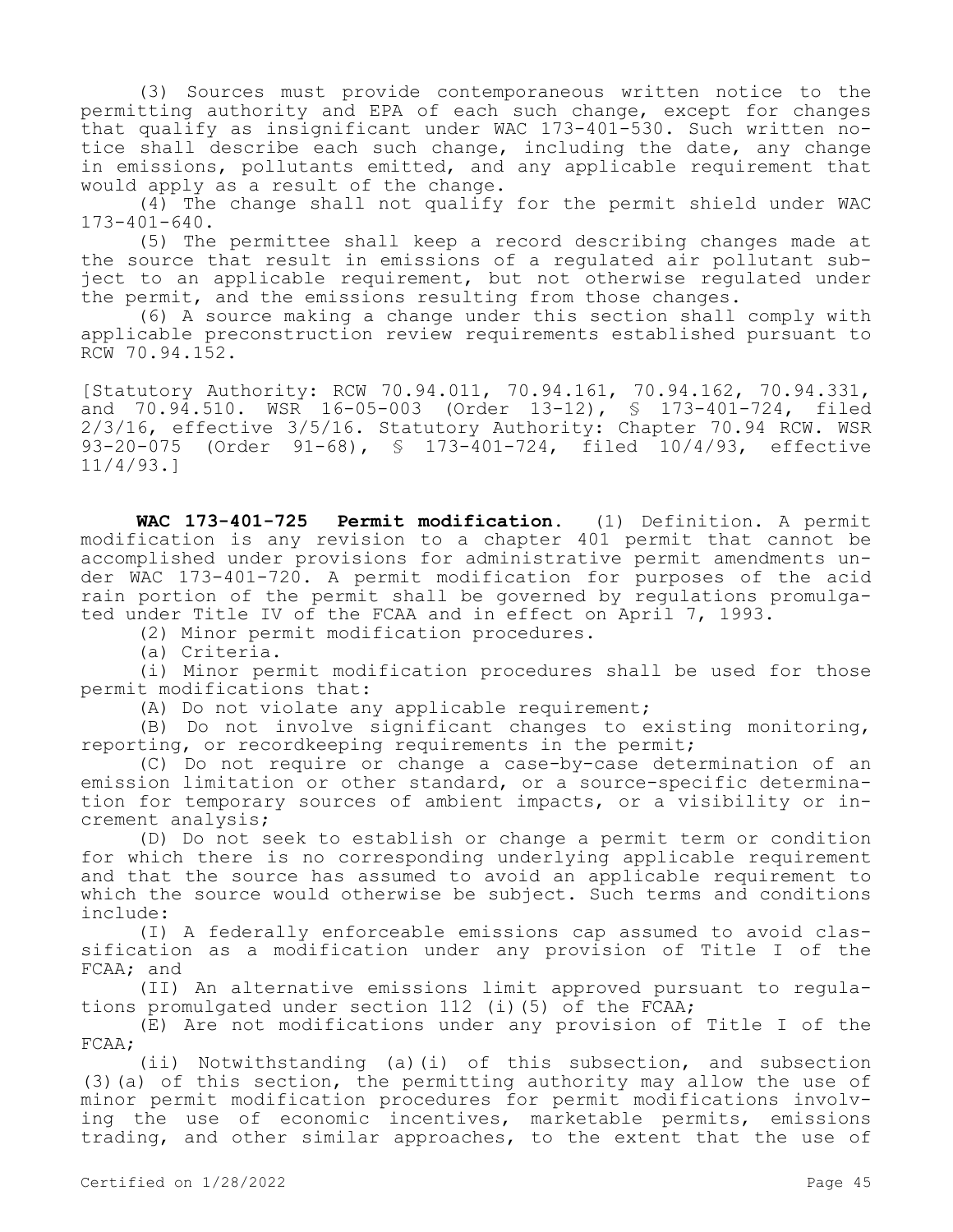(3) Sources must provide contemporaneous written notice to the permitting authority and EPA of each such change, except for changes that qualify as insignificant under WAC 173-401-530. Such written notice shall describe each such change, including the date, any change in emissions, pollutants emitted, and any applicable requirement that would apply as a result of the change.

(4) The change shall not qualify for the permit shield under WAC 173-401-640.

(5) The permittee shall keep a record describing changes made at the source that result in emissions of a regulated air pollutant subject to an applicable requirement, but not otherwise regulated under the permit, and the emissions resulting from those changes.

(6) A source making a change under this section shall comply with applicable preconstruction review requirements established pursuant to RCW 70.94.152.

[Statutory Authority: RCW 70.94.011, 70.94.161, 70.94.162, 70.94.331, and 70.94.510. WSR 16-05-003 (Order 13-12), § 173-401-724, filed 2/3/16, effective 3/5/16. Statutory Authority: Chapter 70.94 RCW. WSR 93-20-075 (Order 91-68), § 173-401-724, filed 10/4/93, effective 11/4/93.]

**WAC 173-401-725 Permit modification.** (1) Definition. A permit modification is any revision to a chapter 401 permit that cannot be accomplished under provisions for administrative permit amendments under WAC 173-401-720. A permit modification for purposes of the acid rain portion of the permit shall be governed by regulations promulgated under Title IV of the FCAA and in effect on April 7, 1993.

(2) Minor permit modification procedures.

(a) Criteria.

(i) Minor permit modification procedures shall be used for those permit modifications that:

(A) Do not violate any applicable requirement;

(B) Do not involve significant changes to existing monitoring, reporting, or recordkeeping requirements in the permit;

(C) Do not require or change a case-by-case determination of an emission limitation or other standard, or a source-specific determination for temporary sources of ambient impacts, or a visibility or increment analysis;

(D) Do not seek to establish or change a permit term or condition for which there is no corresponding underlying applicable requirement and that the source has assumed to avoid an applicable requirement to which the source would otherwise be subject. Such terms and conditions include:

(I) A federally enforceable emissions cap assumed to avoid classification as a modification under any provision of Title I of the FCAA; and

(II) An alternative emissions limit approved pursuant to regulations promulgated under section 112 (i)(5) of the FCAA;

(E) Are not modifications under any provision of Title I of the FCAA;

(ii) Notwithstanding (a)(i) of this subsection, and subsection (3)(a) of this section, the permitting authority may allow the use of minor permit modification procedures for permit modifications involving the use of economic incentives, marketable permits, emissions trading, and other similar approaches, to the extent that the use of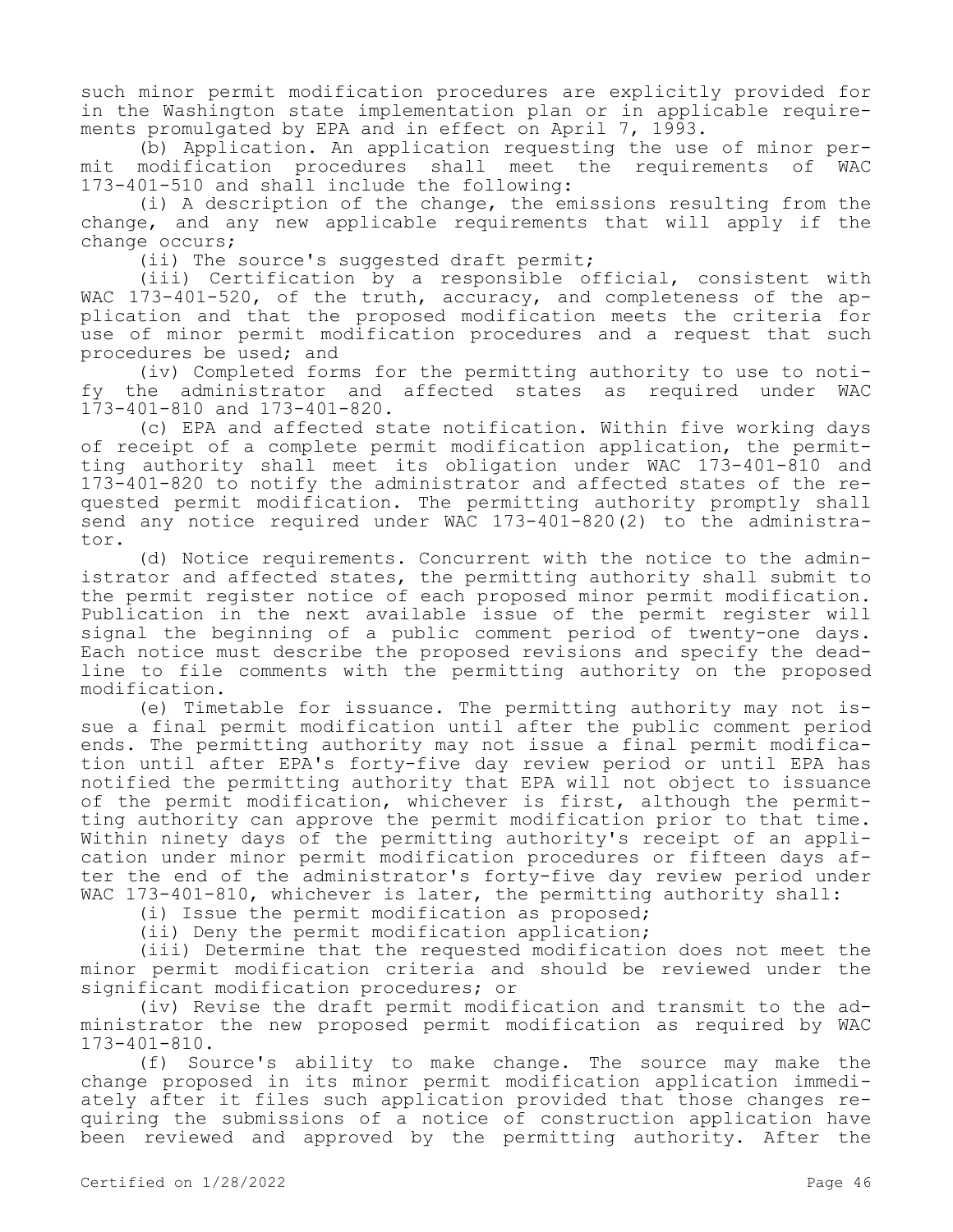such minor permit modification procedures are explicitly provided for in the Washington state implementation plan or in applicable requirements promulgated by EPA and in effect on April 7, 1993.

(b) Application. An application requesting the use of minor permit modification procedures shall meet the requirements of WAC 173-401-510 and shall include the following:

(i) A description of the change, the emissions resulting from the change, and any new applicable requirements that will apply if the change occurs;

(ii) The source's suggested draft permit;

(iii) Certification by a responsible official, consistent with WAC 173-401-520, of the truth, accuracy, and completeness of the application and that the proposed modification meets the criteria for use of minor permit modification procedures and a request that such procedures be used; and

(iv) Completed forms for the permitting authority to use to notify the administrator and affected states as required under WAC 173-401-810 and 173-401-820.

(c) EPA and affected state notification. Within five working days of receipt of a complete permit modification application, the permitting authority shall meet its obligation under WAC 173-401-810 and 173-401-820 to notify the administrator and affected states of the requested permit modification. The permitting authority promptly shall send any notice required under WAC 173-401-820(2) to the administrator.

(d) Notice requirements. Concurrent with the notice to the administrator and affected states, the permitting authority shall submit to the permit register notice of each proposed minor permit modification. Publication in the next available issue of the permit register will signal the beginning of a public comment period of twenty-one days. Each notice must describe the proposed revisions and specify the deadline to file comments with the permitting authority on the proposed modification.

(e) Timetable for issuance. The permitting authority may not issue a final permit modification until after the public comment period ends. The permitting authority may not issue a final permit modification until after EPA's forty-five day review period or until EPA has notified the permitting authority that EPA will not object to issuance of the permit modification, whichever is first, although the permitting authority can approve the permit modification prior to that time. Within ninety days of the permitting authority's receipt of an application under minor permit modification procedures or fifteen days after the end of the administrator's forty-five day review period under WAC 173-401-810, whichever is later, the permitting authority shall:

(i) Issue the permit modification as proposed;

(ii) Deny the permit modification application;

(iii) Determine that the requested modification does not meet the minor permit modification criteria and should be reviewed under the significant modification procedures; or

(iv) Revise the draft permit modification and transmit to the administrator the new proposed permit modification as required by WAC 173-401-810.

(f) Source's ability to make change. The source may make the change proposed in its minor permit modification application immediately after it files such application provided that those changes requiring the submissions of a notice of construction application have been reviewed and approved by the permitting authority. After the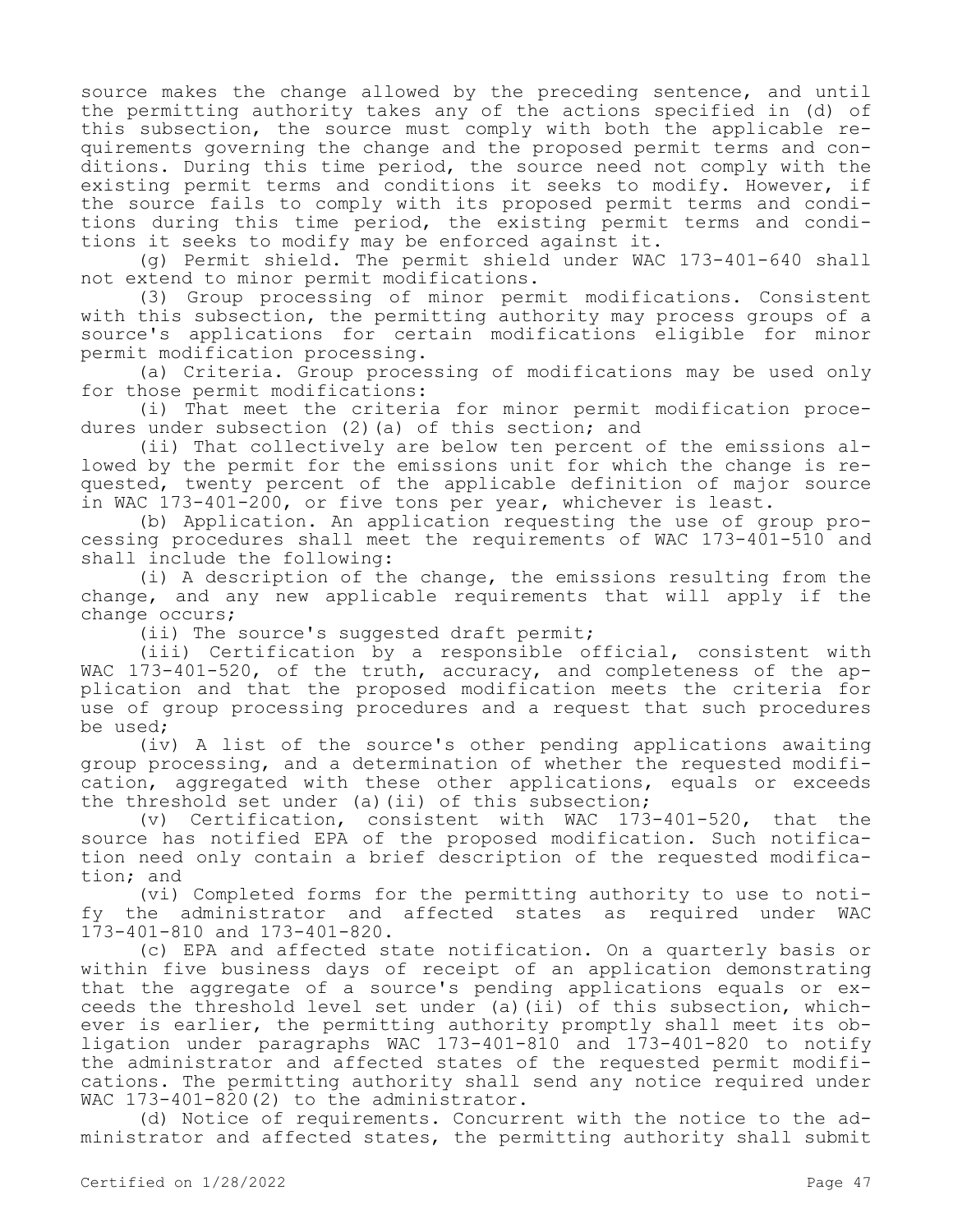source makes the change allowed by the preceding sentence, and until the permitting authority takes any of the actions specified in (d) of this subsection, the source must comply with both the applicable requirements governing the change and the proposed permit terms and conditions. During this time period, the source need not comply with the existing permit terms and conditions it seeks to modify. However, if the source fails to comply with its proposed permit terms and conditions during this time period, the existing permit terms and conditions it seeks to modify may be enforced against it.

(g) Permit shield. The permit shield under WAC 173-401-640 shall not extend to minor permit modifications.

(3) Group processing of minor permit modifications. Consistent with this subsection, the permitting authority may process groups of a source's applications for certain modifications eligible for minor permit modification processing.

(a) Criteria. Group processing of modifications may be used only for those permit modifications:

(i) That meet the criteria for minor permit modification procedures under subsection (2) (a) of this section; and

(ii) That collectively are below ten percent of the emissions allowed by the permit for the emissions unit for which the change is requested, twenty percent of the applicable definition of major source in WAC 173-401-200, or five tons per year, whichever is least.

(b) Application. An application requesting the use of group processing procedures shall meet the requirements of WAC 173-401-510 and shall include the following:

(i) A description of the change, the emissions resulting from the change, and any new applicable requirements that will apply if the change occurs;

(ii) The source's suggested draft permit;

(iii) Certification by a responsible official, consistent with WAC 173-401-520, of the truth, accuracy, and completeness of the application and that the proposed modification meets the criteria for use of group processing procedures and a request that such procedures be used;

(iv) A list of the source's other pending applications awaiting group processing, and a determination of whether the requested modification, aggregated with these other applications, equals or exceeds the threshold set under (a)(ii) of this subsection;

(v) Certification, consistent with WAC 173-401-520, that the source has notified EPA of the proposed modification. Such notification need only contain a brief description of the requested modification; and

(vi) Completed forms for the permitting authority to use to notify the administrator and affected states as required under WAC 173-401-810 and 173-401-820.

(c) EPA and affected state notification. On a quarterly basis or within five business days of receipt of an application demonstrating that the aggregate of a source's pending applications equals or exceeds the threshold level set under (a)(ii) of this subsection, whichever is earlier, the permitting authority promptly shall meet its obligation under paragraphs WAC 173-401-810 and 173-401-820 to notify the administrator and affected states of the requested permit modifications. The permitting authority shall send any notice required under WAC 173-401-820(2) to the administrator.

(d) Notice of requirements. Concurrent with the notice to the administrator and affected states, the permitting authority shall submit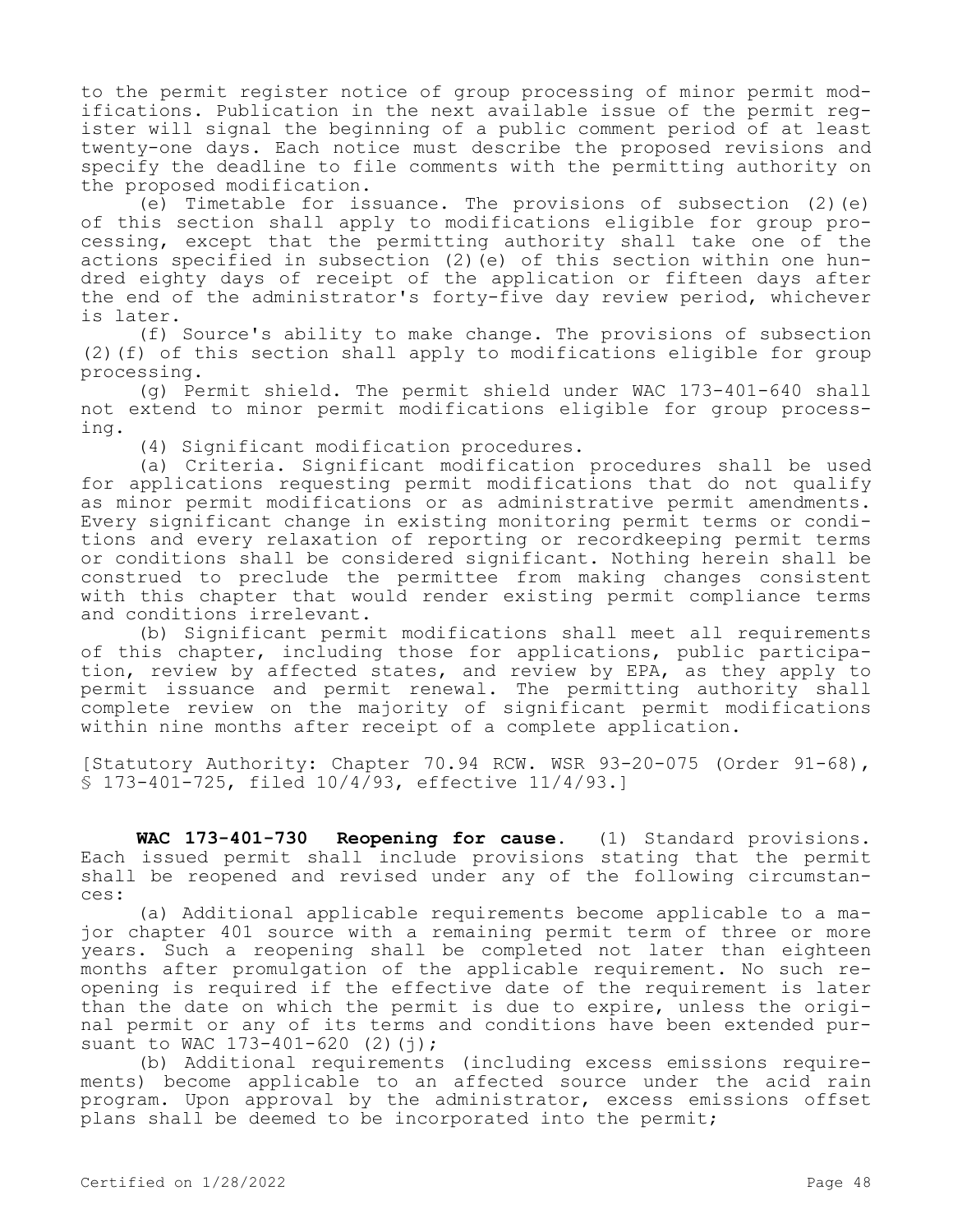to the permit register notice of group processing of minor permit modifications. Publication in the next available issue of the permit register will signal the beginning of a public comment period of at least twenty-one days. Each notice must describe the proposed revisions and specify the deadline to file comments with the permitting authority on the proposed modification.

(e) Timetable for issuance. The provisions of subsection  $(2)$  (e) of this section shall apply to modifications eligible for group processing, except that the permitting authority shall take one of the actions specified in subsection (2)(e) of this section within one hundred eighty days of receipt of the application or fifteen days after the end of the administrator's forty-five day review period, whichever is later.

(f) Source's ability to make change. The provisions of subsection (2)(f) of this section shall apply to modifications eligible for group processing.

(g) Permit shield. The permit shield under WAC 173-401-640 shall not extend to minor permit modifications eligible for group processing.

(4) Significant modification procedures.

(a) Criteria. Significant modification procedures shall be used for applications requesting permit modifications that do not qualify as minor permit modifications or as administrative permit amendments. Every significant change in existing monitoring permit terms or conditions and every relaxation of reporting or recordkeeping permit terms or conditions shall be considered significant. Nothing herein shall be construed to preclude the permittee from making changes consistent with this chapter that would render existing permit compliance terms and conditions irrelevant.

(b) Significant permit modifications shall meet all requirements of this chapter, including those for applications, public participation, review by affected states, and review by EPA, as they apply to permit issuance and permit renewal. The permitting authority shall complete review on the majority of significant permit modifications within nine months after receipt of a complete application.

[Statutory Authority: Chapter 70.94 RCW. WSR 93-20-075 (Order 91-68), § 173-401-725, filed 10/4/93, effective 11/4/93.]

**WAC 173-401-730 Reopening for cause.** (1) Standard provisions. Each issued permit shall include provisions stating that the permit shall be reopened and revised under any of the following circumstances:

(a) Additional applicable requirements become applicable to a major chapter 401 source with a remaining permit term of three or more years. Such a reopening shall be completed not later than eighteen months after promulgation of the applicable requirement. No such reopening is required if the effective date of the requirement is later than the date on which the permit is due to expire, unless the original permit or any of its terms and conditions have been extended pursuant to WAC 173-401-620 (2)(j);

(b) Additional requirements (including excess emissions requirements) become applicable to an affected source under the acid rain program. Upon approval by the administrator, excess emissions offset plans shall be deemed to be incorporated into the permit;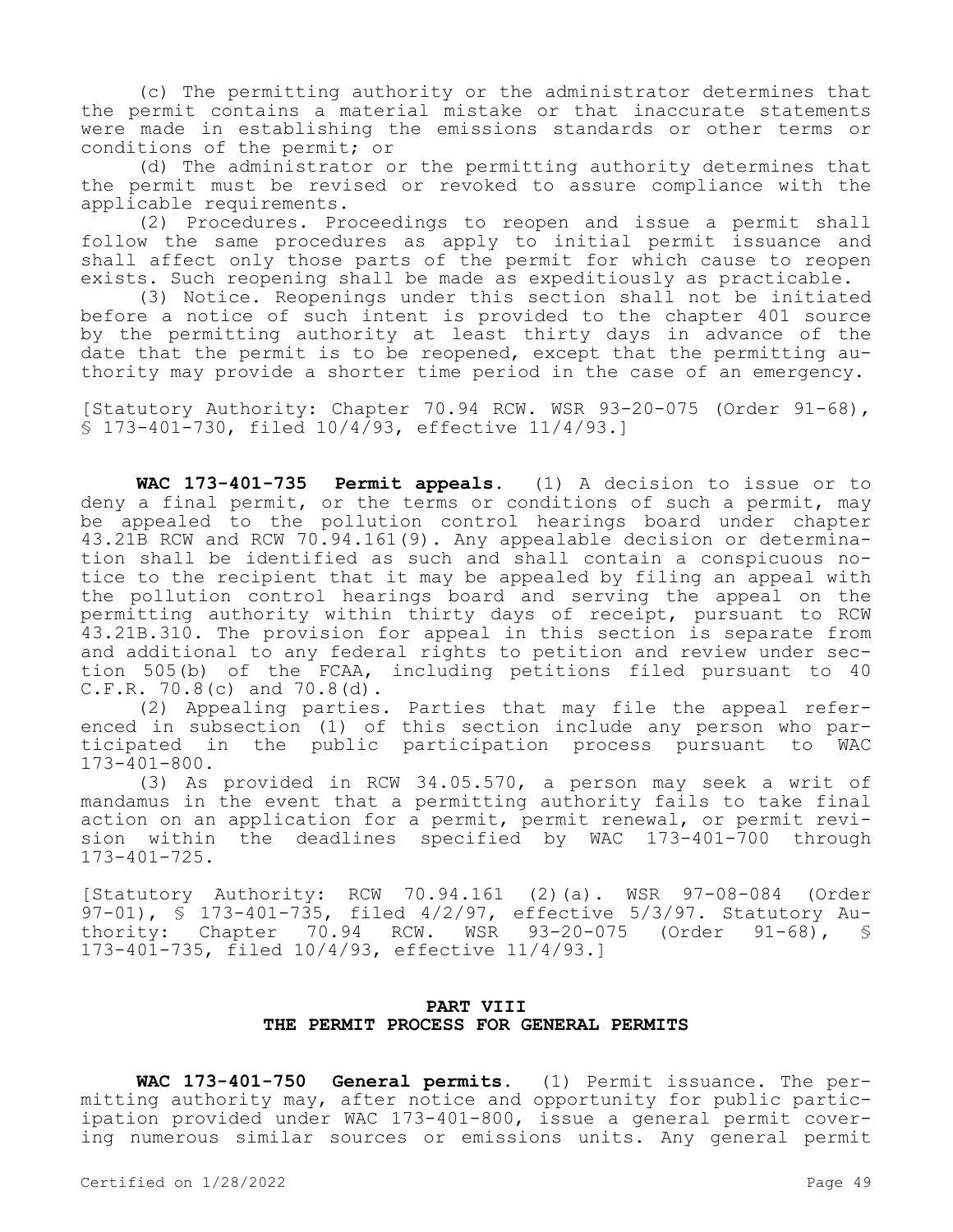(c) The permitting authority or the administrator determines that the permit contains a material mistake or that inaccurate statements were made in establishing the emissions standards or other terms or conditions of the permit; or

(d) The administrator or the permitting authority determines that the permit must be revised or revoked to assure compliance with the applicable requirements.

(2) Procedures. Proceedings to reopen and issue a permit shall follow the same procedures as apply to initial permit issuance and shall affect only those parts of the permit for which cause to reopen exists. Such reopening shall be made as expeditiously as practicable.

(3) Notice. Reopenings under this section shall not be initiated before a notice of such intent is provided to the chapter 401 source by the permitting authority at least thirty days in advance of the date that the permit is to be reopened, except that the permitting authority may provide a shorter time period in the case of an emergency.

[Statutory Authority: Chapter 70.94 RCW. WSR 93-20-075 (Order 91-68), § 173-401-730, filed 10/4/93, effective 11/4/93.]

**WAC 173-401-735 Permit appeals.** (1) A decision to issue or to deny a final permit, or the terms or conditions of such a permit, may be appealed to the pollution control hearings board under chapter 43.21B RCW and RCW 70.94.161(9). Any appealable decision or determination shall be identified as such and shall contain a conspicuous notice to the recipient that it may be appealed by filing an appeal with the pollution control hearings board and serving the appeal on the permitting authority within thirty days of receipt, pursuant to RCW 43.21B.310. The provision for appeal in this section is separate from and additional to any federal rights to petition and review under section 505(b) of the FCAA, including petitions filed pursuant to 40 C.F.R. 70.8(c) and 70.8(d).

(2) Appealing parties. Parties that may file the appeal referenced in subsection (1) of this section include any person who participated in the public participation process pursuant to WAC 173-401-800.

(3) As provided in RCW 34.05.570, a person may seek a writ of mandamus in the event that a permitting authority fails to take final action on an application for a permit, permit renewal, or permit revision within the deadlines specified by WAC 173-401-700 through 173-401-725.

[Statutory Authority: RCW 70.94.161 (2)(a). WSR 97-08-084 (Order 97-01), § 173-401-735, filed 4/2/97, effective 5/3/97. Statutory Authority: Chapter 70.94 RCW. WSR 93-20-075 (Order 91-68), § 173-401-735, filed 10/4/93, effective 11/4/93.]

# **PART VIII THE PERMIT PROCESS FOR GENERAL PERMITS**

**WAC 173-401-750 General permits.** (1) Permit issuance. The permitting authority may, after notice and opportunity for public participation provided under WAC 173-401-800, issue a general permit covering numerous similar sources or emissions units. Any general permit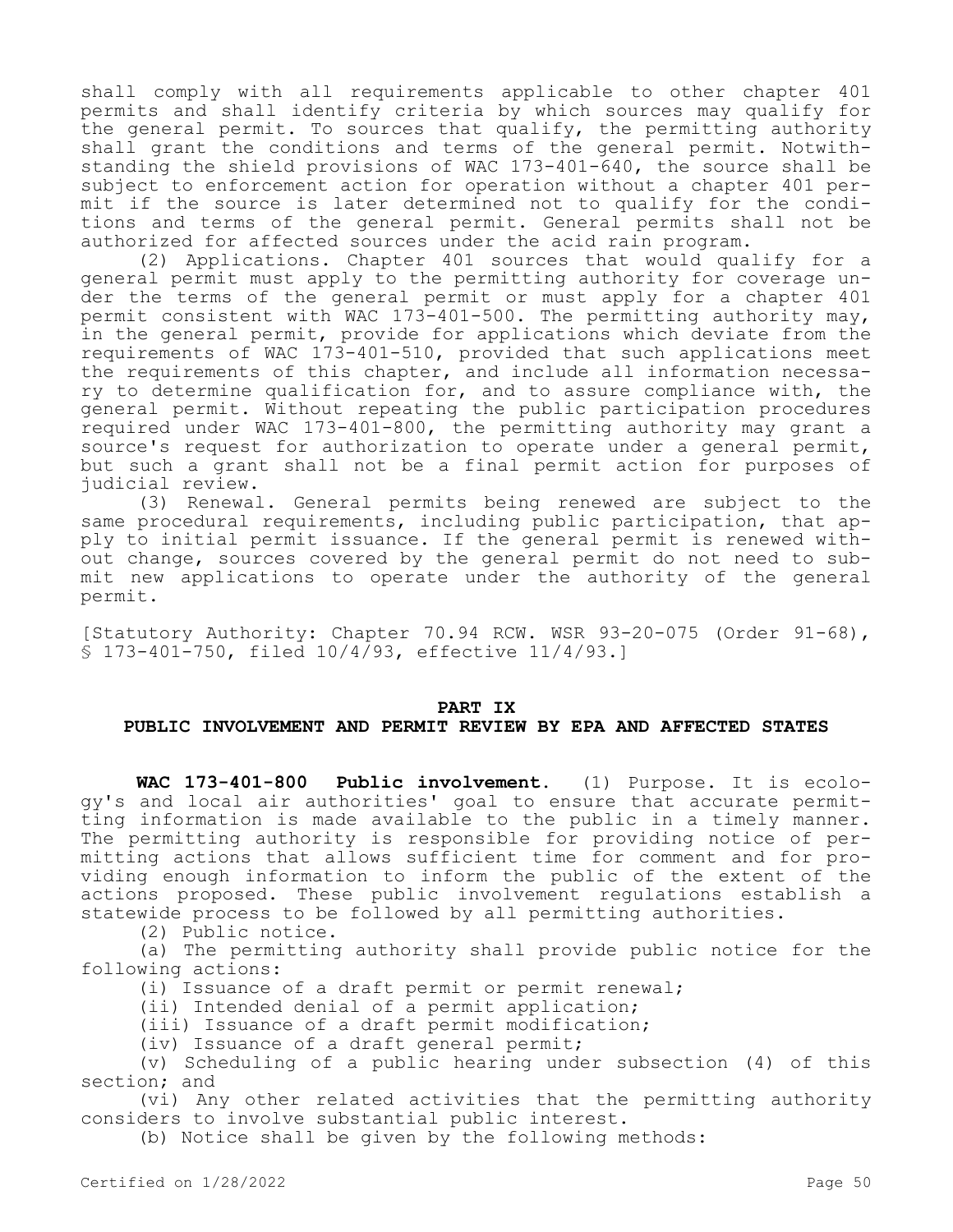shall comply with all requirements applicable to other chapter 401 permits and shall identify criteria by which sources may qualify for the general permit. To sources that qualify, the permitting authority shall grant the conditions and terms of the general permit. Notwithstanding the shield provisions of WAC 173-401-640, the source shall be subject to enforcement action for operation without a chapter 401 permit if the source is later determined not to qualify for the conditions and terms of the general permit. General permits shall not be authorized for affected sources under the acid rain program.

(2) Applications. Chapter 401 sources that would qualify for a general permit must apply to the permitting authority for coverage under the terms of the general permit or must apply for a chapter 401 permit consistent with WAC 173-401-500. The permitting authority may, in the general permit, provide for applications which deviate from the requirements of WAC 173-401-510, provided that such applications meet the requirements of this chapter, and include all information necessary to determine qualification for, and to assure compliance with, the general permit. Without repeating the public participation procedures required under WAC 173-401-800, the permitting authority may grant a source's request for authorization to operate under a general permit, but such a grant shall not be a final permit action for purposes of judicial review.

(3) Renewal. General permits being renewed are subject to the same procedural requirements, including public participation, that apply to initial permit issuance. If the general permit is renewed without change, sources covered by the general permit do not need to submit new applications to operate under the authority of the general permit.

[Statutory Authority: Chapter 70.94 RCW. WSR 93-20-075 (Order 91-68), § 173-401-750, filed 10/4/93, effective 11/4/93.]

#### **PART IX**

# **PUBLIC INVOLVEMENT AND PERMIT REVIEW BY EPA AND AFFECTED STATES**

**WAC 173-401-800 Public involvement.** (1) Purpose. It is ecology's and local air authorities' goal to ensure that accurate permitting information is made available to the public in a timely manner. The permitting authority is responsible for providing notice of permitting actions that allows sufficient time for comment and for providing enough information to inform the public of the extent of the actions proposed. These public involvement regulations establish a statewide process to be followed by all permitting authorities.

(2) Public notice.

(a) The permitting authority shall provide public notice for the following actions:

(i) Issuance of a draft permit or permit renewal;

(ii) Intended denial of a permit application;

(iii) Issuance of a draft permit modification;

(iv) Issuance of a draft general permit;

(v) Scheduling of a public hearing under subsection (4) of this section; and

(vi) Any other related activities that the permitting authority considers to involve substantial public interest.

(b) Notice shall be given by the following methods: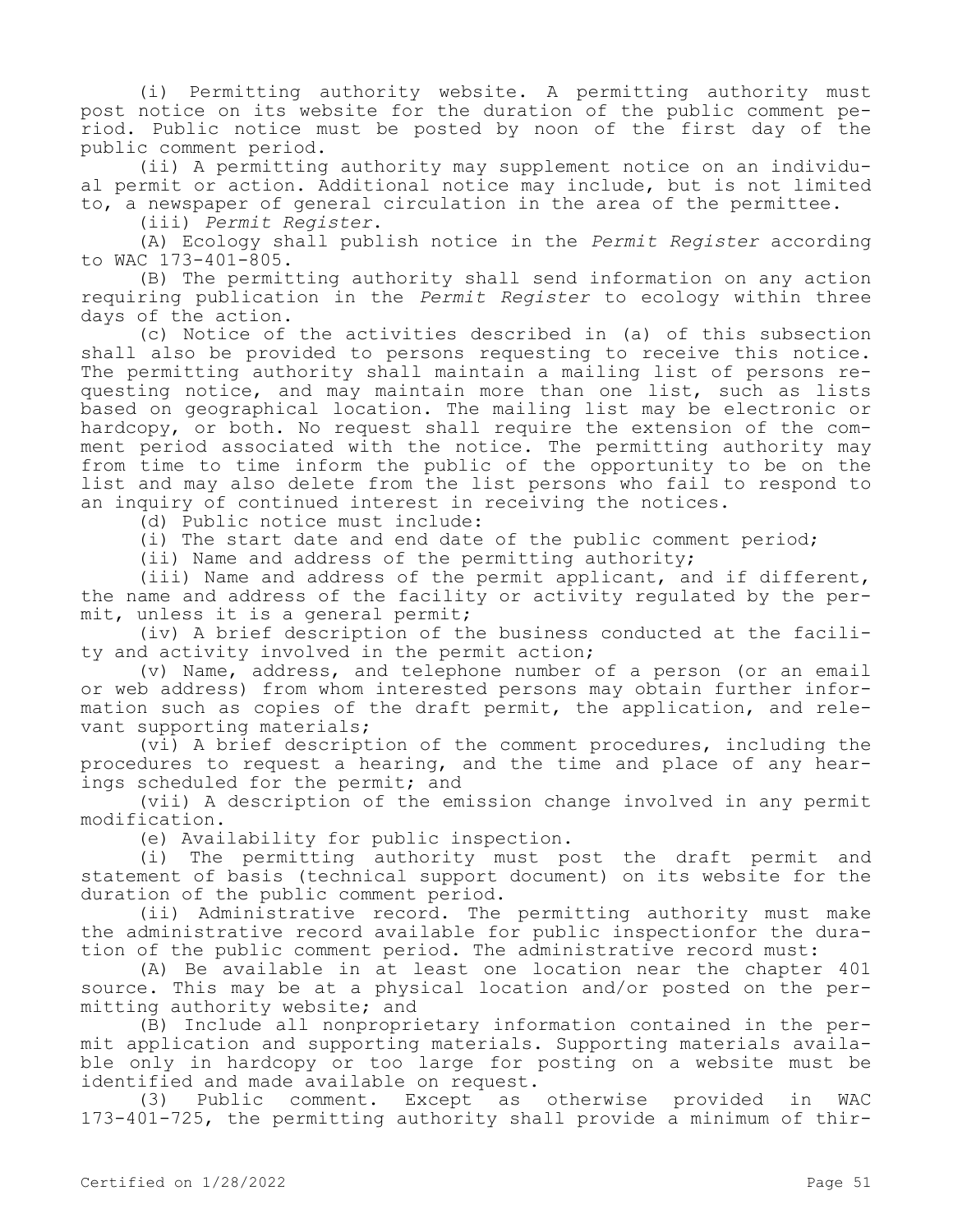(i) Permitting authority website. A permitting authority must post notice on its website for the duration of the public comment period. Public notice must be posted by noon of the first day of the public comment period.

(ii) A permitting authority may supplement notice on an individual permit or action. Additional notice may include, but is not limited to, a newspaper of general circulation in the area of the permittee.

(iii) *Permit Register*.

(A) Ecology shall publish notice in the *Permit Register* according to WAC 173-401-805.

(B) The permitting authority shall send information on any action requiring publication in the *Permit Register* to ecology within three days of the action.

(c) Notice of the activities described in (a) of this subsection shall also be provided to persons requesting to receive this notice. The permitting authority shall maintain a mailing list of persons requesting notice, and may maintain more than one list, such as lists based on geographical location. The mailing list may be electronic or hardcopy, or both. No request shall require the extension of the comment period associated with the notice. The permitting authority may from time to time inform the public of the opportunity to be on the list and may also delete from the list persons who fail to respond to an inquiry of continued interest in receiving the notices.

(d) Public notice must include:

(i) The start date and end date of the public comment period;

(ii) Name and address of the permitting authority;

(iii) Name and address of the permit applicant, and if different, the name and address of the facility or activity regulated by the permit, unless it is a general permit;

(iv) A brief description of the business conducted at the facility and activity involved in the permit action;

(v) Name, address, and telephone number of a person (or an email or web address) from whom interested persons may obtain further information such as copies of the draft permit, the application, and relevant supporting materials;

(vi) A brief description of the comment procedures, including the procedures to request a hearing, and the time and place of any hearings scheduled for the permit; and

(vii) A description of the emission change involved in any permit modification.

(e) Availability for public inspection.

(i) The permitting authority must post the draft permit and statement of basis (technical support document) on its website for the duration of the public comment period.

(ii) Administrative record. The permitting authority must make the administrative record available for public inspectionfor the duration of the public comment period. The administrative record must:

(A) Be available in at least one location near the chapter 401 source. This may be at a physical location and/or posted on the permitting authority website; and

(B) Include all nonproprietary information contained in the permit application and supporting materials. Supporting materials available only in hardcopy or too large for posting on a website must be identified and made available on request.<br>(3) Public comment. Except as otherwise provided

(3) Public comment. Except as otherwise provided in WAC 173-401-725, the permitting authority shall provide a minimum of thir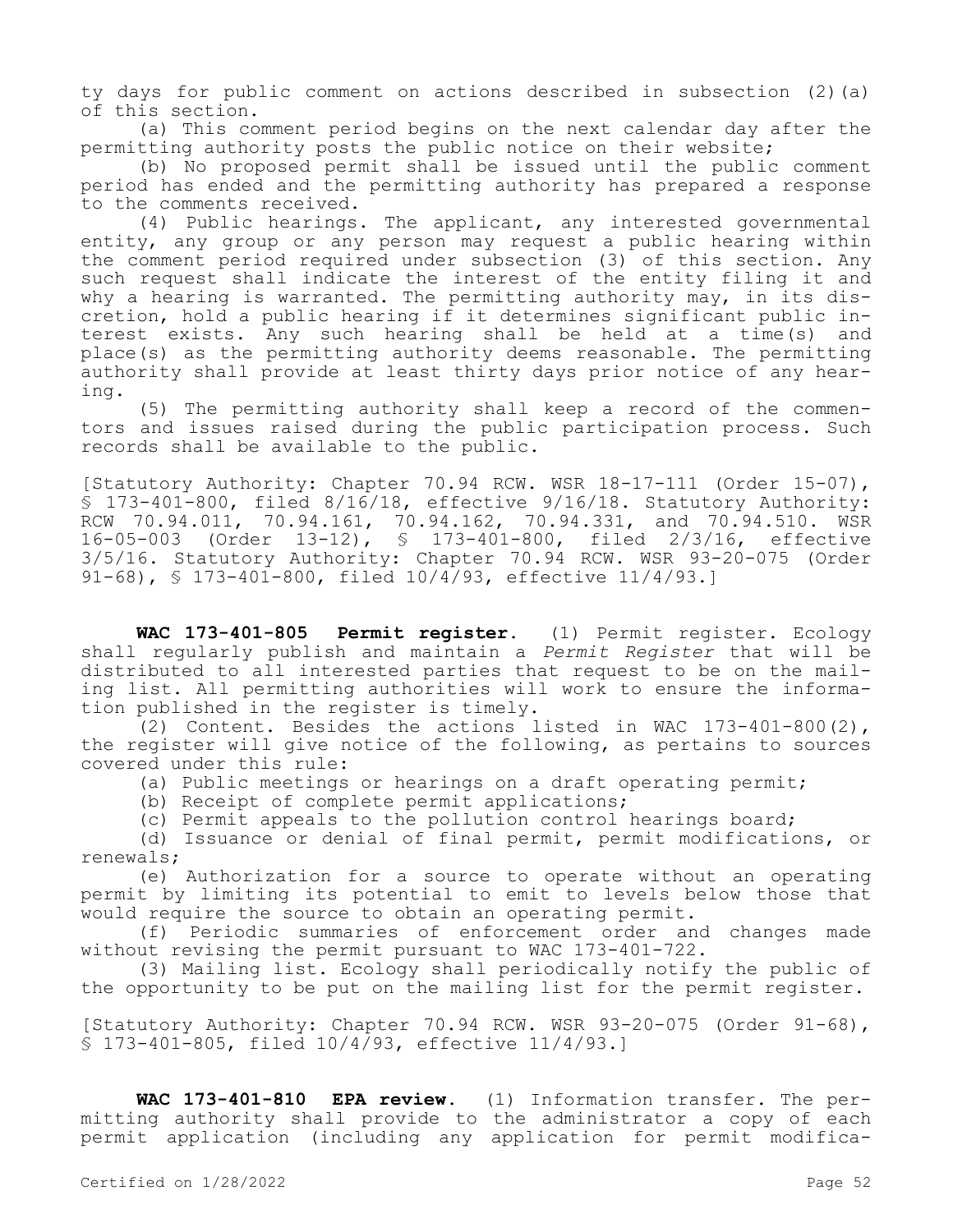ty days for public comment on actions described in subsection (2)(a) of this section.

(a) This comment period begins on the next calendar day after the permitting authority posts the public notice on their website;

(b) No proposed permit shall be issued until the public comment period has ended and the permitting authority has prepared a response to the comments received.

(4) Public hearings. The applicant, any interested governmental entity, any group or any person may request a public hearing within the comment period required under subsection (3) of this section. Any such request shall indicate the interest of the entity filing it and why a hearing is warranted. The permitting authority may, in its discretion, hold a public hearing if it determines significant public interest exists. Any such hearing shall be held at a time(s) and place(s) as the permitting authority deems reasonable. The permitting authority shall provide at least thirty days prior notice of any hearing.

(5) The permitting authority shall keep a record of the commentors and issues raised during the public participation process. Such records shall be available to the public.

[Statutory Authority: Chapter 70.94 RCW. WSR 18-17-111 (Order 15-07), § 173-401-800, filed 8/16/18, effective 9/16/18. Statutory Authority: RCW 70.94.011, 70.94.161, 70.94.162, 70.94.331, and 70.94.510. WSR 16-05-003 (Order 13-12), § 173-401-800, filed 2/3/16, effective 3/5/16. Statutory Authority: Chapter 70.94 RCW. WSR 93-20-075 (Order 91-68), § 173-401-800, filed 10/4/93, effective 11/4/93.]

**WAC 173-401-805 Permit register.** (1) Permit register. Ecology shall regularly publish and maintain a *Permit Register* that will be distributed to all interested parties that request to be on the mailing list. All permitting authorities will work to ensure the information published in the register is timely.

(2) Content. Besides the actions listed in WAC 173-401-800(2), the register will give notice of the following, as pertains to sources covered under this rule:

(a) Public meetings or hearings on a draft operating permit;

(b) Receipt of complete permit applications;

(c) Permit appeals to the pollution control hearings board;

(d) Issuance or denial of final permit, permit modifications, or renewals;

(e) Authorization for a source to operate without an operating permit by limiting its potential to emit to levels below those that would require the source to obtain an operating permit.

(f) Periodic summaries of enforcement order and changes made without revising the permit pursuant to WAC 173-401-722.

(3) Mailing list. Ecology shall periodically notify the public of the opportunity to be put on the mailing list for the permit register.

[Statutory Authority: Chapter 70.94 RCW. WSR 93-20-075 (Order 91-68), § 173-401-805, filed 10/4/93, effective 11/4/93.]

**WAC 173-401-810 EPA review.** (1) Information transfer. The permitting authority shall provide to the administrator a copy of each permit application (including any application for permit modifica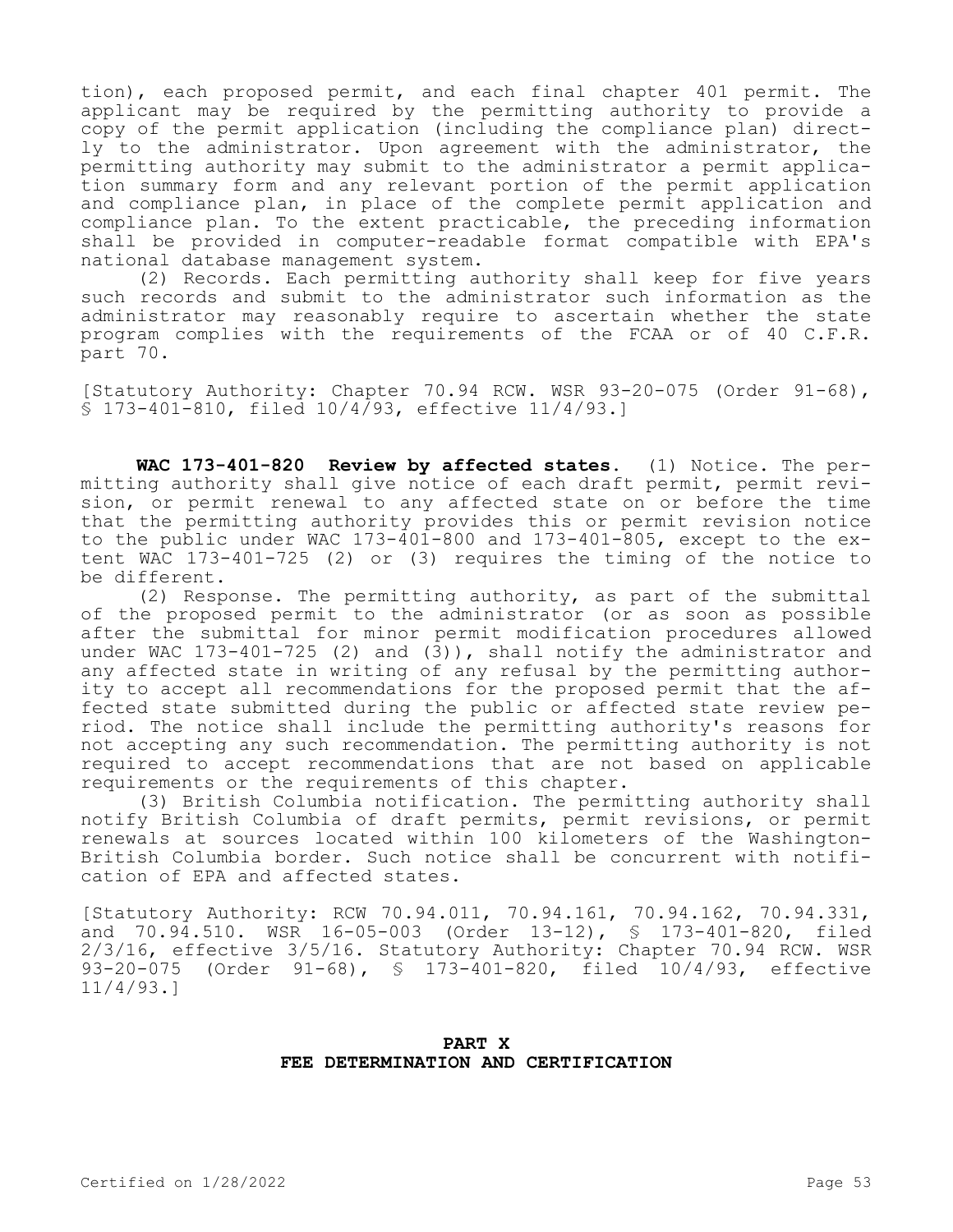tion), each proposed permit, and each final chapter 401 permit. The applicant may be required by the permitting authority to provide a copy of the permit application (including the compliance plan) directly to the administrator. Upon agreement with the administrator, the permitting authority may submit to the administrator a permit application summary form and any relevant portion of the permit application and compliance plan, in place of the complete permit application and compliance plan. To the extent practicable, the preceding information shall be provided in computer-readable format compatible with EPA's national database management system.

(2) Records. Each permitting authority shall keep for five years such records and submit to the administrator such information as the administrator may reasonably require to ascertain whether the state program complies with the requirements of the FCAA or of 40 C.F.R. part 70.

[Statutory Authority: Chapter 70.94 RCW. WSR 93-20-075 (Order 91-68), § 173-401-810, filed 10/4/93, effective 11/4/93.]

**WAC 173-401-820 Review by affected states.** (1) Notice. The permitting authority shall give notice of each draft permit, permit revision, or permit renewal to any affected state on or before the time that the permitting authority provides this or permit revision notice to the public under WAC 173-401-800 and 173-401-805, except to the extent WAC 173-401-725 (2) or (3) requires the timing of the notice to be different.

(2) Response. The permitting authority, as part of the submittal of the proposed permit to the administrator (or as soon as possible after the submittal for minor permit modification procedures allowed under WAC 173-401-725 (2) and  $(3)$ ), shall notify the administrator and any affected state in writing of any refusal by the permitting authority to accept all recommendations for the proposed permit that the affected state submitted during the public or affected state review period. The notice shall include the permitting authority's reasons for not accepting any such recommendation. The permitting authority is not required to accept recommendations that are not based on applicable requirements or the requirements of this chapter.

(3) British Columbia notification. The permitting authority shall notify British Columbia of draft permits, permit revisions, or permit renewals at sources located within 100 kilometers of the Washington-British Columbia border. Such notice shall be concurrent with notification of EPA and affected states.

[Statutory Authority: RCW 70.94.011, 70.94.161, 70.94.162, 70.94.331, and 70.94.510. WSR 16-05-003 (Order 13-12), § 173-401-820, filed 2/3/16, effective 3/5/16. Statutory Authority: Chapter 70.94 RCW. WSR 93-20-075 (Order 91-68), § 173-401-820, filed 10/4/93, effective 11/4/93.]

# **PART X FEE DETERMINATION AND CERTIFICATION**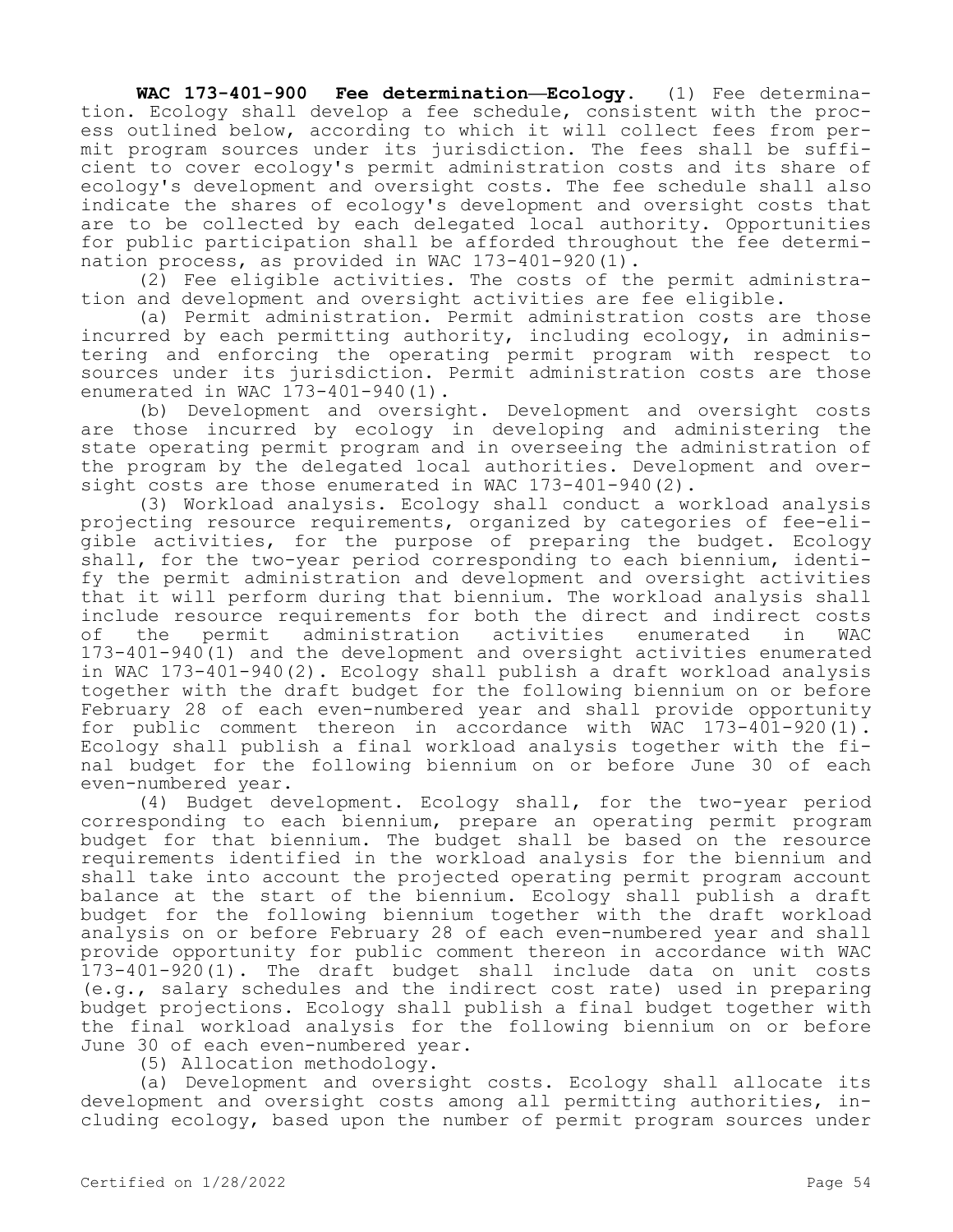**WAC 173-401-900 Fee determination—Ecology.** (1) Fee determination. Ecology shall develop a fee schedule, consistent with the process outlined below, according to which it will collect fees from permit program sources under its jurisdiction. The fees shall be sufficient to cover ecology's permit administration costs and its share of ecology's development and oversight costs. The fee schedule shall also indicate the shares of ecology's development and oversight costs that are to be collected by each delegated local authority. Opportunities for public participation shall be afforded throughout the fee determination process, as provided in WAC 173-401-920(1).

(2) Fee eligible activities. The costs of the permit administration and development and oversight activities are fee eligible.

(a) Permit administration. Permit administration costs are those incurred by each permitting authority, including ecology, in administering and enforcing the operating permit program with respect to sources under its jurisdiction. Permit administration costs are those enumerated in WAC 173-401-940(1).

(b) Development and oversight. Development and oversight costs are those incurred by ecology in developing and administering the state operating permit program and in overseeing the administration of the program by the delegated local authorities. Development and oversight costs are those enumerated in WAC 173-401-940(2).

(3) Workload analysis. Ecology shall conduct a workload analysis projecting resource requirements, organized by categories of fee-eligible activities, for the purpose of preparing the budget. Ecology shall, for the two-year period corresponding to each biennium, identify the permit administration and development and oversight activities that it will perform during that biennium. The workload analysis shall include resource requirements for both the direct and indirect costs of the permit administration activities enumerated in WAC 173-401-940(1) and the development and oversight activities enumerated in WAC 173-401-940(2). Ecology shall publish a draft workload analysis together with the draft budget for the following biennium on or before February 28 of each even-numbered year and shall provide opportunity for public comment thereon in accordance with WAC 173-401-920(1). Ecology shall publish a final workload analysis together with the final budget for the following biennium on or before June 30 of each even-numbered year.

(4) Budget development. Ecology shall, for the two-year period corresponding to each biennium, prepare an operating permit program budget for that biennium. The budget shall be based on the resource requirements identified in the workload analysis for the biennium and shall take into account the projected operating permit program account balance at the start of the biennium. Ecology shall publish a draft budget for the following biennium together with the draft workload analysis on or before February 28 of each even-numbered year and shall provide opportunity for public comment thereon in accordance with WAC 173-401-920(1). The draft budget shall include data on unit costs (e.g., salary schedules and the indirect cost rate) used in preparing budget projections. Ecology shall publish a final budget together with the final workload analysis for the following biennium on or before June 30 of each even-numbered year.

(5) Allocation methodology.

(a) Development and oversight costs. Ecology shall allocate its development and oversight costs among all permitting authorities, including ecology, based upon the number of permit program sources under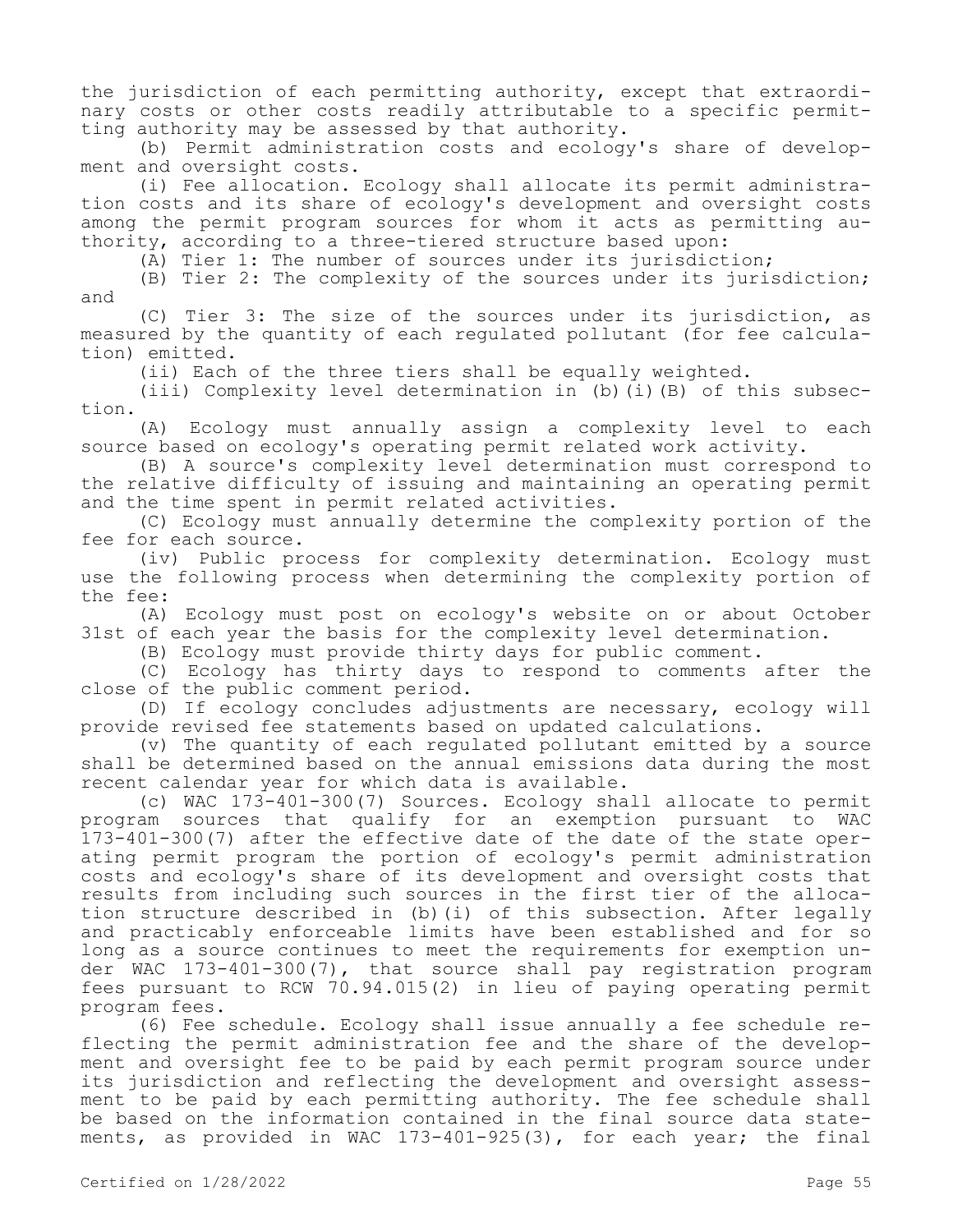the jurisdiction of each permitting authority, except that extraordinary costs or other costs readily attributable to a specific permitting authority may be assessed by that authority.

(b) Permit administration costs and ecology's share of development and oversight costs.

(i) Fee allocation. Ecology shall allocate its permit administration costs and its share of ecology's development and oversight costs among the permit program sources for whom it acts as permitting authority, according to a three-tiered structure based upon:

(A) Tier 1: The number of sources under its jurisdiction;

(B) Tier 2: The complexity of the sources under its jurisdiction; and

(C) Tier 3: The size of the sources under its jurisdiction, as measured by the quantity of each regulated pollutant (for fee calculation) emitted.

(ii) Each of the three tiers shall be equally weighted.

(iii) Complexity level determination in (b)(i)(B) of this subsection.

(A) Ecology must annually assign a complexity level to each source based on ecology's operating permit related work activity.

(B) A source's complexity level determination must correspond to the relative difficulty of issuing and maintaining an operating permit and the time spent in permit related activities.

(C) Ecology must annually determine the complexity portion of the fee for each source.

(iv) Public process for complexity determination. Ecology must use the following process when determining the complexity portion of the fee:

(A) Ecology must post on ecology's website on or about October 31st of each year the basis for the complexity level determination.

(B) Ecology must provide thirty days for public comment.

(C) Ecology has thirty days to respond to comments after the close of the public comment period.

(D) If ecology concludes adjustments are necessary, ecology will provide revised fee statements based on updated calculations.

(v) The quantity of each regulated pollutant emitted by a source shall be determined based on the annual emissions data during the most recent calendar year for which data is available.

(c) WAC 173-401-300(7) Sources. Ecology shall allocate to permit program sources that qualify for an exemption pursuant to WAC 173-401-300(7) after the effective date of the date of the state operating permit program the portion of ecology's permit administration costs and ecology's share of its development and oversight costs that results from including such sources in the first tier of the allocation structure described in (b)(i) of this subsection. After legally and practicably enforceable limits have been established and for so long as a source continues to meet the requirements for exemption under WAC 173-401-300(7), that source shall pay registration program fees pursuant to RCW 70.94.015(2) in lieu of paying operating permit program fees.

(6) Fee schedule. Ecology shall issue annually a fee schedule reflecting the permit administration fee and the share of the development and oversight fee to be paid by each permit program source under its jurisdiction and reflecting the development and oversight assessment to be paid by each permitting authority. The fee schedule shall be based on the information contained in the final source data statements, as provided in WAC 173-401-925(3), for each year; the final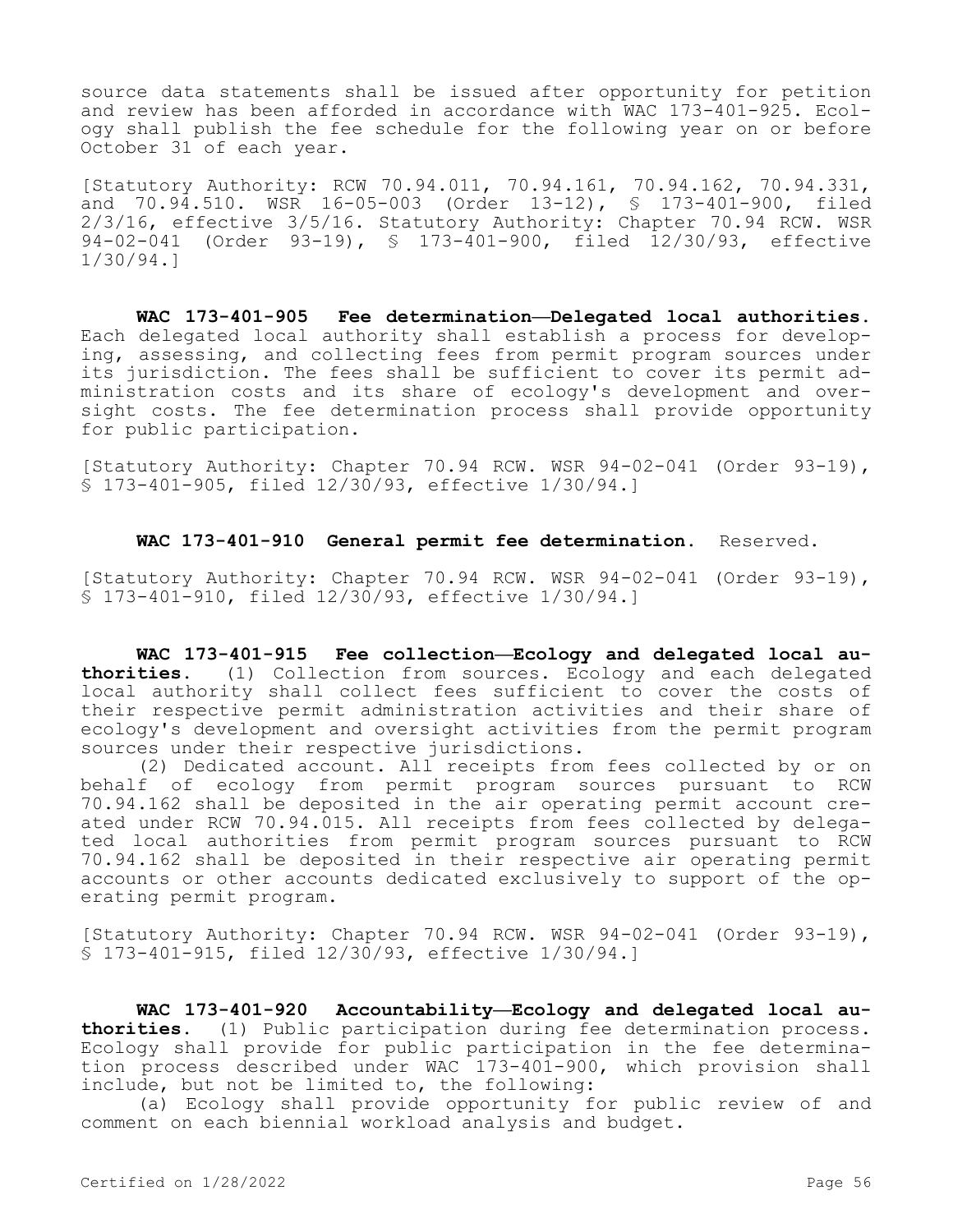source data statements shall be issued after opportunity for petition and review has been afforded in accordance with WAC 173-401-925. Ecology shall publish the fee schedule for the following year on or before October 31 of each year.

[Statutory Authority: RCW 70.94.011, 70.94.161, 70.94.162, 70.94.331, and 70.94.510. WSR 16-05-003 (Order 13-12), § 173-401-900, filed 2/3/16, effective 3/5/16. Statutory Authority: Chapter 70.94 RCW. WSR 94-02-041 (Order 93-19), § 173-401-900, filed 12/30/93, effective 1/30/94.]

**WAC 173-401-905 Fee determination—Delegated local authorities.**  Each delegated local authority shall establish a process for developing, assessing, and collecting fees from permit program sources under its jurisdiction. The fees shall be sufficient to cover its permit administration costs and its share of ecology's development and oversight costs. The fee determination process shall provide opportunity for public participation.

[Statutory Authority: Chapter 70.94 RCW. WSR 94-02-041 (Order 93-19), § 173-401-905, filed 12/30/93, effective 1/30/94.]

**WAC 173-401-910 General permit fee determination.** Reserved.

[Statutory Authority: Chapter 70.94 RCW. WSR 94-02-041 (Order 93-19), § 173-401-910, filed 12/30/93, effective 1/30/94.]

**WAC 173-401-915 Fee collection—Ecology and delegated local authorities.** (1) Collection from sources. Ecology and each delegated local authority shall collect fees sufficient to cover the costs of their respective permit administration activities and their share of ecology's development and oversight activities from the permit program sources under their respective jurisdictions.

(2) Dedicated account. All receipts from fees collected by or on behalf of ecology from permit program sources pursuant to RCW 70.94.162 shall be deposited in the air operating permit account created under RCW 70.94.015. All receipts from fees collected by delegated local authorities from permit program sources pursuant to RCW 70.94.162 shall be deposited in their respective air operating permit accounts or other accounts dedicated exclusively to support of the operating permit program.

[Statutory Authority: Chapter 70.94 RCW. WSR 94-02-041 (Order 93-19), § 173-401-915, filed 12/30/93, effective 1/30/94.]

**WAC 173-401-920 Accountability—Ecology and delegated local authorities.** (1) Public participation during fee determination process. Ecology shall provide for public participation in the fee determination process described under WAC 173-401-900, which provision shall include, but not be limited to, the following:

(a) Ecology shall provide opportunity for public review of and comment on each biennial workload analysis and budget.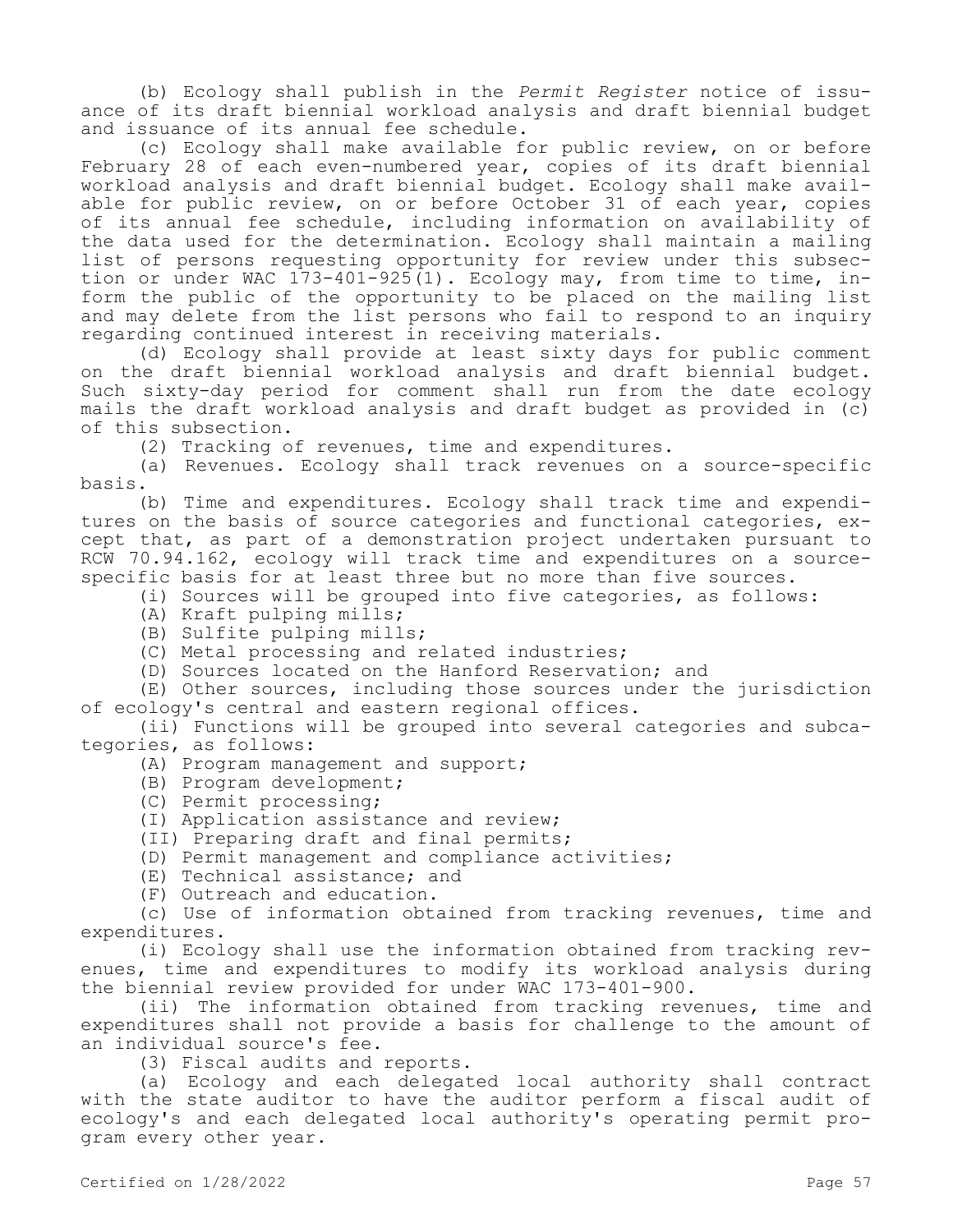(b) Ecology shall publish in the *Permit Register* notice of issuance of its draft biennial workload analysis and draft biennial budget and issuance of its annual fee schedule.

(c) Ecology shall make available for public review, on or before February 28 of each even-numbered year, copies of its draft biennial workload analysis and draft biennial budget. Ecology shall make available for public review, on or before October 31 of each year, copies of its annual fee schedule, including information on availability of the data used for the determination. Ecology shall maintain a mailing list of persons requesting opportunity for review under this subsection or under WAC  $173-401-925(1)$ . Ecology may, from time to time, inform the public of the opportunity to be placed on the mailing list and may delete from the list persons who fail to respond to an inquiry regarding continued interest in receiving materials.

(d) Ecology shall provide at least sixty days for public comment on the draft biennial workload analysis and draft biennial budget. Such sixty-day period for comment shall run from the date ecology mails the draft workload analysis and draft budget as provided in (c) of this subsection.

(2) Tracking of revenues, time and expenditures.

(a) Revenues. Ecology shall track revenues on a source-specific basis.

(b) Time and expenditures. Ecology shall track time and expenditures on the basis of source categories and functional categories, except that, as part of a demonstration project undertaken pursuant to RCW 70.94.162, ecology will track time and expenditures on a sourcespecific basis for at least three but no more than five sources.

- (i) Sources will be grouped into five categories, as follows:
- (A) Kraft pulping mills;
- (B) Sulfite pulping mills;
- (C) Metal processing and related industries;
- (D) Sources located on the Hanford Reservation; and

(E) Other sources, including those sources under the jurisdiction of ecology's central and eastern regional offices.

(ii) Functions will be grouped into several categories and subcategories, as follows:

(A) Program management and support;

- (B) Program development;
- (C) Permit processing;
- (I) Application assistance and review;
- (II) Preparing draft and final permits;
- (D) Permit management and compliance activities;
- (E) Technical assistance; and
- (F) Outreach and education.

(c) Use of information obtained from tracking revenues, time and expenditures.

(i) Ecology shall use the information obtained from tracking revenues, time and expenditures to modify its workload analysis during the biennial review provided for under WAC 173-401-900.

(ii) The information obtained from tracking revenues, time and expenditures shall not provide a basis for challenge to the amount of an individual source's fee.

(3) Fiscal audits and reports.

(a) Ecology and each delegated local authority shall contract with the state auditor to have the auditor perform a fiscal audit of ecology's and each delegated local authority's operating permit program every other year.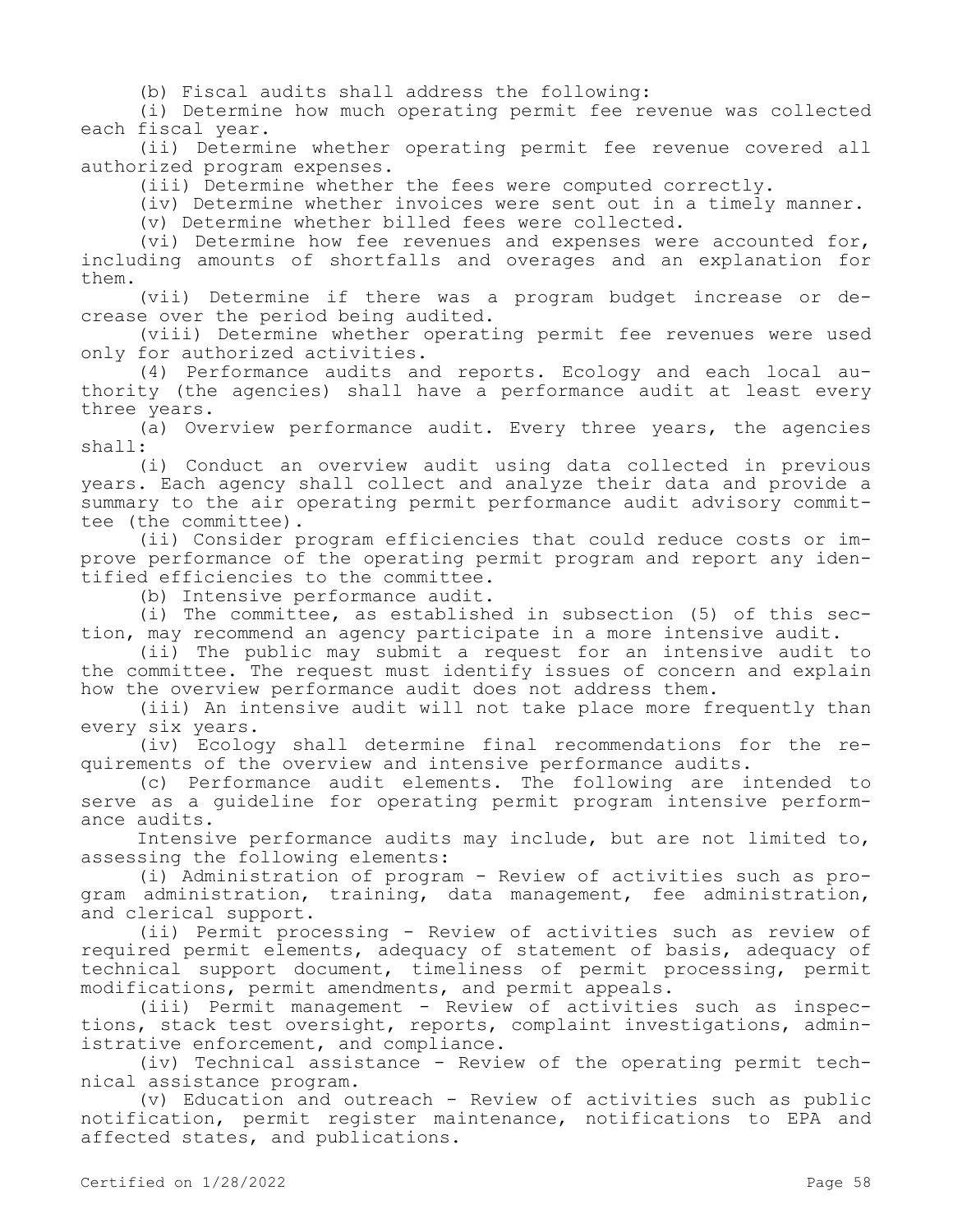(b) Fiscal audits shall address the following:

(i) Determine how much operating permit fee revenue was collected each fiscal year.

(ii) Determine whether operating permit fee revenue covered all authorized program expenses.

(iii) Determine whether the fees were computed correctly.

(iv) Determine whether invoices were sent out in a timely manner.

(v) Determine whether billed fees were collected.

(vi) Determine how fee revenues and expenses were accounted for, including amounts of shortfalls and overages and an explanation for them.

(vii) Determine if there was a program budget increase or decrease over the period being audited.

(viii) Determine whether operating permit fee revenues were used only for authorized activities.

(4) Performance audits and reports. Ecology and each local authority (the agencies) shall have a performance audit at least every three years.

(a) Overview performance audit. Every three years, the agencies shall:

(i) Conduct an overview audit using data collected in previous years. Each agency shall collect and analyze their data and provide a summary to the air operating permit performance audit advisory committee (the committee).

(ii) Consider program efficiencies that could reduce costs or improve performance of the operating permit program and report any identified efficiencies to the committee.

(b) Intensive performance audit.

(i) The committee, as established in subsection (5) of this section, may recommend an agency participate in a more intensive audit.

(ii) The public may submit a request for an intensive audit to the committee. The request must identify issues of concern and explain how the overview performance audit does not address them.

(iii) An intensive audit will not take place more frequently than every six years.

(iv) Ecology shall determine final recommendations for the requirements of the overview and intensive performance audits.

(c) Performance audit elements. The following are intended to serve as a guideline for operating permit program intensive performance audits.

Intensive performance audits may include, but are not limited to, assessing the following elements:

(i) Administration of program - Review of activities such as program administration, training, data management, fee administration, and clerical support.

(ii) Permit processing - Review of activities such as review of required permit elements, adequacy of statement of basis, adequacy of technical support document, timeliness of permit processing, permit modifications, permit amendments, and permit appeals.

(iii) Permit management - Review of activities such as inspections, stack test oversight, reports, complaint investigations, administrative enforcement, and compliance.

(iv) Technical assistance - Review of the operating permit technical assistance program.

(v) Education and outreach - Review of activities such as public notification, permit register maintenance, notifications to EPA and affected states, and publications.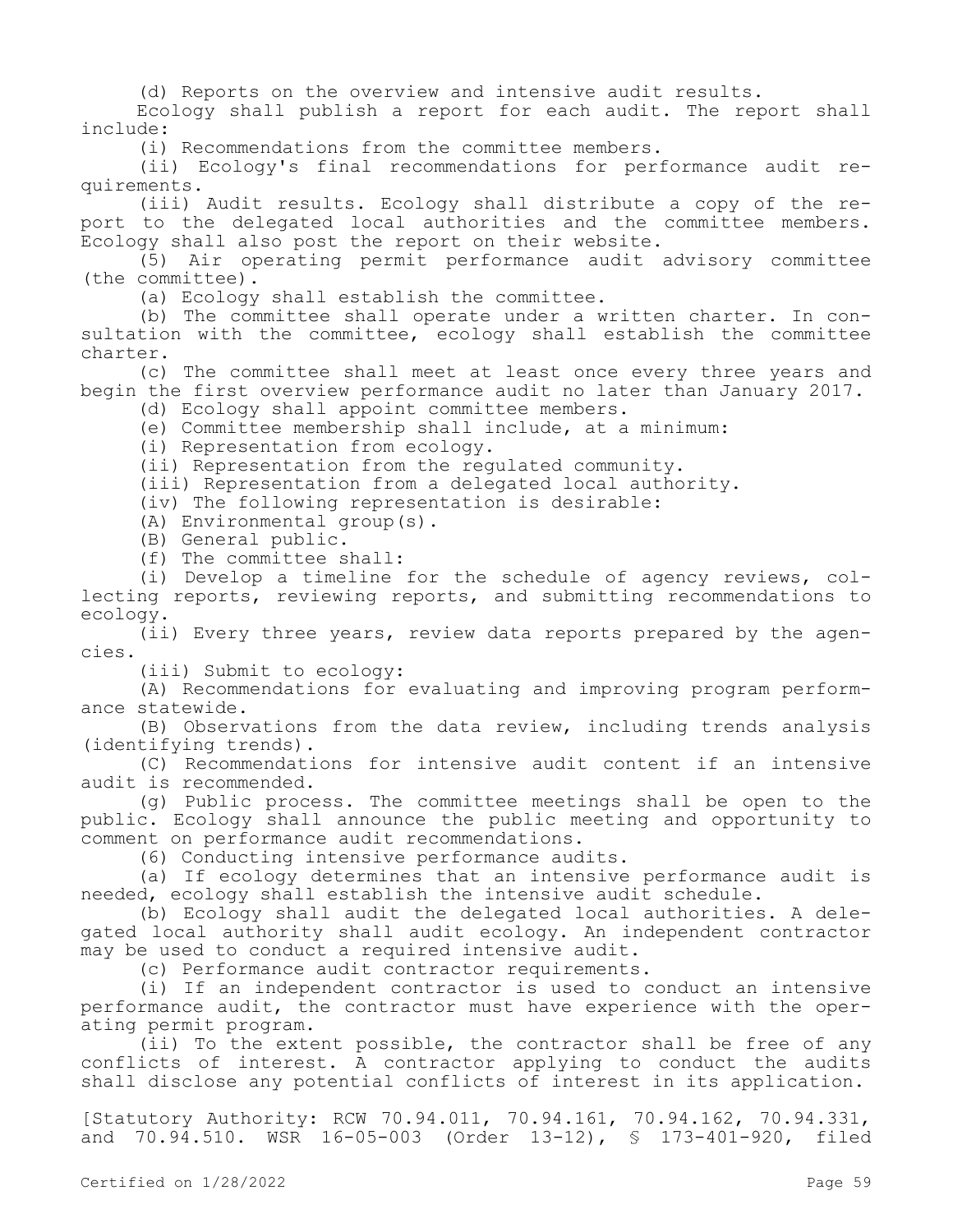(d) Reports on the overview and intensive audit results.

Ecology shall publish a report for each audit. The report shall include:

(i) Recommendations from the committee members.

(ii) Ecology's final recommendations for performance audit requirements.

(iii) Audit results. Ecology shall distribute a copy of the report to the delegated local authorities and the committee members. Ecology shall also post the report on their website.

(5) Air operating permit performance audit advisory committee (the committee).

(a) Ecology shall establish the committee.

(b) The committee shall operate under a written charter. In consultation with the committee, ecology shall establish the committee charter.

(c) The committee shall meet at least once every three years and begin the first overview performance audit no later than January 2017.

(d) Ecology shall appoint committee members.

(e) Committee membership shall include, at a minimum:

(i) Representation from ecology.

(ii) Representation from the regulated community.

(iii) Representation from a delegated local authority.

(iv) The following representation is desirable:

(A) Environmental group(s).

- (B) General public.
- (f) The committee shall:

(i) Develop a timeline for the schedule of agency reviews, collecting reports, reviewing reports, and submitting recommendations to ecology.

(ii) Every three years, review data reports prepared by the agencies.

(iii) Submit to ecology:

(A) Recommendations for evaluating and improving program performance statewide.

(B) Observations from the data review, including trends analysis (identifying trends).

(C) Recommendations for intensive audit content if an intensive audit is recommended.

(g) Public process. The committee meetings shall be open to the public. Ecology shall announce the public meeting and opportunity to comment on performance audit recommendations.

(6) Conducting intensive performance audits.

(a) If ecology determines that an intensive performance audit is needed, ecology shall establish the intensive audit schedule.

(b) Ecology shall audit the delegated local authorities. A delegated local authority shall audit ecology. An independent contractor may be used to conduct a required intensive audit.

(c) Performance audit contractor requirements.

(i) If an independent contractor is used to conduct an intensive performance audit, the contractor must have experience with the operating permit program.

(ii) To the extent possible, the contractor shall be free of any conflicts of interest. A contractor applying to conduct the audits shall disclose any potential conflicts of interest in its application.

[Statutory Authority: RCW 70.94.011, 70.94.161, 70.94.162, 70.94.331, and 70.94.510. WSR 16-05-003 (Order 13-12), § 173-401-920, filed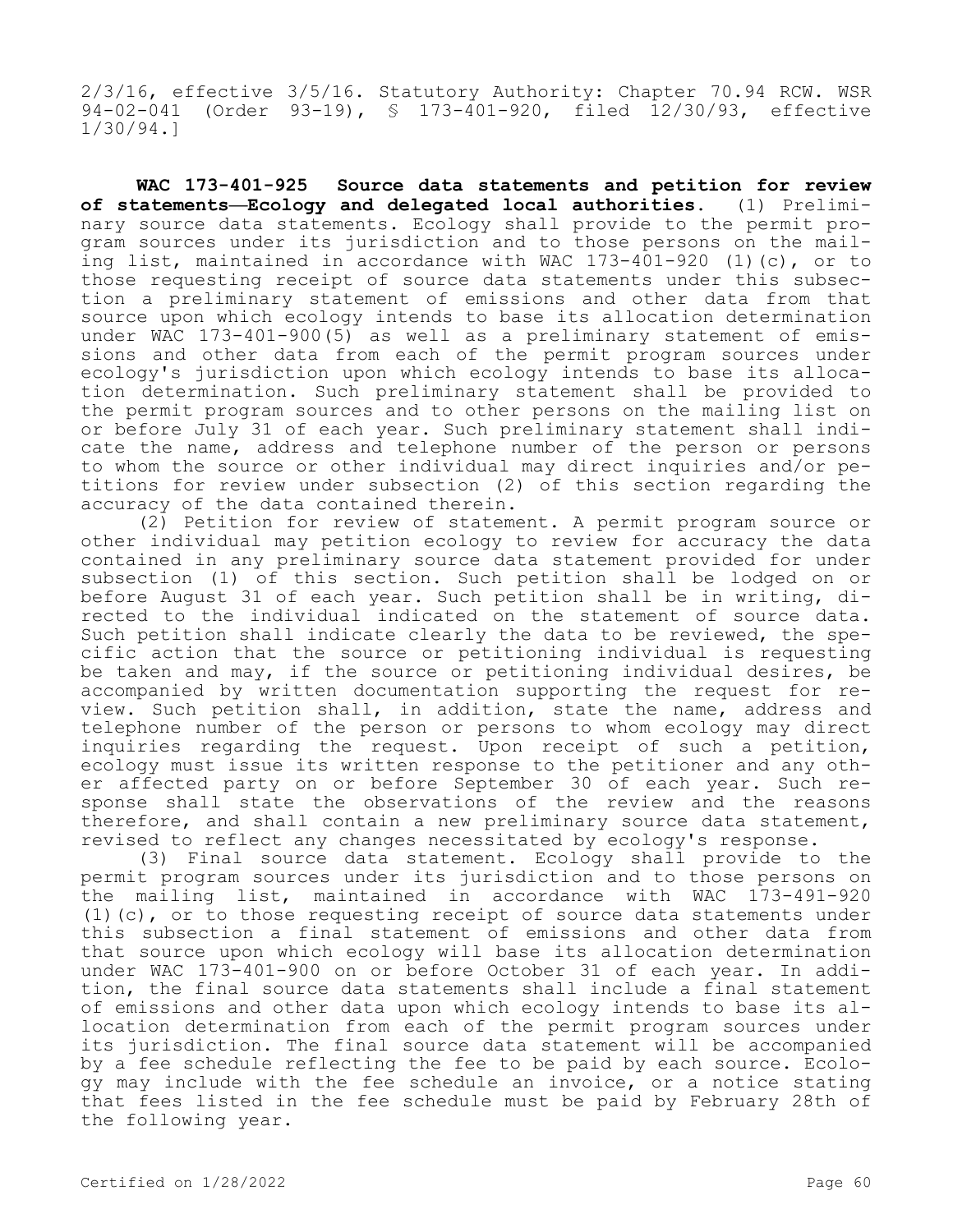2/3/16, effective 3/5/16. Statutory Authority: Chapter 70.94 RCW. WSR 94-02-041 (Order 93-19), § 173-401-920, filed 12/30/93, effective 1/30/94.]

**WAC 173-401-925 Source data statements and petition for review of statements—Ecology and delegated local authorities.** (1) Preliminary source data statements. Ecology shall provide to the permit program sources under its jurisdiction and to those persons on the mailing list, maintained in accordance with WAC 173-401-920 (1)(c), or to those requesting receipt of source data statements under this subsection a preliminary statement of emissions and other data from that source upon which ecology intends to base its allocation determination under WAC 173-401-900(5) as well as a preliminary statement of emissions and other data from each of the permit program sources under ecology's jurisdiction upon which ecology intends to base its allocation determination. Such preliminary statement shall be provided to the permit program sources and to other persons on the mailing list on or before July 31 of each year. Such preliminary statement shall indicate the name, address and telephone number of the person or persons to whom the source or other individual may direct inquiries and/or petitions for review under subsection (2) of this section regarding the accuracy of the data contained therein.

(2) Petition for review of statement. A permit program source or other individual may petition ecology to review for accuracy the data contained in any preliminary source data statement provided for under subsection (1) of this section. Such petition shall be lodged on or before August 31 of each year. Such petition shall be in writing, directed to the individual indicated on the statement of source data. Such petition shall indicate clearly the data to be reviewed, the specific action that the source or petitioning individual is requesting be taken and may, if the source or petitioning individual desires, be accompanied by written documentation supporting the request for review. Such petition shall, in addition, state the name, address and telephone number of the person or persons to whom ecology may direct inquiries regarding the request. Upon receipt of such a petition, ecology must issue its written response to the petitioner and any other affected party on or before September 30 of each year. Such response shall state the observations of the review and the reasons therefore, and shall contain a new preliminary source data statement, revised to reflect any changes necessitated by ecology's response.

(3) Final source data statement. Ecology shall provide to the permit program sources under its jurisdiction and to those persons on the mailing list, maintained in accordance with WAC 173-491-920 (1)(c), or to those requesting receipt of source data statements under this subsection a final statement of emissions and other data from that source upon which ecology will base its allocation determination under WAC 173-401-900 on or before October 31 of each year. In addition, the final source data statements shall include a final statement of emissions and other data upon which ecology intends to base its allocation determination from each of the permit program sources under its jurisdiction. The final source data statement will be accompanied by a fee schedule reflecting the fee to be paid by each source. Ecology may include with the fee schedule an invoice, or a notice stating that fees listed in the fee schedule must be paid by February 28th of the following year.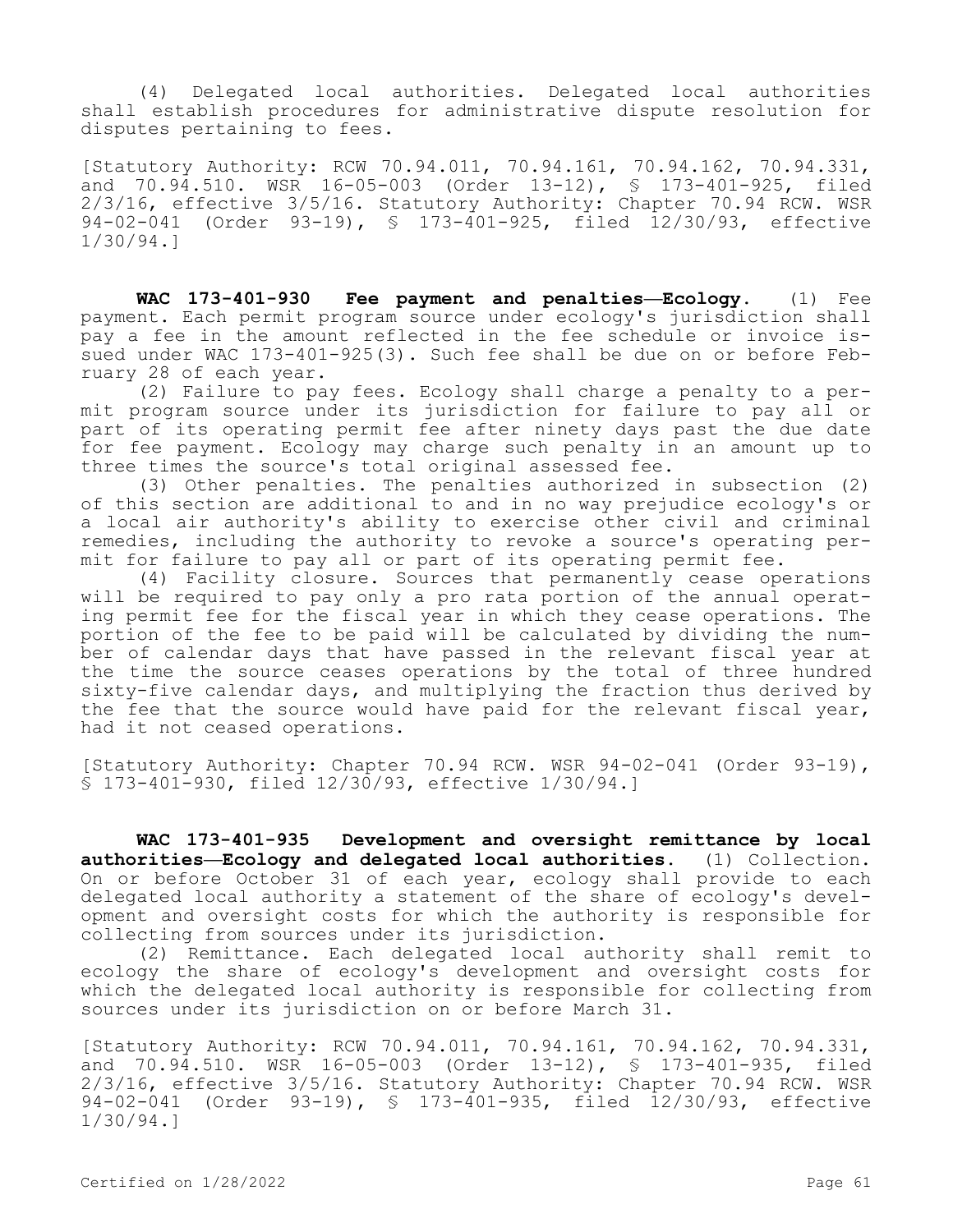(4) Delegated local authorities. Delegated local authorities shall establish procedures for administrative dispute resolution for disputes pertaining to fees.

[Statutory Authority: RCW 70.94.011, 70.94.161, 70.94.162, 70.94.331, and 70.94.510. WSR 16-05-003 (Order 13-12), § 173-401-925, filed 2/3/16, effective 3/5/16. Statutory Authority: Chapter 70.94 RCW. WSR 94-02-041 (Order 93-19), § 173-401-925, filed 12/30/93, effective 1/30/94.]

**WAC 173-401-930 Fee payment and penalties—Ecology.** (1) Fee payment. Each permit program source under ecology's jurisdiction shall pay a fee in the amount reflected in the fee schedule or invoice issued under WAC 173-401-925(3). Such fee shall be due on or before February 28 of each year.

(2) Failure to pay fees. Ecology shall charge a penalty to a permit program source under its jurisdiction for failure to pay all or part of its operating permit fee after ninety days past the due date for fee payment. Ecology may charge such penalty in an amount up to three times the source's total original assessed fee.

(3) Other penalties. The penalties authorized in subsection (2) of this section are additional to and in no way prejudice ecology's or a local air authority's ability to exercise other civil and criminal remedies, including the authority to revoke a source's operating permit for failure to pay all or part of its operating permit fee.

(4) Facility closure. Sources that permanently cease operations will be required to pay only a pro rata portion of the annual operating permit fee for the fiscal year in which they cease operations. The portion of the fee to be paid will be calculated by dividing the number of calendar days that have passed in the relevant fiscal year at the time the source ceases operations by the total of three hundred sixty-five calendar days, and multiplying the fraction thus derived by the fee that the source would have paid for the relevant fiscal year, had it not ceased operations.

[Statutory Authority: Chapter 70.94 RCW. WSR 94-02-041 (Order 93-19), § 173-401-930, filed 12/30/93, effective 1/30/94.]

**WAC 173-401-935 Development and oversight remittance by local authorities—Ecology and delegated local authorities.** (1) Collection. On or before October 31 of each year, ecology shall provide to each delegated local authority a statement of the share of ecology's development and oversight costs for which the authority is responsible for collecting from sources under its jurisdiction.

(2) Remittance. Each delegated local authority shall remit to ecology the share of ecology's development and oversight costs for which the delegated local authority is responsible for collecting from sources under its jurisdiction on or before March 31.

[Statutory Authority: RCW 70.94.011, 70.94.161, 70.94.162, 70.94.331, and 70.94.510. WSR 16-05-003 (Order 13-12), § 173-401-935, filed 2/3/16, effective 3/5/16. Statutory Authority: Chapter 70.94 RCW. WSR 94-02-041 (Order 93-19), § 173-401-935, filed 12/30/93, effective 1/30/94.]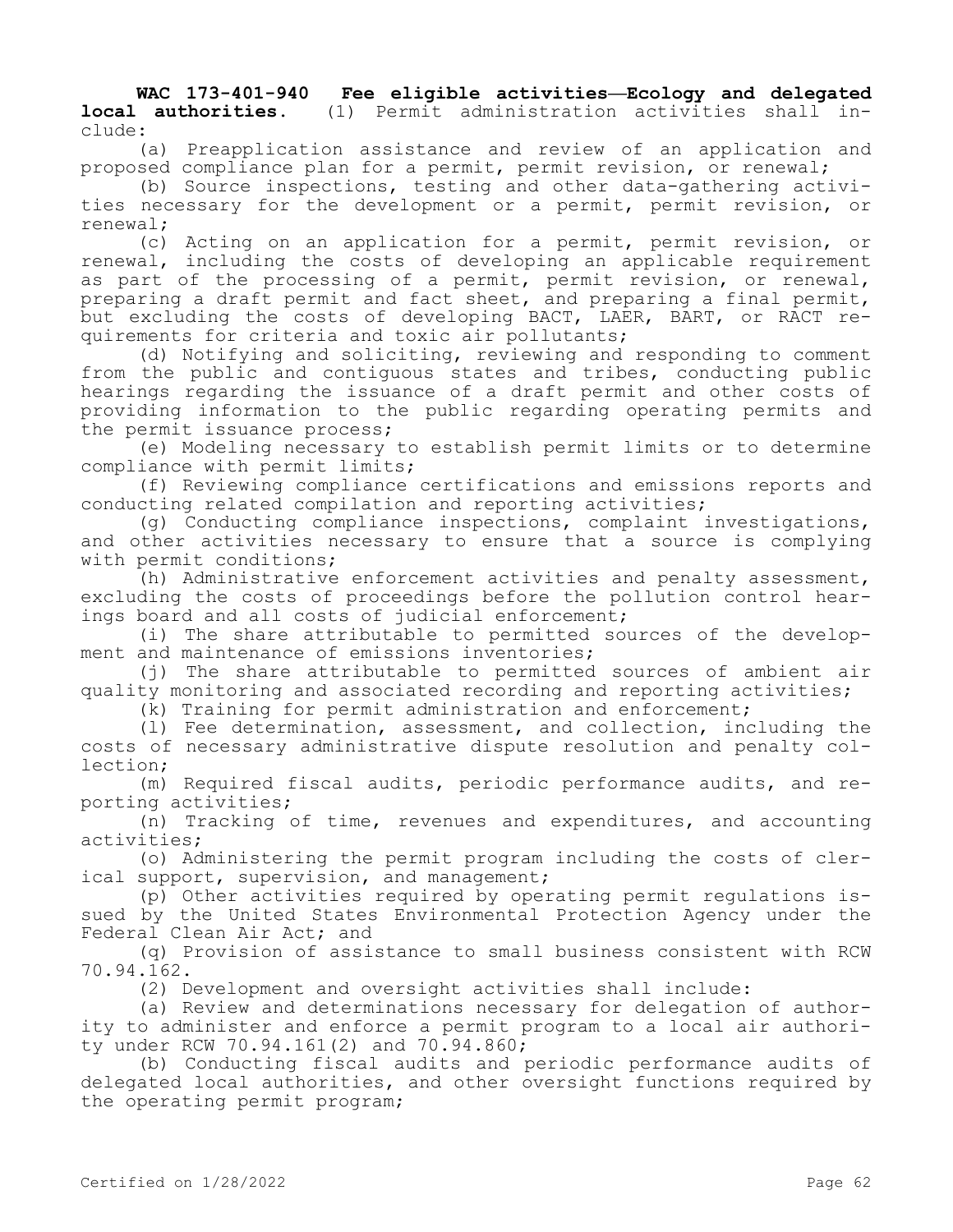**WAC 173-401-940 Fee eligible activities—Ecology and delegated local authorities.** (1) Permit administration activities shall include:

(a) Preapplication assistance and review of an application and proposed compliance plan for a permit, permit revision, or renewal;

(b) Source inspections, testing and other data-gathering activities necessary for the development or a permit, permit revision, or renewal;

(c) Acting on an application for a permit, permit revision, or renewal, including the costs of developing an applicable requirement as part of the processing of a permit, permit revision, or renewal, preparing a draft permit and fact sheet, and preparing a final permit, but excluding the costs of developing BACT, LAER, BART, or RACT requirements for criteria and toxic air pollutants;

(d) Notifying and soliciting, reviewing and responding to comment from the public and contiguous states and tribes, conducting public hearings regarding the issuance of a draft permit and other costs of providing information to the public regarding operating permits and the permit issuance process;

(e) Modeling necessary to establish permit limits or to determine compliance with permit limits;

(f) Reviewing compliance certifications and emissions reports and conducting related compilation and reporting activities;

(g) Conducting compliance inspections, complaint investigations, and other activities necessary to ensure that a source is complying with permit conditions;

(h) Administrative enforcement activities and penalty assessment, excluding the costs of proceedings before the pollution control hearings board and all costs of judicial enforcement;

(i) The share attributable to permitted sources of the development and maintenance of emissions inventories;

(j) The share attributable to permitted sources of ambient air quality monitoring and associated recording and reporting activities;

(k) Training for permit administration and enforcement;

(l) Fee determination, assessment, and collection, including the costs of necessary administrative dispute resolution and penalty collection;

(m) Required fiscal audits, periodic performance audits, and reporting activities;

(n) Tracking of time, revenues and expenditures, and accounting activities;

(o) Administering the permit program including the costs of clerical support, supervision, and management;

(p) Other activities required by operating permit regulations issued by the United States Environmental Protection Agency under the Federal Clean Air Act; and

(q) Provision of assistance to small business consistent with RCW 70.94.162.

(2) Development and oversight activities shall include:

(a) Review and determinations necessary for delegation of authority to administer and enforce a permit program to a local air authority under RCW 70.94.161(2) and 70.94.860;

(b) Conducting fiscal audits and periodic performance audits of delegated local authorities, and other oversight functions required by the operating permit program;